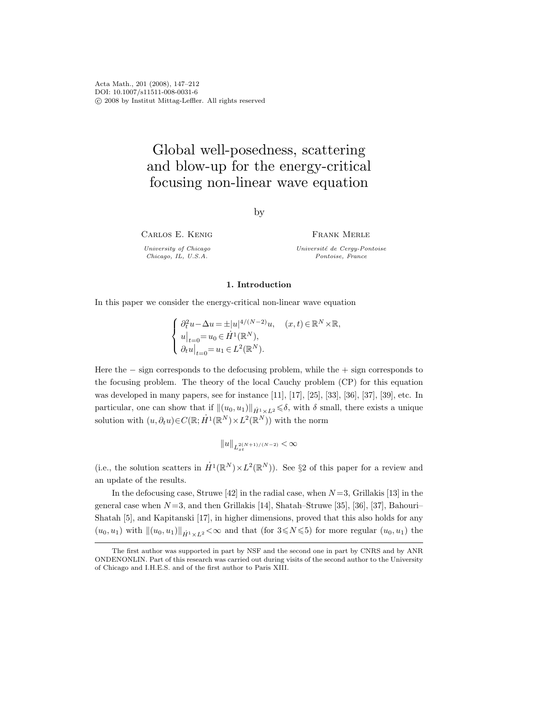Acta Math., 201 (2008), 147–212 DOI: 10.1007/s11511-008-0031-6 c 2008 by Institut Mittag-Leffler. All rights reserved

# Global well-posedness, scattering and blow-up for the energy-critical focusing non-linear wave equation

by

Carlos E. Kenig

University of Chicago Chicago, IL, U.S.A.

Frank Merle Université de Cergy-Pontoise Pontoise, France

### 1. Introduction

In this paper we consider the energy-critical non-linear wave equation

$$
\left\{ \begin{array}{ll} \partial_t^2 u - \Delta u = \pm |u|^{4/(N-2)} u, \quad (x,t) \in \mathbb{R}^N \times \mathbb{R}, \\ u|_{t=0} = u_0 \in \dot{H}^1(\mathbb{R}^N), \\ \partial_t u|_{t=0} = u_1 \in L^2(\mathbb{R}^N). \end{array} \right.
$$

Here the  $-$  sign corresponds to the defocusing problem, while the  $+$  sign corresponds to the focusing problem. The theory of the local Cauchy problem (CP) for this equation was developed in many papers, see for instance [11], [17], [25], [33], [36], [37], [39], etc. In particular, one can show that if  $\|(u_0, u_1)\|_{\dot{H}^1 \times L^2} \leq \delta$ , with  $\delta$  small, there exists a unique solution with  $(u, \partial_t u) \in C(\mathbb{R}; \dot{H}^1(\mathbb{R}^N) \times L^2(\mathbb{R}^N))$  with the norm

$$
\|u\|_{L_{xt}^{2(N+1)/(N-2)}} < \infty
$$

(i.e., the solution scatters in  $\dot{H}^1(\mathbb{R}^N)\times L^2(\mathbb{R}^N)$ ). See §2 of this paper for a review and an update of the results.

In the defocusing case, Struwe [42] in the radial case, when  $N=3$ , Grillakis [13] in the general case when  $N=3$ , and then Grillakis [14], Shatah–Struwe [35], [36], [37], Bahouri– Shatah [5], and Kapitanski [17], in higher dimensions, proved that this also holds for any  $(u_0, u_1)$  with  $\|(u_0, u_1)\|_{\dot{H}^1 \times L^2} < \infty$  and that (for  $3 \le N \le 5$ ) for more regular  $(u_0, u_1)$  the

The first author was supported in part by NSF and the second one in part by CNRS and by ANR ONDENONLIN. Part of this research was carried out during visits of the second author to the University of Chicago and I.H.E.S. and of the first author to Paris XIII.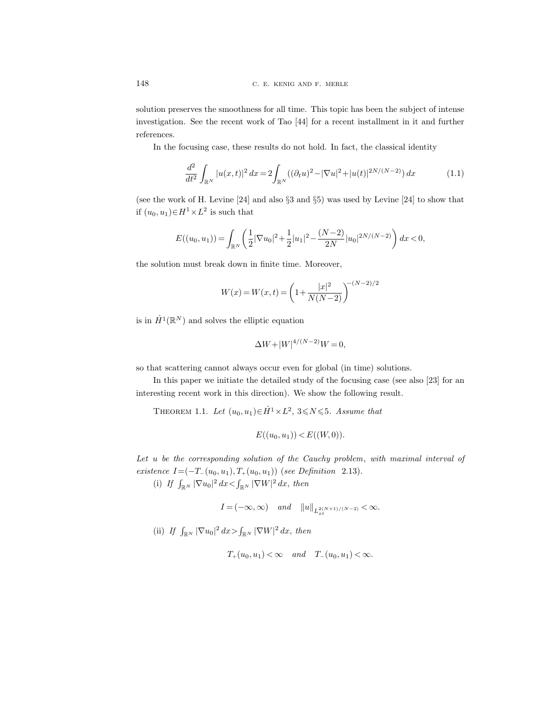solution preserves the smoothness for all time. This topic has been the subject of intense investigation. See the recent work of Tao [44] for a recent installment in it and further references.

In the focusing case, these results do not hold. In fact, the classical identity

$$
\frac{d^2}{dt^2} \int_{\mathbb{R}^N} |u(x,t)|^2 dx = 2 \int_{\mathbb{R}^N} ((\partial_t u)^2 - |\nabla u|^2 + |u(t)|^{2N/(N-2)}) dx \tag{1.1}
$$

(see the work of H. Levine [24] and also §3 and §5) was used by Levine [24] to show that if  $(u_0, u_1) \in H^1 \times L^2$  is such that

$$
E((u_0, u_1)) = \int_{\mathbb{R}^N} \left( \frac{1}{2} |\nabla u_0|^2 + \frac{1}{2} |u_1|^2 - \frac{(N-2)}{2N} |u_0|^{2N/(N-2)} \right) dx < 0,
$$

the solution must break down in finite time. Moreover,

$$
W(x) = W(x,t) = \left(1 + \frac{|x|^2}{N(N-2)}\right)^{-(N-2)/2}
$$

is in  $\dot{H}^1(\mathbb{R}^N)$  and solves the elliptic equation

$$
\Delta W + |W|^{4/(N-2)}W = 0,
$$

so that scattering cannot always occur even for global (in time) solutions.

In this paper we initiate the detailed study of the focusing case (see also [23] for an interesting recent work in this direction). We show the following result.

THEOREM 1.1. Let  $(u_0, u_1) \in \dot{H}^1 \times L^2$ ,  $3 \le N \le 5$ . Assume that

$$
E((u_0, u_1)) < E((W, 0)).
$$

Let u be the corresponding solution of the Cauchy problem, with maximal interval of existence  $I=(-T_-(u_0, u_1), T_+(u_0, u_1))$  (see Definition 2.13).

(i) If  $\int_{\mathbb{R}^N} |\nabla u_0|^2 dx < \int_{\mathbb{R}^N} |\nabla W|^2 dx$ , then

 $I = (-\infty, \infty)$  and  $||u||_{L_{xt}^{2(N+1)/(N-2)}} < \infty$ .

(ii) If  $\int_{\mathbb{R}^N} |\nabla u_0|^2 dx > \int_{\mathbb{R}^N} |\nabla W|^2 dx$ , then

$$
T_+(u_0, u_1) < \infty \quad and \quad T_-(u_0, u_1) < \infty.
$$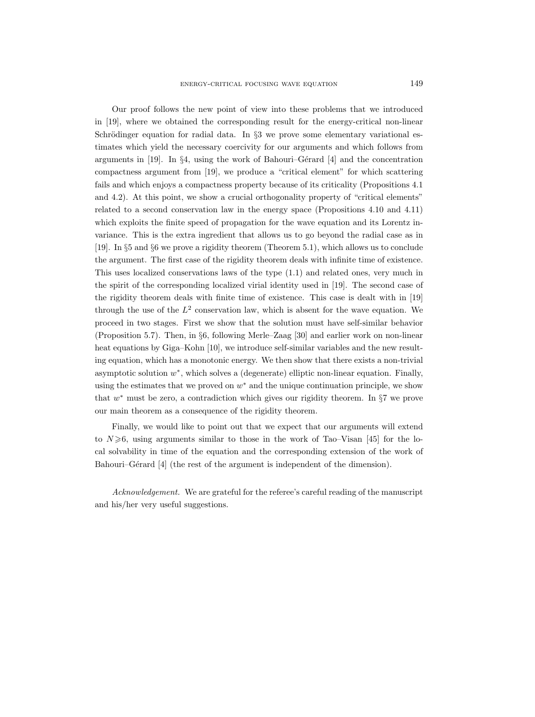Our proof follows the new point of view into these problems that we introduced in [19], where we obtained the corresponding result for the energy-critical non-linear Schrödinger equation for radial data. In  $\S$ 3 we prove some elementary variational estimates which yield the necessary coercivity for our arguments and which follows from arguments in  $[19]$ . In §4, using the work of Bahouri–Gérard  $[4]$  and the concentration compactness argument from [19], we produce a "critical element" for which scattering fails and which enjoys a compactness property because of its criticality (Propositions 4.1 and 4.2). At this point, we show a crucial orthogonality property of "critical elements" related to a second conservation law in the energy space (Propositions 4.10 and 4.11) which exploits the finite speed of propagation for the wave equation and its Lorentz invariance. This is the extra ingredient that allows us to go beyond the radial case as in [19]. In §5 and §6 we prove a rigidity theorem (Theorem 5.1), which allows us to conclude the argument. The first case of the rigidity theorem deals with infinite time of existence. This uses localized conservations laws of the type (1.1) and related ones, very much in the spirit of the corresponding localized virial identity used in [19]. The second case of the rigidity theorem deals with finite time of existence. This case is dealt with in [19] through the use of the  $L^2$  conservation law, which is absent for the wave equation. We proceed in two stages. First we show that the solution must have self-similar behavior (Proposition 5.7). Then, in §6, following Merle–Zaag [30] and earlier work on non-linear heat equations by Giga–Kohn [10], we introduce self-similar variables and the new resulting equation, which has a monotonic energy. We then show that there exists a non-trivial asymptotic solution  $w^*$ , which solves a (degenerate) elliptic non-linear equation. Finally, using the estimates that we proved on  $w^*$  and the unique continuation principle, we show that  $w^*$  must be zero, a contradiction which gives our rigidity theorem. In  $\S7$  we prove our main theorem as a consequence of the rigidity theorem.

Finally, we would like to point out that we expect that our arguments will extend to  $N \ge 6$ , using arguments similar to those in the work of Tao–Visan [45] for the local solvability in time of the equation and the corresponding extension of the work of Bahouri–Gérard [4] (the rest of the argument is independent of the dimension).

Acknowledgement. We are grateful for the referee's careful reading of the manuscript and his/her very useful suggestions.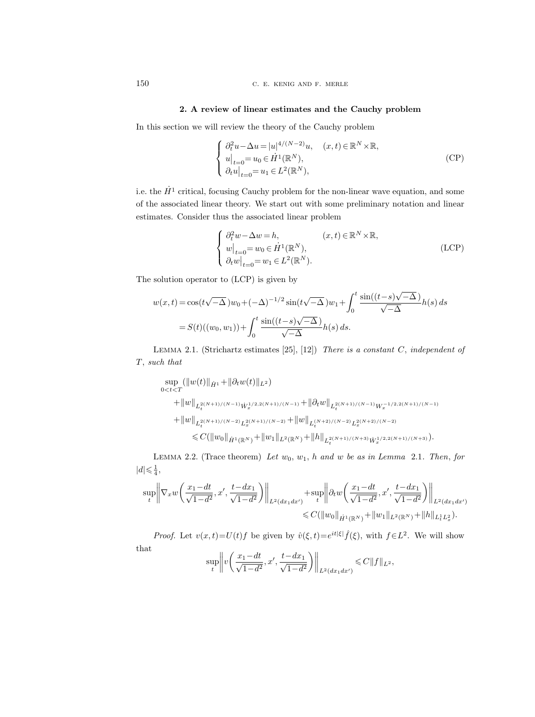## 2. A review of linear estimates and the Cauchy problem

In this section we will review the theory of the Cauchy problem

$$
\begin{cases}\n\partial_t^2 u - \Delta u = |u|^{4/(N-2)} u, & (x, t) \in \mathbb{R}^N \times \mathbb{R}, \\
u|_{t=0} = u_0 \in \dot{H}^1(\mathbb{R}^N), \\
\partial_t u|_{t=0} = u_1 \in L^2(\mathbb{R}^N),\n\end{cases}
$$
\n(CP)

i.e. the  $\dot{H}^1$  critical, focusing Cauchy problem for the non-linear wave equation, and some of the associated linear theory. We start out with some preliminary notation and linear estimates. Consider thus the associated linear problem

$$
\begin{cases}\n\partial_t^2 w - \Delta w = h, & (x, t) \in \mathbb{R}^N \times \mathbb{R}, \\
w|_{t=0} = w_0 \in \dot{H}^1(\mathbb{R}^N), \\
\partial_t w|_{t=0} = w_1 \in L^2(\mathbb{R}^N).\n\end{cases}
$$
\n(LCP)

The solution operator to (LCP) is given by

$$
w(x,t) = \cos(t\sqrt{-\Delta})w_0 + (-\Delta)^{-1/2}\sin(t\sqrt{-\Delta})w_1 + \int_0^t \frac{\sin((t-s)\sqrt{-\Delta})}{\sqrt{-\Delta}}h(s) ds
$$
  
=  $S(t)((w_0, w_1)) + \int_0^t \frac{\sin((t-s)\sqrt{-\Delta})}{\sqrt{-\Delta}}h(s) ds.$ 

LEMMA 2.1. (Strichartz estimates  $[25]$ ,  $[12]$ ) There is a constant C, independent of T, such that

$$
\sup_{0 < t < T} (\|w(t)\|_{\dot{H}^1} + \|\partial_t w(t)\|_{L^2})
$$
\n
$$
+ \|w\|_{L_t^{2(N+1)/(N-1)} \dot{W}_x^{1/2,2(N+1)/(N-1)}} + \|\partial_t w\|_{L_t^{2(N+1)/(N-1)} W_x^{-1/2,2(N+1)/(N-1)}}
$$
\n
$$
+ \|w\|_{L_t^{2(N+1)/(N-2)} L_x^{2(N+1)/(N-2)}} + \|w\|_{L_t^{(N+2)/(N-2)} L_x^{2(N+2)/(N-2)}}
$$
\n
$$
\leq C (\|w_0\|_{\dot{H}^1(\mathbb{R}^N)} + \|w_1\|_{L^2(\mathbb{R}^N)} + \|h\|_{L_t^{2(N+1)/(N+3)} \dot{W}_x^{1/2,2(N+1)/(N+3)}}).
$$

LEMMA 2.2. (Trace theorem) Let  $w_0$ ,  $w_1$ , h and w be as in Lemma 2.1. Then, for  $|d| \leqslant \frac{1}{4},$ 

$$
\sup_{t} \left\| \nabla_x w \left( \frac{x_1 - dt}{\sqrt{1 - d^2}}, x', \frac{t - dx_1}{\sqrt{1 - d^2}} \right) \right\|_{L^2(dx_1 dx')} + \sup_{t} \left\| \partial_t w \left( \frac{x_1 - dt}{\sqrt{1 - d^2}}, x', \frac{t - dx_1}{\sqrt{1 - d^2}} \right) \right\|_{L^2(dx_1 dx')} \n\leq C(\|w_0\|_{\dot{H}^1(\mathbb{R}^N)} + \|w_1\|_{L^2(\mathbb{R}^N)} + \|h\|_{L^1_t L^2_x}).
$$

*Proof.* Let  $v(x,t) = U(t) f$  be given by  $\hat{v}(\xi, t) = e^{it|\xi|} \hat{f}(\xi)$ , with  $f \in L^2$ . We will show that

$$
\sup_{t} \left\| v \left( \frac{x_1 - dt}{\sqrt{1 - d^2}}, x', \frac{t - dx_1}{\sqrt{1 - d^2}} \right) \right\|_{L^2(dx_1 dx')} \leqslant C \| f \|_{L^2},
$$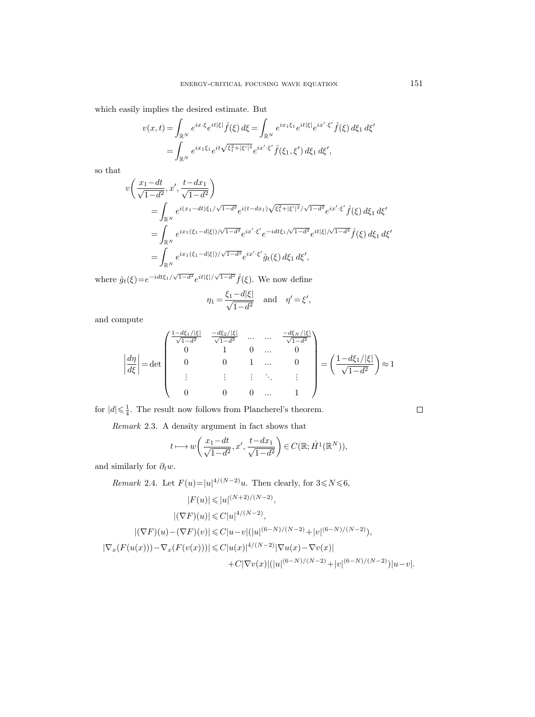which easily implies the desired estimate. But

$$
v(x,t) = \int_{\mathbb{R}^N} e^{ix \cdot \xi} e^{it|\xi|} \hat{f}(\xi) d\xi = \int_{\mathbb{R}^N} e^{ix_1\xi_1} e^{it|\xi|} e^{ix' \cdot \xi'} \hat{f}(\xi) d\xi_1 d\xi'
$$
  
= 
$$
\int_{\mathbb{R}^N} e^{ix_1\xi_1} e^{it\sqrt{\xi_1^2 + |\xi'|^2}} e^{ix' \cdot \xi'} \hat{f}(\xi_1, \xi') d\xi_1 d\xi',
$$

so that

$$
v\left(\frac{x_1 - dt}{\sqrt{1 - d^2}}, x', \frac{t - dx_1}{\sqrt{1 - d^2}}\right)
$$
  
= 
$$
\int_{\mathbb{R}^N} e^{i(x_1 - dt)\xi_1/\sqrt{1 - d^2}} e^{i(t - dx_1)\sqrt{\xi_1^2 + |\xi'|^2}/\sqrt{1 - d^2}} e^{ix'\cdot\xi'} \hat{f}(\xi) d\xi_1 d\xi'
$$
  
= 
$$
\int_{\mathbb{R}^N} e^{ix_1(\xi_1 - d|\xi|)/\sqrt{1 - d^2}} e^{ix'\cdot\xi'} e^{-idt\xi_1/\sqrt{1 - d^2}} e^{it|\xi|/\sqrt{1 - d^2}} \hat{f}(\xi) d\xi_1 d\xi'
$$
  
= 
$$
\int_{\mathbb{R}^N} e^{ix_1(\xi_1 - d|\xi|)/\sqrt{1 - d^2}} e^{ix'\cdot\xi'} \hat{g}_t(\xi) d\xi_1 d\xi',
$$

where  $\hat{g}_t(\xi) = e^{-idt\xi_1/\sqrt{1-d^2}} e^{it|\xi|/\sqrt{1-d^2}} \hat{f}(\xi)$ . We now define

$$
\eta_1 = \frac{\xi_1 - d|\xi|}{\sqrt{1 - d^2}} \quad \text{and} \quad \eta' = \xi',
$$

and compute

$$
\left| \frac{d\eta}{d\xi} \right| = \det \begin{pmatrix} \frac{1 - d\xi_1/|\xi|}{\sqrt{1 - d^2}} & \frac{-d\xi_2/|\xi|}{\sqrt{1 - d^2}} & \dots & \dots & \frac{-d\xi_N/|\xi|}{\sqrt{1 - d^2}} \\ 0 & 1 & 0 & \dots & 0 \\ 0 & 0 & 1 & \dots & 0 \\ \vdots & \vdots & \vdots & \ddots & \vdots \\ 0 & 0 & 0 & \dots & 1 \end{pmatrix} = \left( \frac{1 - d\xi_1/|\xi|}{\sqrt{1 - d^2}} \right) \approx 1
$$

for  $|d| \leq \frac{1}{4}$ . The result now follows from Plancherel's theorem.

Remark 2.3. A density argument in fact shows that

$$
t \longmapsto w\left(\frac{x_1 - dt}{\sqrt{1 - d^2}}, x', \frac{t - dx_1}{\sqrt{1 - d^2}}\right) \in C(\mathbb{R}; \dot{H}^1(\mathbb{R}^N)),
$$

and similarly for  $\partial_t w$ .

*Remark* 2.4. Let  $F(u)=|u|^{4/(N-2)}u$ . Then clearly, for  $3 \le N \le 6$ ,  $|F(u)| \leqslant |u|^{(N+2)/(N-2)},$  $|(\nabla F)(u)| \leqslant C |u|^{4/(N-2)},$  $|(\nabla F)(u) - (\nabla F)(v)| \leq C |u - v| (|u|^{(6-N)/(N-2)} + |v|^{(6-N)/(N-2)}),$  $|\nabla_x(F(u(x)))-\nabla_x(F(v(x)))|\leqslant C|u(x)|^{4/(N-2)}|\nabla u(x)-\nabla v(x)|$  $+C|\nabla v(x)|(|u|^{(6-N)/(N-2)}+|v|^{(6-N)/(N-2)})|u-v|.$ 

 $\Box$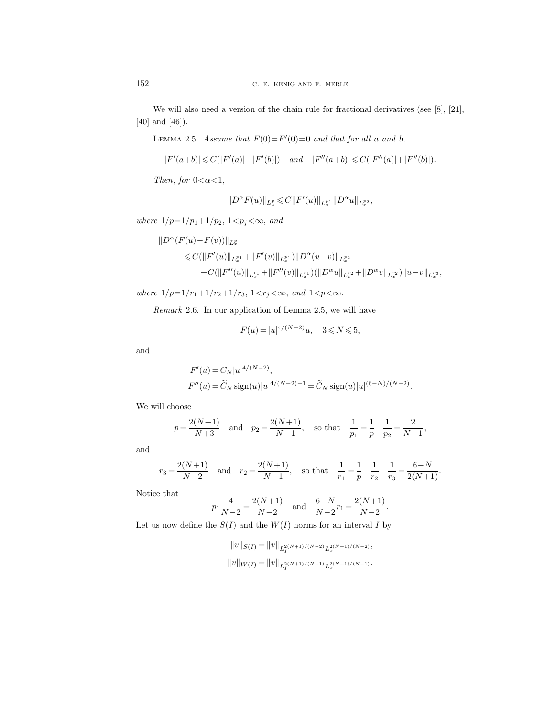We will also need a version of the chain rule for fractional derivatives (see [8], [21], [40] and [46]).

LEMMA 2.5. Assume that  $F(0) = F'(0) = 0$  and that for all a and b,

$$
|F'(a+b)|\leqslant C(|F'(a)|+|F'(b)|)\quad\text{ and}\quad |F''(a+b)|\leqslant C(|F''(a)|+|F''(b)|).
$$

Then, for  $0<\alpha<1$ ,

$$
||D^{\alpha} F(u)||_{L_x^p} \leqslant C||F'(u)||_{L_x^{p_1}}||D^{\alpha} u||_{L_x^{p_2}},
$$

where  $1/p=1/p_1+1/p_2$ ,  $1 < p_j < \infty$ , and

$$
\begin{aligned} ||D^{\alpha}(F(u)-F(v))||_{L_x^p} \\ &\leqslant C(\|F'(u)\|_{L_x^{p_1}}+\|F'(v)\|_{L_x^{p_1}})\|D^{\alpha}(u-v)\|_{L_x^{p_2}} \\ &\quad +C(\|F''(u)\|_{L_x^{r_1}}+\|F''(v)\|_{L_x^{r_1}})(\|D^{\alpha}u\|_{L_x^{r_2}}+\|D^{\alpha}v\|_{L_x^{r_2}})\|u-v\|_{L_x^{r_3}}, \end{aligned}
$$

where  $1/p\!=\!1/r_1\!+\!1/r_2\!+\!1/r_3,\,1\!<\!r_j\!<\!\infty,\,and\,1\!<\!p\!<\!\infty.$ 

Remark 2.6. In our application of Lemma 2.5, we will have

$$
F(u) = |u|^{4/(N-2)}u, \quad 3 \le N \le 5,
$$

and

$$
F'(u) = C_N |u|^{4/(N-2)},
$$
  
\n
$$
F''(u) = \widetilde{C}_N \operatorname{sign}(u) |u|^{4/(N-2)-1} = \widetilde{C}_N \operatorname{sign}(u) |u|^{(6-N)/(N-2)}.
$$

We will choose

$$
p = \frac{2(N+1)}{N+3}
$$
 and  $p_2 = \frac{2(N+1)}{N-1}$ , so that  $\frac{1}{p_1} = \frac{1}{p} - \frac{1}{p_2} = \frac{2}{N+1}$ ,

and

$$
r_3 = \frac{2(N+1)}{N-2}
$$
 and  $r_2 = \frac{2(N+1)}{N-1}$ , so that  $\frac{1}{r_1} = \frac{1}{p} - \frac{1}{r_2} - \frac{1}{r_3} = \frac{6-N}{2(N+1)}$ .

Notice that

$$
p_1 \frac{4}{N-2} = \frac{2(N+1)}{N-2}
$$
 and  $\frac{6-N}{N-2}r_1 = \frac{2(N+1)}{N-2}$ 

.

Let us now define the  $S(I)$  and the  $W(I)$  norms for an interval I by

$$
||v||_{S(I)} = ||v||_{L_I^{2(N+1)/(N-2)}L_x^{2(N+1)/(N-2)}},
$$
  

$$
||v||_{W(I)} = ||v||_{L_I^{2(N+1)/(N-1)}L_x^{2(N+1)/(N-1)}}.
$$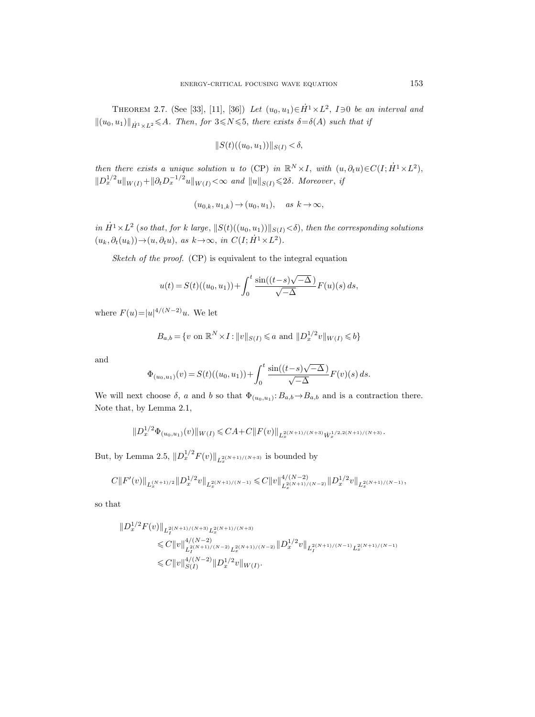THEOREM 2.7. (See [33], [11], [36]) Let  $(u_0, u_1) \in \dot{H}^1 \times L^2$ ,  $I \ni 0$  be an interval and  $\|(u_0, u_1)\|_{\dot{H}^1 \times L^2} \leq A$ . Then, for  $3 \leq N \leq 5$ , there exists  $\delta = \delta(A)$  such that if

$$
||S(t)((u_0, u_1))||_{S(I)} < \delta,
$$

then there exists a unique solution u to (CP) in  $\mathbb{R}^N \times I$ , with  $(u, \partial_t u) \in C(I; \dot{H}^1 \times L^2)$ ,  $||D_x^{1/2}u||_{W(I)} + ||\partial_t D_x^{-1/2}u||_{W(I)} < \infty$  and  $||u||_{S(I)} \leq 2\delta$ . Moreover, if

$$
(u_{0,k}, u_{1,k}) \to (u_0, u_1), \quad \text{as } k \to \infty,
$$

in  $\dot{H}^1 \times L^2$  (so that, for k large,  $||S(t)((u_0, u_1))||_{S(I)} < \delta$ ), then the corresponding solutions  $(u_k, \partial_t(u_k)) \rightarrow (u, \partial_t u), \text{ as } k \rightarrow \infty, \text{ in } C(I; \dot{H}^1 \times L^2).$ 

Sketch of the proof. (CP) is equivalent to the integral equation

$$
u(t) = S(t)((u_0, u_1)) + \int_0^t \frac{\sin((t - s)\sqrt{-\Delta})}{\sqrt{-\Delta}} F(u)(s) ds,
$$

where  $F(u) = |u|^{4/(N-2)}u$ . We let

$$
B_{a,b} = \{v \text{ on } \mathbb{R}^N \times I : ||v||_{S(I)} \le a \text{ and } ||D_x^{1/2}v||_{W(I)} \le b\}
$$

and

$$
\Phi_{(u_0, u_1)}(v) = S(t)((u_0, u_1)) + \int_0^t \frac{\sin((t - s)\sqrt{-\Delta})}{\sqrt{-\Delta}} F(v)(s) ds.
$$

We will next choose  $\delta$ , a and b so that  $\Phi_{(u_0, u_1)}: B_{a,b} \to B_{a,b}$  and is a contraction there. Note that, by Lemma 2.1,

$$
||D_x^{1/2}\Phi_{(u_0,u_1)}(v)||_{W(I)} \leq C A + C ||F(v)||_{L_x^{2(N+1)/(N+3)}\dot{W}_x^{1/2,2(N+1)/(N+3)}}.
$$

But, by Lemma 2.5,  $||D_x^{1/2}F(v)||_{L_x^{2(N+1)/(N+3)}}$  is bounded by

$$
C||F'(v)||_{L_x^{(N+1)/2}}||D_x^{1/2}v||_{L_x^{2(N+1)/(N-1)}} \leq C||v||_{L_x^{2(N+1)/(N-2)}}^{4/(N-2)}||D_x^{1/2}v||_{L_x^{2(N+1)/(N-1)}},
$$

so that

$$
\label{eq:2.1} \begin{split} \| D_x^{1/2} F(v) \|_{L_I^{2(N+1)/(N+3)} L_x^{2(N+1)/(N+3)}} \\ & \leqslant C \| v \|_{L_I^{2(N+1)/(N-2)} L_x^{2(N+1)/(N-2)}}^{4/(N-2)} \| D_x^{1/2} v \|_{L_I^{2(N+1)/(N-1)} L_x^{2(N+1)/(N-1)}} \\ & \leqslant C \| v \|_{S(I)}^{4/(N-2)} \| D_x^{1/2} v \|_{W(I)}. \end{split}
$$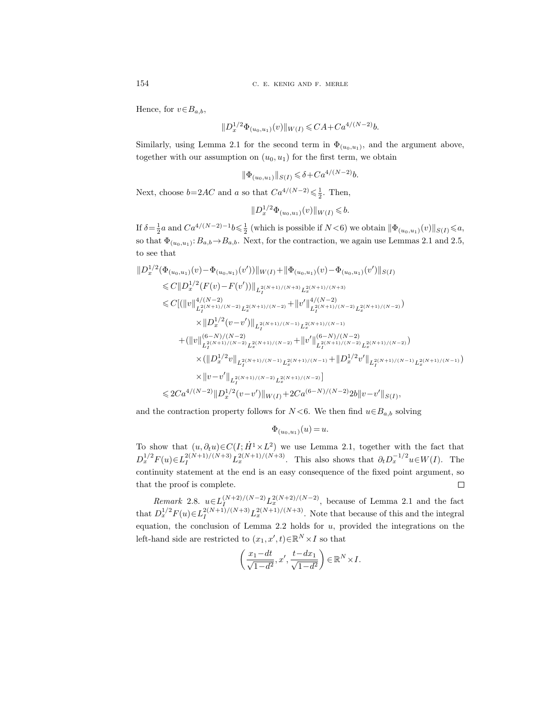154 C. E. KENIG AND F. MERLE

Hence, for  $v \in B_{a,b}$ ,

$$
||D_x^{1/2}\Phi_{(u_0,u_1)}(v)||_{W(I)} \leqslant CA + Ca^{4/(N-2)}b.
$$

Similarly, using Lemma 2.1 for the second term in  $\Phi_{(u_0, u_1)}$ , and the argument above, together with our assumption on  $(u_0, u_1)$  for the first term, we obtain

$$
\|\Phi_{(u_0, u_1)}\|_{S(I)} \leq \delta + C a^{4/(N-2)} b.
$$

Next, choose  $b=2AC$  and a so that  $Ca^{4/(N-2)} \leq \frac{1}{2}$ . Then,

$$
||D_x^{1/2}\Phi_{(u_0,u_1)}(v)||_{W(I)} \leqslant b.
$$

If  $\delta = \frac{1}{2}a$  and  $Ca^{4/(N-2)-1}b \leq \frac{1}{2}$  (which is possible if  $N < 6$ ) we obtain  $\|\Phi_{(u_0, u_1)}(v)\|_{S(I)} \leq a$ , so that  $\Phi_{(u_0, u_1)}: B_{a,b} \to B_{a,b}$ . Next, for the contraction, we again use Lemmas 2.1 and 2.5, to see that

$$
||D_x^{1/2}(\Phi_{(u_0, u_1)}(v) - \Phi_{(u_0, u_1)}(v'))||_{W(I)} + ||\Phi_{(u_0, u_1)}(v) - \Phi_{(u_0, u_1)}(v')||_{S(I)}
$$
  
\n
$$
\leq C||D_x^{1/2}(F(v) - F(v'))||_{L_I^{2(N+1)/(N+3)}L_x^{2(N+1)/(N+3)}}\n
$$
\leq C[(||v||_{L_I^{2(N+1)/(N-2)}L_x^{2(N+1)/(N-2)}}^{4/(N-2)} + ||v'||_{L_I^{2(N+1)/(N-2)}L_x^{2(N+1)/(N-2)}}^{4/(N-2)})
$$
  
\n
$$
\times ||D_x^{1/2}(v - v')||_{L_I^{2(N+1)/(N-1)}L_x^{2(N+1)/(N-1)}}
$$
  
\n
$$
+ (||v||_{L_I^{2(N+1)/(N-2)}L_x^{2(N+1)/(N-2)}}^{(6-N)/(N-2)} + ||v'||_{L_I^{2(N+1)/(N-2)}L_x^{2(N+1)/(N-2)}}^{(6-N)/(N-2)})
$$
  
\n
$$
\times (||D_x^{1/2}v||_{L_I^{2(N+1)/(N-1)}L_x^{2(N+1)/(N-1)}} + ||D_x^{1/2}v'||_{L_I^{2(N+1)/(N-1)}L_x^{2(N+1)/(N-1)}})
$$
  
\n
$$
\times ||v - v'||_{L_I^{2(N+1)/(N-2)}L_x^{2(N+1)/(N-2)}}|
$$
  
\n
$$
\leq 2Ca^{4/(N-2)}||D_x^{1/2}(v - v')||_{W(I)} + 2Ca^{(6-N)/(N-2)}2b||v - v'||_{S(I)},
$$
$$

and the contraction property follows for  $N < 6$ . We then find  $u \in B_{a,b}$  solving

$$
\Phi_{(u_0,u_1)}(u) = u.
$$

To show that  $(u, \partial_t u) \in C(I; \dot{H}^1 \times L^2)$  we use Lemma 2.1, together with the fact that  $D_x^{1/2}F(u) \in L_I^{2(N+1)/(N+3)}L_x^{2(N+1)/(N+3)}$ . This also shows that  $\partial_t D_x^{-1/2}u \in W(I)$ . The continuity statement at the end is an easy consequence of the fixed point argument, so that the proof is complete.  $\Box$ 

*Remark* 2.8.  $u \in L_I^{(N+2)/(N-2)} L_x^{2(N+2)/(N-2)}$ , because of Lemma 2.1 and the fact that  $D_x^{1/2}F(u) \in L_I^{2(N+1)/(N+3)}L_x^{2(N+1)/(N+3)}$ . Note that because of this and the integral equation, the conclusion of Lemma 2.2 holds for u, provided the integrations on the left-hand side are restricted to  $(x_1, x', t) \in \mathbb{R}^N \times I$  so that

$$
\left(\frac{x_1 - dt}{\sqrt{1 - d^2}}, x', \frac{t - dx_1}{\sqrt{1 - d^2}}\right) \in \mathbb{R}^N \times I.
$$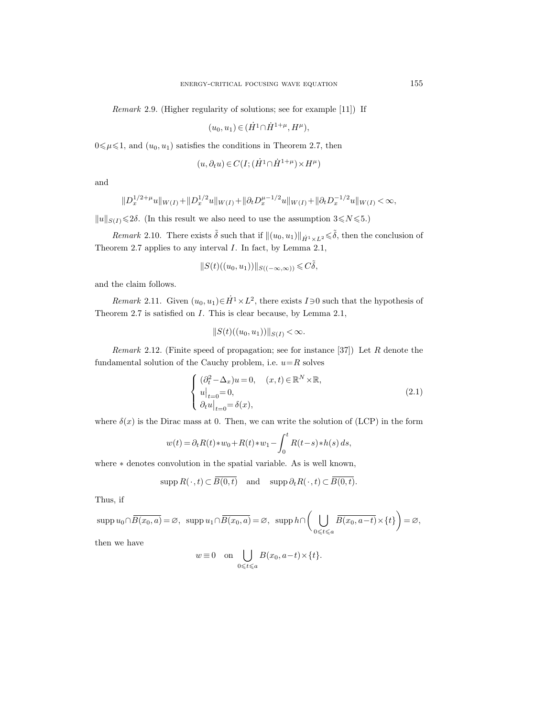Remark 2.9. (Higher regularity of solutions; see for example [11]) If

$$
(u_0, u_1) \in (\dot{H}^1 \cap \dot{H}^{1+\mu}, H^{\mu}),
$$

 $0 \le \mu \le 1$ , and  $(u_0, u_1)$  satisfies the conditions in Theorem 2.7, then

$$
(u,\partial_t u)\in C\big(I;(\dot{H}^1\cap \dot{H}^{1+\mu})\!\times\! H^\mu\big)
$$

and

$$
||D_x^{1/2+\mu}u||_{W(I)} + ||D_x^{1/2}u||_{W(I)} + ||\partial_t D_x^{\mu-1/2}u||_{W(I)} + ||\partial_t D_x^{-1/2}u||_{W(I)} < \infty,
$$

 $\|u\|_{S(I)}{\leq}2\delta.$  (In this result we also need to use the assumption  $3{\leq}N{\leq}5.$ 

Remark 2.10. There exists  $\tilde{\delta}$  such that if  $\|(u_0, u_1)\|_{\dot{H}^1 \times L^2} \leq \tilde{\delta}$ , then the conclusion of Theorem 2.7 applies to any interval I. In fact, by Lemma 2.1,

$$
||S(t)((u_0, u_1))||_{S((-\infty,\infty))} \leqslant C\tilde{\delta},
$$

and the claim follows.

*Remark* 2.11. Given  $(u_0, u_1) \in \dot{H}^1 \times L^2$ , there exists  $I \ni 0$  such that the hypothesis of Theorem 2.7 is satisfied on I. This is clear because, by Lemma 2.1,

$$
||S(t)((u_0, u_1))||_{S(I)} < \infty.
$$

Remark 2.12. (Finite speed of propagation; see for instance  $[37]$ ) Let R denote the fundamental solution of the Cauchy problem, i.e.  $u=R$  solves

$$
\begin{cases}\n(\partial_t^2 - \Delta_x)u = 0, & (x, t) \in \mathbb{R}^N \times \mathbb{R}, \\
u|_{t=0} = 0, & (2.1) \\
\partial_t u|_{t=0} = \delta(x),\n\end{cases}
$$

where  $\delta(x)$  is the Dirac mass at 0. Then, we can write the solution of (LCP) in the form

$$
w(t) = \partial_t R(t) * w_0 + R(t) * w_1 - \int_0^t R(t - s) * h(s) \, ds,
$$

where ∗ denotes convolution in the spatial variable. As is well known,

$$
\operatorname{supp} R(\,\cdot\,,t)\subset \overline{B(0,t)}\quad\text{and}\quad\operatorname{supp}\partial_t R(\,\cdot\,,t)\subset\overline{B(0,t)}.
$$

Thus, if

$$
\operatorname{supp} u_0 \cap \overline{B(x_0, a)} = \varnothing, \ \ \operatorname{supp} u_1 \cap \overline{B(x_0, a)} = \varnothing, \ \ \operatorname{supp} h \cap \left( \bigcup_{0 \leq t \leq a} \overline{B(x_0, a-t)} \times \{t\} \right) = \varnothing,
$$

then we have

$$
w \equiv 0
$$
 on  $\bigcup_{0 \leq t \leq a} B(x_0, a-t) \times \{t\}.$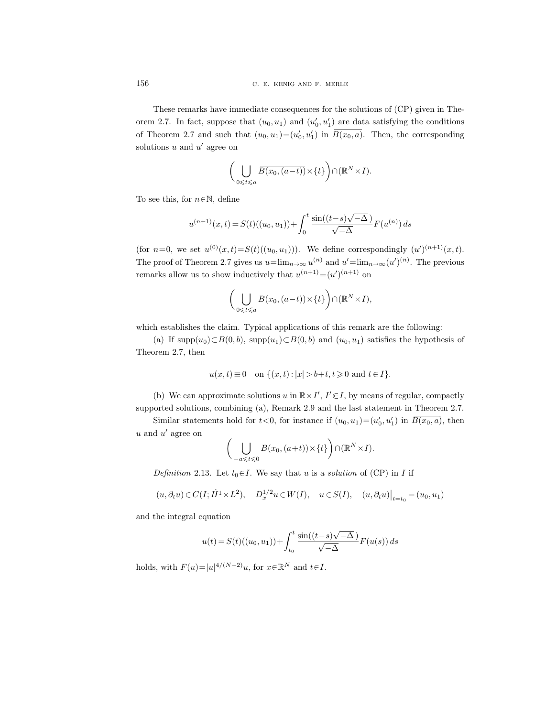These remarks have immediate consequences for the solutions of (CP) given in Theorem 2.7. In fact, suppose that  $(u_0, u_1)$  and  $(u'_0, u'_1)$  are data satisfying the conditions of Theorem 2.7 and such that  $(u_0, u_1) = (u'_0, u'_1)$  in  $B(x_0, a)$ . Then, the corresponding solutions  $u$  and  $u'$  agree on

$$
\bigg(\bigcup_{0\leqslant t\leqslant a}\overline{B(x_0,(a-t))}\times\{t\}\bigg)\cap(\mathbb{R}^N\times I).
$$

To see this, for  $n \in \mathbb{N}$ , define

$$
u^{(n+1)}(x,t) = S(t)((u_0, u_1)) + \int_0^t \frac{\sin((t-s)\sqrt{-\Delta})}{\sqrt{-\Delta}} F(u^{(n)}) ds
$$

(for  $n=0$ , we set  $u^{(0)}(x,t) = S(t)((u_0, u_1)))$ . We define correspondingly  $(u')^{(n+1)}(x,t)$ . The proof of Theorem 2.7 gives us  $u=\lim_{n\to\infty}u^{(n)}$  and  $u'=\lim_{n\to\infty}(u')^{(n)}$ . The previous remarks allow us to show inductively that  $u^{(n+1)} = (u')^{(n+1)}$  on

$$
\left(\bigcup_{0\leqslant t\leqslant a}B(x_0,(a-t))\times\{t\}\right)\cap(\mathbb{R}^N\times I),
$$

which establishes the claim. Typical applications of this remark are the following:

(a) If supp $(u_0) \subset B(0, b)$ , supp $(u_1) \subset B(0, b)$  and  $(u_0, u_1)$  satisfies the hypothesis of Theorem 2.7, then

$$
u(x,t) \equiv 0 \quad \text{on } \{(x,t): |x| > b+t, t \geq 0 \text{ and } t \in I\}.
$$

(b) We can approximate solutions u in  $\mathbb{R} \times I'$ ,  $I' \in I$ , by means of regular, compactly supported solutions, combining (a), Remark 2.9 and the last statement in Theorem 2.7.

Similar statements hold for  $t < 0$ , for instance if  $(u_0, u_1) = (u'_0, u'_1)$  in  $\overline{B(x_0, a)}$ , then  $u$  and  $u'$  agree on

$$
\left(\bigcup_{-a\leqslant t\leqslant 0}B(x_0,(a+t))\times\{t\}\right)\cap(\mathbb{R}^N\times I).
$$

Definition 2.13. Let  $t_0 \in I$ . We say that u is a solution of (CP) in I if

$$
(u, \partial_t u) \in C(I; \dot{H}^1 \times L^2), \quad D_x^{1/2} u \in W(I), \quad u \in S(I), \quad (u, \partial_t u)|_{t=t_0} = (u_0, u_1)
$$

and the integral equation

$$
u(t) = S(t)((u_0, u_1)) + \int_{t_0}^t \frac{\sin((t - s)\sqrt{-\Delta})}{\sqrt{-\Delta}} F(u(s)) ds
$$

holds, with  $F(u)=|u|^{4/(N-2)}u$ , for  $x\in\mathbb{R}^N$  and  $t\in I$ .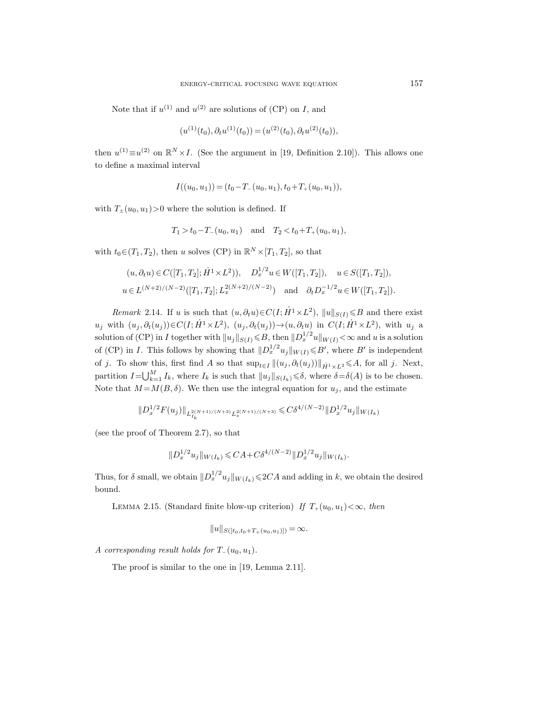Note that if  $u^{(1)}$  and  $u^{(2)}$  are solutions of (CP) on I, and

$$
(u^{(1)}(t_0), \partial_t u^{(1)}(t_0)) = (u^{(2)}(t_0), \partial_t u^{(2)}(t_0)),
$$

then  $u^{(1)} \equiv u^{(2)}$  on  $\mathbb{R}^N \times I$ . (See the argument in [19, Definition 2.10]). This allows one to define a maximal interval

 $I((u_0, u_1)) = (t_0 - T_-(u_0, u_1), t_0 + T_+(u_0, u_1)),$ 

with  $T_{\pm}(u_0, u_1)$  > 0 where the solution is defined. If

$$
T_1 > t_0 - T_-(u_0, u_1)
$$
 and  $T_2 < t_0 + T_+(u_0, u_1)$ ,

with  $t_0 \in (T_1, T_2)$ , then u solves (CP) in  $\mathbb{R}^N \times [T_1, T_2]$ , so that

$$
(u, \partial_t u) \in C([T_1, T_2]; \dot{H}^1 \times L^2)), \quad D_x^{1/2} u \in W([T_1, T_2]), \quad u \in S([T_1, T_2]),
$$
  

$$
u \in L^{(N+2)/(N-2)}([T_1, T_2]; L_x^{2(N+2)/(N-2)}) \quad \text{and} \quad \partial_t D_x^{-1/2} u \in W([T_1, T_2]).
$$

Remark 2.14. If u is such that  $(u, \partial_t u) \in C(I; \dot{H}^1 \times L^2)$ ,  $||u||_{S(I)} \le B$  and there exist  $u_j$  with  $(u_j, \partial_t(u_j))\in C(I; \dot{H}^1 \times L^2)$ ,  $(u_j, \partial_t(u_j))\rightarrow (u, \partial_t u)$  in  $C(I; \dot{H}^1 \times L^2)$ , with  $u_j$  a solution of (CP) in I together with  $||u_j||_{S(I)} \leq B$ , then  $||D_x^{1/2}u||_{W(I)} < \infty$  and u is a solution of (CP) in I. This follows by showing that  $||D_x^{1/2}u_j||_{W(I)} \leq B'$ , where  $B'$  is independent of j. To show this, first find A so that  $\sup_{t\in I} ||(u_j, \partial_t(u_j))||_{\dot{H}^1 \times L^2} \leq A$ , for all j. Next, partition  $I = \bigcup_{k=1}^{M} I_k$ , where  $I_k$  is such that  $||u_j||_{S(I_k)} \leq \delta$ , where  $\delta = \delta(A)$  is to be chosen. Note that  $M = M(B, \delta)$ . We then use the integral equation for  $u_j$ , and the estimate

$$
||D_x^{1/2}F(u_j)||_{L^{2(N+1)/(N+3)}_{I_k}L^{2(N+1)/(N+3)}_x}\leq C\delta^{4/(N-2)}||D_x^{1/2}u_j||_{W(I_k)}
$$

(see the proof of Theorem 2.7), so that

$$
||D_x^{1/2} u_j||_{W(I_k)} \leq C A + C \delta^{4/(N-2)} ||D_x^{1/2} u_j||_{W(I_k)}.
$$

Thus, for  $\delta$  small, we obtain  $||D_x^{1/2}u_j||_{W(I_k)} \leq 2CA$  and adding in k, we obtain the desired bound.

LEMMA 2.15. (Standard finite blow-up criterion) If  $T_+(u_0, u_1) < \infty$ , then

$$
||u||_{S([t_0,t_0+T+(u_0,u_1)])}=\infty.
$$

A corresponding result holds for  $T_-(u_0, u_1)$ .

The proof is similar to the one in [19, Lemma 2.11].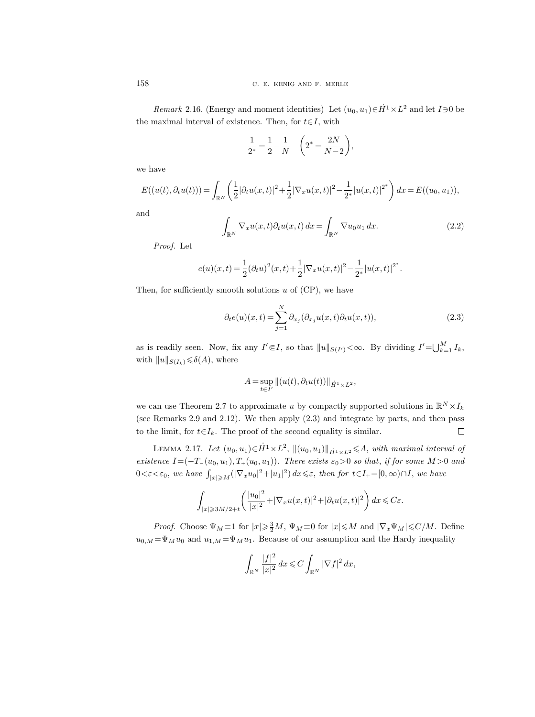*Remark* 2.16. (Energy and moment identities) Let  $(u_0, u_1) \in \dot{H}^1 \times L^2$  and let  $I \ni 0$  be the maximal interval of existence. Then, for  $t \in I$ , with

$$
\frac{1}{2^*} = \frac{1}{2} - \frac{1}{N} \quad \left( 2^* = \frac{2N}{N-2} \right),
$$

we have

$$
E((u(t),\partial_t u(t))) = \int_{\mathbb{R}^N} \left( \frac{1}{2} |\partial_t u(x,t)|^2 + \frac{1}{2} |\nabla_x u(x,t)|^2 - \frac{1}{2^*} |u(x,t)|^{2^*} \right) dx = E((u_0, u_1)),
$$

and

$$
\int_{\mathbb{R}^N} \nabla_x u(x, t) \partial_t u(x, t) dx = \int_{\mathbb{R}^N} \nabla u_0 u_1 dx.
$$
\n(2.2)

Proof. Let

$$
e(u)(x,t) = \frac{1}{2}(\partial_t u)^2(x,t) + \frac{1}{2}|\nabla_x u(x,t)|^2 - \frac{1}{2^*}|u(x,t)|^{2^*}.
$$

Then, for sufficiently smooth solutions  $u$  of  $(CP)$ , we have

$$
\partial_t e(u)(x,t) = \sum_{j=1}^N \partial_{x_j} (\partial_{x_j} u(x,t) \partial_t u(x,t)),
$$
\n(2.3)

as is readily seen. Now, fix any  $I' \in I$ , so that  $||u||_{S(I')} < \infty$ . By dividing  $I' = \bigcup_{k=1}^{M} I_k$ , with  $||u||_{S(I_k)} \leq \delta(A)$ , where

$$
A = \sup_{t \in I'} \|(u(t), \partial_t u(t))\|_{\dot{H}^1 \times L^2},
$$

we can use Theorem 2.7 to approximate u by compactly supported solutions in  $\mathbb{R}^N \times I_k$ (see Remarks 2.9 and 2.12). We then apply (2.3) and integrate by parts, and then pass to the limit, for  $t \in I_k$ . The proof of the second equality is similar.  $\Box$ 

LEMMA 2.17. Let  $(u_0, u_1) \in \dot{H}^1 \times L^2$ ,  $||(u_0, u_1)||_{\dot{H}^1 \times L^2} \leq A$ , with maximal interval of existence  $I=(-T_-(u_0, u_1), T_+(u_0, u_1))$ . There exists  $\varepsilon_0>0$  so that, if for some  $M>0$  and  $0<\varepsilon<\varepsilon_0$ , we have  $\int_{|x|\geqslant M}(|\nabla_x u_0|^2+|u_1|^2)\,dx\leqslant\varepsilon$ , then for  $t\in I_+=[0,\infty)\cap I$ , we have

$$
\int_{|x|\geqslant 3M/2+t}\biggl(\frac{|u_0|^2}{|x|^2}+|\nabla_x u(x,t)|^2+|\partial_t u(x,t)|^2\biggr)\,dx\leqslant C\varepsilon.
$$

*Proof.* Choose  $\Psi_M \equiv 1$  for  $|x| \geq \frac{3}{2}M$ ,  $\Psi_M \equiv 0$  for  $|x| \leq M$  and  $|\nabla_x \Psi_M| \leq C/M$ . Define  $u_{0,M} = \Psi_M u_0$  and  $u_{1,M} = \Psi_M u_1$ . Because of our assumption and the Hardy inequality

$$
\int_{\mathbb{R}^N} \frac{|f|^2}{|x|^2} dx \leqslant C \int_{\mathbb{R}^N} |\nabla f|^2 dx,
$$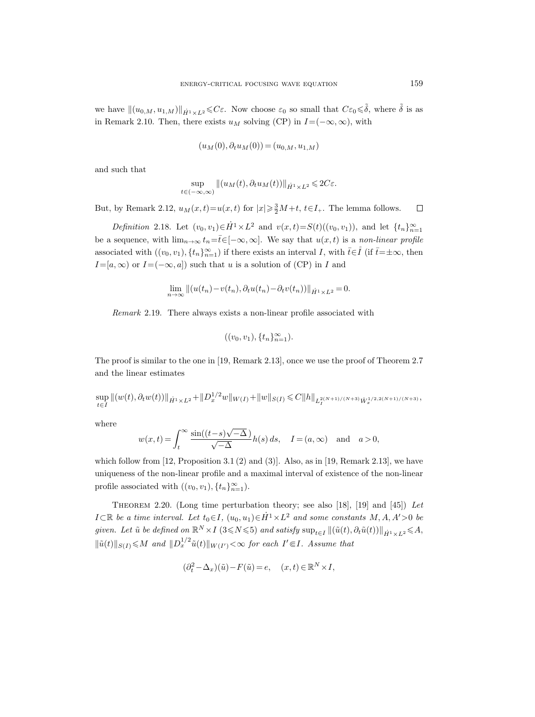we have  $\|(u_{0,M}, u_{1,M})\|_{\dot{H}^1 \times L^2} \leqslant C\varepsilon$ . Now choose  $\varepsilon_0$  so small that  $C\varepsilon_0 \leqslant \tilde{\delta}$ , where  $\tilde{\delta}$  is as in Remark 2.10. Then, there exists  $u_M$  solving (CP) in  $I=(-\infty,\infty)$ , with

$$
(u_M(0), \partial_t u_M(0)) = (u_{0,M}, u_{1,M})
$$

and such that

$$
\sup_{t \in (-\infty,\infty)} \|(u_M(t),\partial_t u_M(t))\|_{\dot{H}^1 \times L^2} \leq 2C\varepsilon.
$$

But, by Remark 2.12,  $u_M(x,t) = u(x,t)$  for  $|x| \geq \frac{3}{2}M+t$ ,  $t \in I_+$ . The lemma follows.  $\Box$ 

Definition 2.18. Let  $(v_0, v_1) \in \dot{H}^1 \times L^2$  and  $v(x,t) = S(t)((v_0, v_1))$ , and let  $\{t_n\}_{n=1}^{\infty}$ be a sequence, with  $\lim_{n\to\infty} t_n=\bar{t}\in[-\infty,\infty]$ . We say that  $u(x,t)$  is a non-linear profile associated with  $((v_0, v_1), \{t_n\}_{n=1}^{\infty})$  if there exists an interval I, with  $\bar{t} \in \mathring{I}$  (if  $\bar{t} = \pm \infty$ , then  $I=[a,\infty)$  or  $I=(-\infty,a]$  such that u is a solution of (CP) in I and

$$
\lim_{n \to \infty} ||(u(t_n) - v(t_n), \partial_t u(t_n) - \partial_t v(t_n))||_{\dot{H}^1 \times L^2} = 0.
$$

Remark 2.19. There always exists a non-linear profile associated with

$$
((v_0, v_1), \{t_n\}_{n=1}^{\infty}).
$$

The proof is similar to the one in [19, Remark 2.13], once we use the proof of Theorem 2.7 and the linear estimates

$$
\sup_{t\in I}||(w(t),\partial_t w(t))||_{\dot{H}^1\times L^2}+||D_x^{1/2}w||_{W(I)}+||w||_{S(I)}\leq C||h||_{L_I^{2(N+1)/(N+3)}\dot{W}_x^{1/2,2(N+1)/(N+3)}},
$$

where

$$
w(x,t) = \int_t^{\infty} \frac{\sin((t-s)\sqrt{-\Delta})}{\sqrt{-\Delta}} h(s) ds, \quad I = (a,\infty) \text{ and } a > 0,
$$

which follow from  $[12,$  Proposition 3.1  $(2)$  and  $(3)$ ]. Also, as in [19, Remark 2.13], we have uniqueness of the non-linear profile and a maximal interval of existence of the non-linear profile associated with  $((v_0, v_1), \{t_n\}_{n=1}^{\infty})$ .

THEOREM 2.20. (Long time perturbation theory; see also [18], [19] and [45]) Let  $I \subset \mathbb{R}$  be a time interval. Let  $t_0 \in I$ ,  $(u_0, u_1) \in \dot{H}^1 \times L^2$  and some constants  $M, A, A' > 0$  be given. Let  $\tilde{u}$  be defined on  $\mathbb{R}^N \times I$  (3 ≤ N ≤ 5) and satisfy  $\sup_{t \in I} ||(\tilde{u}(t), \partial_t \tilde{u}(t))||_{\dot{H}^1 \times L^2} \leq A$ ,  $\|\tilde{u}(t)\|_{S(I)} \leqslant M$  and  $\|D_x^{1/2}\tilde{u}(t)\|_{W(I')} < \infty$  for each  $I' \in I$ . Assume that

$$
(\partial_t^2 - \Delta_x)(\tilde{u}) - F(\tilde{u}) = e, \quad (x, t) \in \mathbb{R}^N \times I,
$$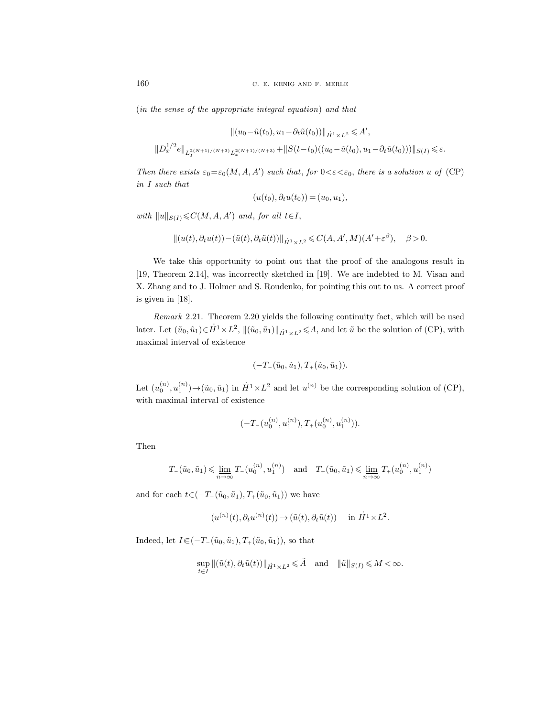(in the sense of the appropriate integral equation) and that

$$
||(u_0 - \tilde{u}(t_0), u_1 - \partial_t \tilde{u}(t_0))||_{\dot{H}^1 \times L^2} \leq A',
$$
  

$$
||D_x^{1/2}e||_{L_I^{2(N+1)/(N+3)}L_x^{2(N+1)/(N+3)}} + ||S(t-t_0)((u_0 - \tilde{u}(t_0), u_1 - \partial_t \tilde{u}(t_0)))||_{S(I)} \leq \varepsilon.
$$

Then there exists  $\varepsilon_0 = \varepsilon_0(M, A, A')$  such that, for  $0 < \varepsilon < \varepsilon_0$ , there is a solution u of (CP) in I such that

$$
(u(t_0), \partial_t u(t_0)) = (u_0, u_1),
$$

with  $||u||_{S(I)} \leqslant C(M, A, A')$  and, for all  $t \in I$ ,

$$
||(u(t),\partial_t u(t)) - (\tilde{u}(t),\partial_t \tilde{u}(t))||_{\dot{H}^1 \times L^2} \leq C(A,A',M)(A'+\varepsilon^{\beta}), \quad \beta > 0.
$$

We take this opportunity to point out that the proof of the analogous result in [19, Theorem 2.14], was incorrectly sketched in [19]. We are indebted to M. Visan and X. Zhang and to J. Holmer and S. Roudenko, for pointing this out to us. A correct proof is given in [18].

Remark 2.21. Theorem 2.20 yields the following continuity fact, which will be used later. Let  $(\tilde{u}_0, \tilde{u}_1) \in \dot{H}^1 \times L^2$ ,  $\|(\tilde{u}_0, \tilde{u}_1)\|_{\dot{H}^1 \times L^2} \leq A$ , and let  $\tilde{u}$  be the solution of (CP), with maximal interval of existence

$$
(-T_{-}(\tilde{u}_0,\tilde{u}_1),T_{+}(\tilde{u}_0,\tilde{u}_1)).
$$

Let  $(u_0^{(n)}, u_1^{(n)}) \to (\tilde{u}_0, \tilde{u}_1)$  in  $\dot{H}^1 \times L^2$  and let  $u^{(n)}$  be the corresponding solution of (CP), with maximal interval of existence

$$
(-T_{-}(u_0^{(n)}, u_1^{(n)}), T_{+}(u_0^{(n)}, u_1^{(n)})).
$$

Then

$$
T_{-}(\tilde{u}_0, \tilde{u}_1) \leq \lim_{n \to \infty} T_{-}(u_0^{(n)}, u_1^{(n)}) \quad \text{and} \quad T_{+}(\tilde{u}_0, \tilde{u}_1) \leq \lim_{n \to \infty} T_{+}(u_0^{(n)}, u_1^{(n)})
$$

and for each  $t\in(-T_-(\tilde{u}_0, \tilde{u}_1), T_+(\tilde{u}_0, \tilde{u}_1))$  we have

$$
(u^{(n)}(t), \partial_t u^{(n)}(t)) \to (\tilde{u}(t), \partial_t \tilde{u}(t)) \quad \text{ in } \dot{H}^1 \times L^2.
$$

Indeed, let  $I\in(-T_-(\tilde{u}_0,\tilde{u}_1), T_+(\tilde{u}_0,\tilde{u}_1)),$  so that

$$
\sup_{t\in I} \|(\tilde{u}(t),\partial_t \tilde{u}(t))\|_{\dot{H}^1\times L^2} \leq \tilde{A} \quad \text{and} \quad \|\tilde{u}\|_{S(I)} \leqslant M < \infty.
$$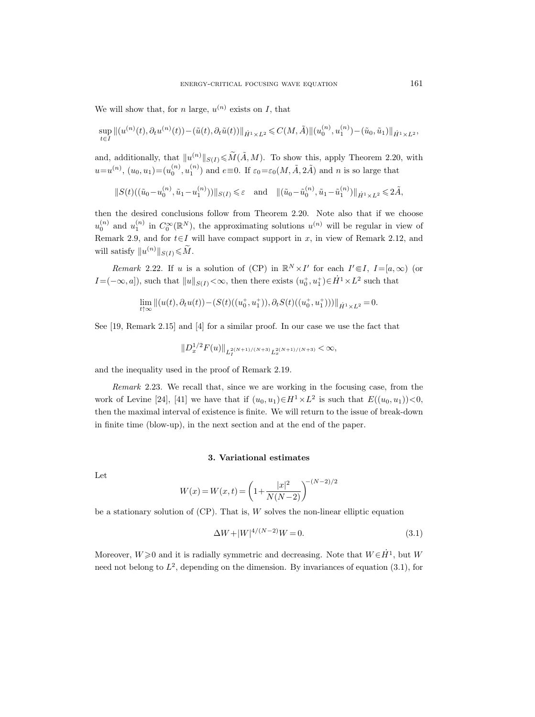We will show that, for *n* large,  $u^{(n)}$  exists on *I*, that

$$
\sup_{t\in I}||(u^{(n)}(t),\partial_t u^{(n)}(t)) - (\tilde{u}(t),\partial_t \tilde{u}(t))||_{\dot{H}^1\times L^2} \leq C(M,\tilde{A})||(u_0^{(n)},u_1^{(n)}) - (\tilde{u}_0,\tilde{u}_1)||_{\dot{H}^1\times L^2},
$$

and, additionally, that  $||u^{(n)}||_{S(I)} \leq \widetilde{M}(\widetilde{A}, M)$ . To show this, apply Theorem 2.20, with  $u=u^{(n)}, (u_0, u_1) = (u_0^{(n)}, u_1^{(n)})$  and  $e \equiv 0$ . If  $\varepsilon_0 = \varepsilon_0(M, \tilde{A}, 2\tilde{A})$  and n is so large that

 $||S(t)((\tilde{u}_0 - u_0^{(n)}, \tilde{u}_1 - u_1^{(n)}))||_{S(I)} \leq \varepsilon$  and  $||(\tilde{u}_0 - \tilde{u}_0^{(n)}, \tilde{u}_1 - \tilde{u}_1^{(n)})||_{\dot{H}^1 \times L^2} \leq 2\tilde{A},$ 

then the desired conclusions follow from Theorem 2.20. Note also that if we choose  $u_0^{(n)}$  and  $u_1^{(n)}$  in  $C_0^{\infty}(\mathbb{R}^N)$ , the approximating solutions  $u^{(n)}$  will be regular in view of Remark 2.9, and for  $t \in I$  will have compact support in x, in view of Remark 2.12, and will satisfy  $||u^{(n)}||_{S(I)} \le \widetilde{M}$ .

Remark 2.22. If u is a solution of (CP) in  $\mathbb{R}^N \times I'$  for each  $I' \in I$ ,  $I = [a, \infty)$  (or  $I = (-\infty, a])$ , such that  $||u||_{S(I)} < \infty$ , then there exists  $(u_0^+, u_1^+) \in \dot{H}^1 \times L^2$  such that

$$
\lim_{t \uparrow \infty} ||(u(t), \partial_t u(t)) - (S(t)((u_0^+, u_1^+)), \partial_t S(t)((u_0^+, u_1^+)))||_{\dot{H}^1 \times L^2} = 0.
$$

See [19, Remark 2.15] and [4] for a similar proof. In our case we use the fact that

$$
||D_x^{1/2}F(u)||_{L_I^{2(N+1)/(N+3)}L_x^{2(N+1)/(N+3)}} < \infty,
$$

and the inequality used in the proof of Remark 2.19.

Remark 2.23. We recall that, since we are working in the focusing case, from the work of Levine [24], [41] we have that if  $(u_0, u_1) \in H^1 \times L^2$  is such that  $E((u_0, u_1)) < 0$ , then the maximal interval of existence is finite. We will return to the issue of break-down in finite time (blow-up), in the next section and at the end of the paper.

#### 3. Variational estimates

Let

$$
W(x) = W(x, t) = \left(1 + \frac{|x|^2}{N(N-2)}\right)^{-(N-2)/2}
$$

be a stationary solution of  $(CP)$ . That is,  $W$  solves the non-linear elliptic equation

$$
\Delta W + |W|^{4/(N-2)}W = 0.
$$
\n(3.1)

Moreover,  $W \ge 0$  and it is radially symmetric and decreasing. Note that  $W \in H^1$ , but W need not belong to  $L^2$ , depending on the dimension. By invariances of equation (3.1), for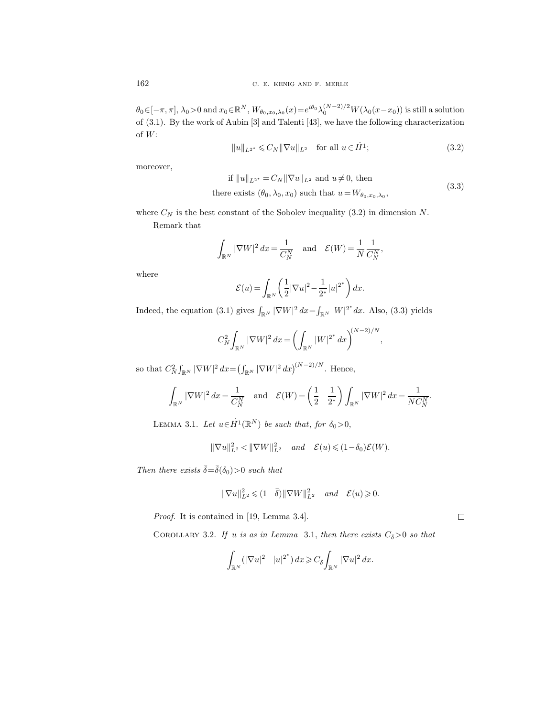$\theta_0 \in [-\pi, \pi], \lambda_0 > 0$  and  $x_0 \in \mathbb{R}^N$ ,  $W_{\theta_0, x_0, \lambda_0}(x) = e^{i\theta_0} \lambda_0^{(N-2)/2} W(\lambda_0(x-x_0))$  is still a solution of (3.1). By the work of Aubin [3] and Talenti [43], we have the following characterization of  $W\colon$ 

$$
||u||_{L^{2^*}} \leq C_N ||\nabla u||_{L^2} \quad \text{for all } u \in \dot{H}^1; \tag{3.2}
$$

moreover,

if 
$$
||u||_{L^{2^*}} = C_N ||\nabla u||_{L^2}
$$
 and  $u \neq 0$ , then  
there exists  $(\theta_0, \lambda_0, x_0)$  such that  $u = W_{\theta_0, x_0, \lambda_0}$ , (3.3)

,

where  $C_N$  is the best constant of the Sobolev inequality (3.2) in dimension N.

Remark that

$$
\int_{\mathbb{R}^N} |\nabla W|^2 dx = \frac{1}{C_N^N} \quad \text{and} \quad \mathcal{E}(W) = \frac{1}{N} \frac{1}{C_N^N},
$$

where

$$
\mathcal{E}(u) = \int_{\mathbb{R}^N} \left( \frac{1}{2} |\nabla u|^2 - \frac{1}{2^*} |u|^{2^*} \right) dx.
$$

Indeed, the equation (3.1) gives  $\int_{\mathbb{R}^N} |\nabla W|^2 dx = \int_{\mathbb{R}^N} |W|^{2^*} dx$ . Also, (3.3) yields

$$
C_N^2 \int_{\mathbb{R}^N} |\nabla W|^2 \, dx = \left( \int_{\mathbb{R}^N} |W|^{2^*} \, dx \right)^{(N-2)/N}
$$

so that  $C_N^2 \int_{\mathbb{R}^N} |\nabla W|^2 \, dx = \left( \int_{\mathbb{R}^N} |\nabla W|^2 \, dx \right)^{(N-2)/N}$ . Hence,

$$
\int_{\mathbb{R}^N} |\nabla W|^2 dx = \frac{1}{C_N^N} \quad \text{and} \quad \mathcal{E}(W) = \left(\frac{1}{2} - \frac{1}{2^*}\right) \int_{\mathbb{R}^N} |\nabla W|^2 dx = \frac{1}{NC_N^N}.
$$

LEMMA 3.1. Let  $u \in \dot{H}^1(\mathbb{R}^N)$  be such that, for  $\delta_0 > 0$ ,

$$
\|\nabla u\|_{L^2}^2 < \|\nabla W\|_{L^2}^2 \quad \text{and} \quad \mathcal{E}(u) \leq (1-\delta_0)\mathcal{E}(W).
$$

Then there exists  $\bar{\delta} = \bar{\delta}(\delta_0) > 0$  such that

$$
\|\nabla u\|_{L^2}^2\leqslant (1-\bar\delta)\|\nabla W\|_{L^2}^2\quad\text{and}\quad \mathcal{E}(u)\geqslant 0.
$$

Proof. It is contained in [19, Lemma 3.4].

COROLLARY 3.2. If u is as in Lemma 3.1, then there exists  $C_{\bar{\delta}} > 0$  so that

$$
\int_{\mathbb{R}^N} \left( |\nabla u|^2 - |u|^{2^*} \right) dx \geqslant C_{\bar{\delta}} \int_{\mathbb{R}^N} |\nabla u|^2 dx.
$$

 $\Box$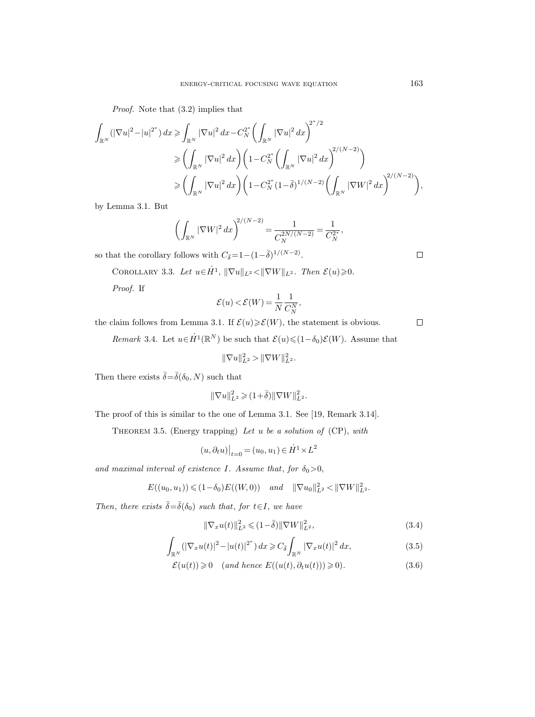Proof. Note that (3.2) implies that

$$
\int_{\mathbb{R}^N} (|\nabla u|^2 - |u|^{2^*}) dx \ge \int_{\mathbb{R}^N} |\nabla u|^2 dx - C_N^{2^*} \left( \int_{\mathbb{R}^N} |\nabla u|^2 dx \right)^{2^*/2} \n\ge \left( \int_{\mathbb{R}^N} |\nabla u|^2 dx \right) \left( 1 - C_N^{2^*} \left( \int_{\mathbb{R}^N} |\nabla u|^2 dx \right)^{2/(N-2)} \right) \n\ge \left( \int_{\mathbb{R}^N} |\nabla u|^2 dx \right) \left( 1 - C_N^{2^*} (1 - \overline{\delta})^{1/(N-2)} \left( \int_{\mathbb{R}^N} |\nabla W|^2 dx \right)^{2/(N-2)} \right)
$$

by Lemma 3.1. But

$$
\left(\int_{\mathbb{R}^N} |\nabla W|^2 \, dx\right)^{2/(N-2)} = \frac{1}{C_N^{2N/(N-2)}} = \frac{1}{C_N^{2*}},
$$

so that the corollary follows with  $C_{\bar{\delta}} = 1 - (1 - \bar{\delta})^{1/(N-2)}$ .

COROLLARY 3.3. Let  $u\in \dot{H}^1$ ,  $\|\nabla u\|_{L^2} < \|\nabla W\|_{L^2}$ . Then  $\mathcal{E}(u) \geqslant 0$ .

Proof. If

$$
\mathcal{E}(u) < \mathcal{E}(W) = \frac{1}{N} \frac{1}{C_N^N},
$$

the claim follows from Lemma 3.1. If  $\mathcal{E}(u) \geq \mathcal{E}(W)$ , the statement is obvious.

Remark 3.4. Let  $u \in \dot{H}^1(\mathbb{R}^N)$  be such that  $\mathcal{E}(u) \leq (1 - \delta_0) \mathcal{E}(W)$ . Assume that

$$
\|\nabla u\|_{L^2}^2 > \|\nabla W\|_{L^2}^2.
$$

Then there exists  $\bar{\delta} = \bar{\delta}(\delta_0, N)$  such that

$$
\|\nabla u\|_{L^2}^2\geqslant (1\!+\!\bar\delta)\|\nabla W\|_{L^2}^2.
$$

The proof of this is similar to the one of Lemma 3.1. See [19, Remark 3.14].

THEOREM 3.5. (Energy trapping) Let  $u$  be a solution of (CP), with

$$
(u,\partial_t u)\big|_{t=0}=(u_0,u_1)\in \dot{H}^1\times L^2
$$

and maximal interval of existence I. Assume that, for  $\delta_0>0$ ,

$$
E((u_0, u_1)) \leq (1 - \delta_0) E((W, 0)) \quad and \quad ||\nabla u_0||^2_{L^2} < ||\nabla W||^2_{L^2}.
$$

Then, there exists  $\bar{\delta} = \bar{\delta}(\delta_0)$  such that, for  $t \in I$ , we have

$$
\|\nabla_x u(t)\|_{L^2}^2 \leq (1 - \bar{\delta}) \|\nabla W\|_{L^2}^2,
$$
\n(3.4)

$$
\int_{\mathbb{R}^N} (|\nabla_x u(t)|^2 - |u(t)|^{2^*}) \, dx \geq C_{\bar{\delta}} \int_{\mathbb{R}^N} |\nabla_x u(t)|^2 \, dx,\tag{3.5}
$$

$$
\mathcal{E}(u(t)) \geq 0 \quad (and hence E((u(t), \partial_t u(t))) \geq 0). \tag{3.6}
$$

 $\Box$ 

 $\Box$ 

,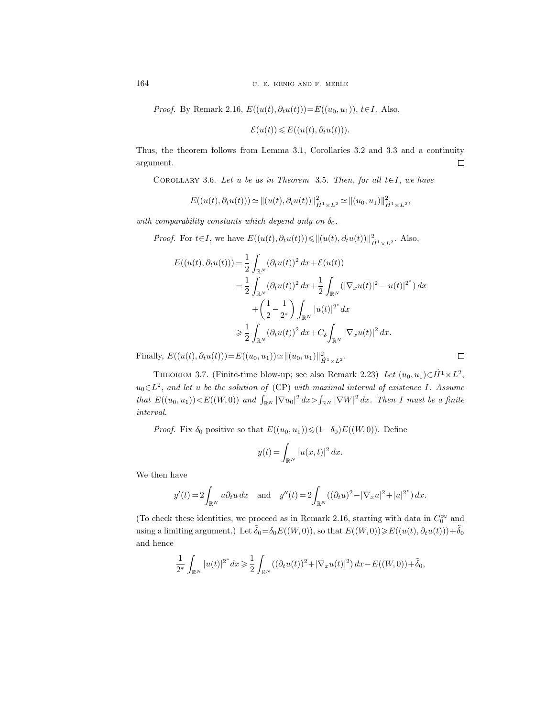164 C. E. KENIG AND F. MERLE

*Proof.* By Remark 2.16,  $E((u(t), \partial_t u(t))) = E((u_0, u_1)), t \in I$ . Also,

$$
\mathcal{E}(u(t)) \leq E((u(t),\partial_t u(t))).
$$

Thus, the theorem follows from Lemma 3.1, Corollaries 3.2 and 3.3 and a continuity argument.  $\Box$ 

COROLLARY 3.6. Let u be as in Theorem 3.5. Then, for all  $t \in I$ , we have

$$
E((u(t), \partial_t u(t))) \simeq ||(u(t), \partial_t u(t))||_{\dot{H}^1 \times L^2}^2 \simeq ||(u_0, u_1)||_{\dot{H}^1 \times L^2}^2,
$$

with comparability constants which depend only on  $\delta_0$ .

*Proof.* For  $t \in I$ , we have  $E((u(t), \partial_t u(t))) \leq ||(u(t), \partial_t u(t))||_{\dot{H}^1 \times L^2}^2$ . Also,

$$
E((u(t), \partial_t u(t))) = \frac{1}{2} \int_{\mathbb{R}^N} (\partial_t u(t))^2 dx + \mathcal{E}(u(t))
$$
  
\n
$$
= \frac{1}{2} \int_{\mathbb{R}^N} (\partial_t u(t))^2 dx + \frac{1}{2} \int_{\mathbb{R}^N} (|\nabla_x u(t)|^2 - |u(t)|^{2^*}) dx
$$
  
\n
$$
+ \left(\frac{1}{2} - \frac{1}{2^*}\right) \int_{\mathbb{R}^N} |u(t)|^{2^*} dx
$$
  
\n
$$
\geq \frac{1}{2} \int_{\mathbb{R}^N} (\partial_t u(t))^2 dx + C_{\overline{\delta}} \int_{\mathbb{R}^N} |\nabla_x u(t)|^2 dx.
$$

Finally,  $E((u(t), \partial_t u(t))) = E((u_0, u_1)) \approx ||(u_0, u_1)||_{\dot{H}^1 \times L^2}^2$ .

THEOREM 3.7. (Finite-time blow-up; see also Remark 2.23) Let  $(u_0, u_1) \in \dot{H}^1 \times L^2$ ,  $u_0 \in L^2$ , and let u be the solution of (CP) with maximal interval of existence I. Assume that  $E((u_0, u_1)) < E((W, 0))$  and  $\int_{\mathbb{R}^N} |\nabla u_0|^2 dx > \int_{\mathbb{R}^N} |\nabla W|^2 dx$ . Then I must be a finite interval.

*Proof.* Fix  $\delta_0$  positive so that  $E((u_0, u_1)) \leq (1-\delta_0)E((W, 0))$ . Define

$$
y(t) = \int_{\mathbb{R}^N} |u(x,t)|^2 dx.
$$

We then have

$$
y'(t) = 2 \int_{\mathbb{R}^N} u \partial_t u \, dx
$$
 and  $y''(t) = 2 \int_{\mathbb{R}^N} ((\partial_t u)^2 - |\nabla_x u|^2 + |u|^{2^*}) \, dx.$ 

(To check these identities, we proceed as in Remark 2.16, starting with data in  $C_0^{\infty}$  and using a limiting argument.) Let  $\tilde{\delta}_0 = \delta_0 E((W, 0))$ , so that  $E((W, 0)) \ge E((u(t), \partial_t u(t))) + \tilde{\delta}_0$ and hence

$$
\frac{1}{2^*} \int_{\mathbb{R}^N} |u(t)|^{2^*} dx \geq \frac{1}{2} \int_{\mathbb{R}^N} ((\partial_t u(t))^2 + |\nabla_x u(t)|^2) dx - E((W,0)) + \tilde{\delta}_0,
$$

 $\Box$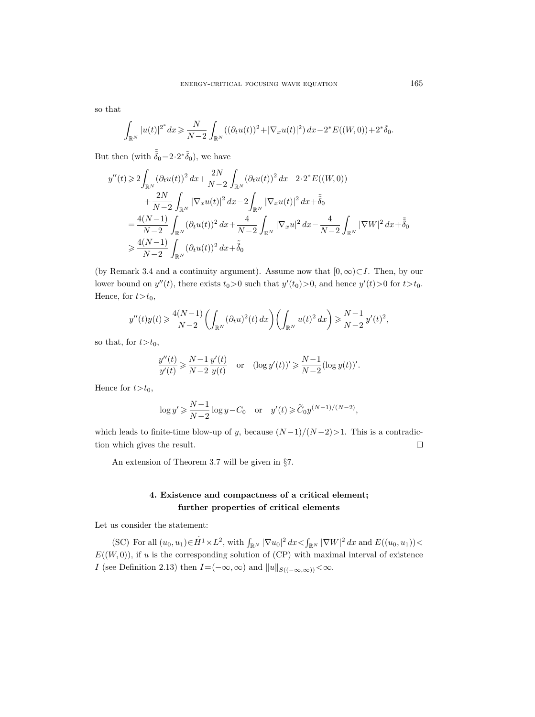so that

$$
\int_{\mathbb{R}^N} |u(t)|^{2^*} dx \geq \frac{N}{N-2} \int_{\mathbb{R}^N} ((\partial_t u(t))^2 + |\nabla_x u(t)|^2) dx - 2^* E((W,0)) + 2^* \tilde{\delta}_0.
$$

But then (with  $\tilde{\tilde{\delta}}_0 = 2 \cdot 2 \tilde{\delta}_0$ ), we have

$$
y''(t) \geq 2 \int_{\mathbb{R}^N} (\partial_t u(t))^2 dx + \frac{2N}{N-2} \int_{\mathbb{R}^N} (\partial_t u(t))^2 dx - 2 \cdot 2^* E((W,0))
$$
  

$$
+ \frac{2N}{N-2} \int_{\mathbb{R}^N} |\nabla_x u(t)|^2 dx - 2 \int_{\mathbb{R}^N} |\nabla_x u(t)|^2 dx + \tilde{\delta}_0
$$
  

$$
= \frac{4(N-1)}{N-2} \int_{\mathbb{R}^N} (\partial_t u(t))^2 dx + \frac{4}{N-2} \int_{\mathbb{R}^N} |\nabla_x u|^2 dx - \frac{4}{N-2} \int_{\mathbb{R}^N} |\nabla W|^2 dx + \tilde{\delta}_0
$$
  

$$
\geq \frac{4(N-1)}{N-2} \int_{\mathbb{R}^N} (\partial_t u(t))^2 dx + \tilde{\delta}_0
$$

(by Remark 3.4 and a continuity argument). Assume now that  $[0, \infty) \subset I$ . Then, by our lower bound on  $y''(t)$ , there exists  $t_0 > 0$  such that  $y'(t_0) > 0$ , and hence  $y'(t) > 0$  for  $t > t_0$ . Hence, for  $t>t_0$ ,

$$
y''(t)y(t) \geqslant \frac{4(N-1)}{N-2} \biggl(\int_{\mathbb{R}^N} (\partial_t u)^2(t) \, dx\biggr) \biggl(\int_{\mathbb{R}^N} u(t)^2 \, dx\biggr) \geqslant \frac{N-1}{N-2} \, y'(t)^2,
$$

so that, for  $t>t_0$ ,

$$
\frac{y''(t)}{y'(t)} \ge \frac{N-1}{N-2} \frac{y'(t)}{y(t)} \quad \text{or} \quad (\log y'(t))' \ge \frac{N-1}{N-2} (\log y(t))'.
$$

Hence for  $t>t_0$ ,

$$
\log y' \ge \frac{N-1}{N-2} \log y - C_0
$$
 or  $y'(t) \ge \widetilde{C}_0 y^{(N-1)/(N-2)}$ ,

which leads to finite-time blow-up of y, because  $(N-1)/(N-2)$ >1. This is a contradiction which gives the result.  $\Box$ 

An extension of Theorem 3.7 will be given in §7.

# 4. Existence and compactness of a critical element; further properties of critical elements

Let us consider the statement:

(SC) For all  $(u_0, u_1) \in \dot{H}^1 \times L^2$ , with  $\int_{\mathbb{R}^N} |\nabla u_0|^2 dx < \int_{\mathbb{R}^N} |\nabla W|^2 dx$  and  $E((u_0, u_1))$  $E((W, 0))$ , if u is the corresponding solution of (CP) with maximal interval of existence I (see Definition 2.13) then  $I=(-\infty,\infty)$  and  $||u||_{S((-\infty,\infty))} < \infty$ .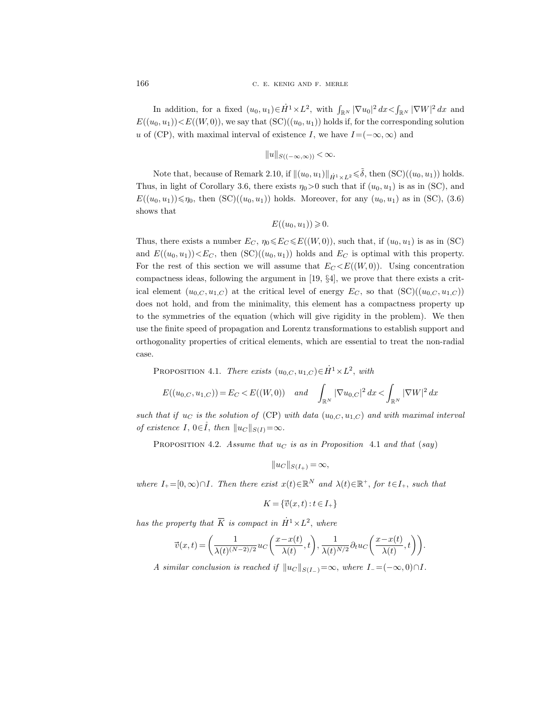In addition, for a fixed  $(u_0, u_1) \in \dot{H}^1 \times L^2$ , with  $\int_{\mathbb{R}^N} |\nabla u_0|^2 dx < \int_{\mathbb{R}^N} |\nabla W|^2 dx$  and  $E((u_0, u_1)) < E((W, 0))$ , we say that  $(SC)((u_0, u_1))$  holds if, for the corresponding solution u of (CP), with maximal interval of existence I, we have  $I=(-\infty,\infty)$  and

$$
||u||_{S((-\infty,\infty))} < \infty.
$$

Note that, because of Remark 2.10, if  $\|(u_0, u_1)\|_{\dot{H}^1 \times L^2} \leq \tilde{\delta}$ , then  $(\text{SC})((u_0, u_1))$  holds. Thus, in light of Corollary 3.6, there exists  $\eta_0 > 0$  such that if  $(u_0, u_1)$  is as in (SC), and  $E((u_0, u_1)) \leq \eta_0$ , then  $(\mathrm{SC})((u_0, u_1))$  holds. Moreover, for any  $(u_0, u_1)$  as in (SC), (3.6) shows that

$$
E((u_0, u_1)) \geq 0.
$$

Thus, there exists a number  $E_C$ ,  $\eta_0 \leqslant E_C \leqslant E((W, 0))$ , such that, if  $(u_0, u_1)$  is as in (SC) and  $E((u_0, u_1)) < E_C$ , then  $(\mathrm{SC})((u_0, u_1))$  holds and  $E_C$  is optimal with this property. For the rest of this section we will assume that  $E_C \langle E((W, 0))$ . Using concentration compactness ideas, following the argument in [19, §4], we prove that there exists a critical element  $(u_{0,C}, u_{1,C})$  at the critical level of energy  $E_C$ , so that  $(\mathrm{SC})((u_{0,C}, u_{1,C}))$ does not hold, and from the minimality, this element has a compactness property up to the symmetries of the equation (which will give rigidity in the problem). We then use the finite speed of propagation and Lorentz transformations to establish support and orthogonality properties of critical elements, which are essential to treat the non-radial case.

PROPOSITION 4.1. There exists  $(u_{0,C}, u_{1,C}) \in \dot{H}^1 \times L^2$ , with

$$
E((u_{0,C}, u_{1,C})) = E_C < E((W, 0)) \quad and \quad \int_{\mathbb{R}^N} |\nabla u_{0,C}|^2 dx < \int_{\mathbb{R}^N} |\nabla W|^2 dx
$$

such that if  $u_C$  is the solution of (CP) with data  $(u_{0,C}, u_{1,C})$  and with maximal interval of existence I,  $0 \in I$ , then  $||u_C||_{S(I)} = \infty$ .

PROPOSITION 4.2. Assume that  $u<sub>C</sub>$  is as in Proposition 4.1 and that (say)

$$
||u_C||_{S(I_+)} = \infty,
$$

where  $I_+ = [0, \infty) \cap I$ . Then there exist  $x(t) \in \mathbb{R}^N$  and  $\lambda(t) \in \mathbb{R}^+$ , for  $t \in I_+$ , such that<br> $K = {\overline{v}(x, t) : t \in I_+}$ 

$$
K = \{ \vec{v}(x, t) : t \in I_+ \}
$$

$$
K = \{\vec{v}(x, t) : t \in I_+\}
$$
  
has the property that  $\overline{K}$  is compact in  $\dot{H}^1 \times L^2$ , where  

$$
\vec{v}(x, t) = \left(\frac{1}{\lambda(t)^{(N-2)/2}} u_C\left(\frac{x - x(t)}{\lambda(t)}, t\right), \frac{1}{\lambda(t)^{N/2}} \partial_t u_C\left(\frac{x - x(t)}{\lambda(t)}, t\right)\right).
$$

A similar conclusion is reached if  $||u_C||_{S(I_-)}=\infty$ , where  $I_- =(-\infty, 0) \cap I$ .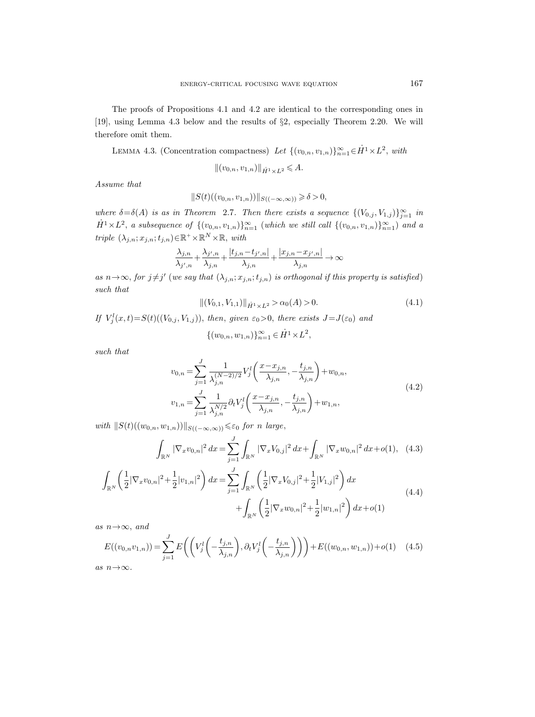The proofs of Propositions 4.1 and 4.2 are identical to the corresponding ones in [19], using Lemma 4.3 below and the results of §2, especially Theorem 2.20. We will therefore omit them.

LEMMA 4.3. (Concentration compactness) Let  $\{(v_{0,n}, v_{1,n})\}_{n=1}^{\infty} \in \dot{H}^1 \times L^2$ , with

 $||(v_{0,n}, v_{1,n})||_{\dot{H}^1 \times L^2} \leqslant A.$ 

Assume that

$$
||S(t)((v_{0,n},v_{1,n}))||_{S((-\infty,\infty))} \geq \delta > 0,
$$

where  $\delta = \delta(A)$  is as in Theorem 2.7. Then there exists a sequence  $\{(V_{0,j}, V_{1,j})\}_{j=1}^{\infty}$  in  $\dot{H}^1 \times L^2$ , a subsequence of  $\{(v_{0,n}, v_{1,n})\}_{n=1}^{\infty}$  (which we still call  $\{(v_{0,n}, v_{1,n})\}_{n=1}^{\infty}$ ) and a triple  $(\lambda_{j,n}; x_{j,n}; t_{j,n}) \in \mathbb{R}^+ \times \mathbb{R}^N \times \mathbb{R}$ , with

$$
\frac{\lambda_{j,n}}{\lambda_{j',n}}+\frac{\lambda_{j',n}}{\lambda_{j,n}}+\frac{|t_{j,n}-t_{j',n}|}{\lambda_{j,n}}+\frac{|x_{j,n}-x_{j',n}|}{\lambda_{j,n}}\rightarrow\infty
$$

as  $n \rightarrow \infty$ , for  $j \neq j'$  (we say that  $(\lambda_{j,n}; x_{j,n}; t_{j,n})$  is orthogonal if this property is satisfied) such that

$$
\|(V_{0,1}, V_{1,1})\|_{\dot{H}^1 \times L^2} > \alpha_0(A) > 0. \tag{4.1}
$$

,

If  $V_j^l(x,t) = S(t)((V_{0,j}, V_{1,j}))$ , then, given  $\varepsilon_0 > 0$ , there exists  $J = J(\varepsilon_0)$  and

$$
\{(w_{0,n}, w_{1,n})\}_{n=1}^{\infty} \in \dot{H}^1 \times L^2
$$

such that

$$
v_{0,n} = \sum_{j=1}^{J} \frac{1}{\lambda_{j,n}^{(N-2)/2}} V_j^l \left( \frac{x - x_{j,n}}{\lambda_{j,n}}, -\frac{t_{j,n}}{\lambda_{j,n}} \right) + w_{0,n},
$$
  
\n
$$
v_{1,n} = \sum_{j=1}^{J} \frac{1}{\lambda_{j,n}^{N/2}} \partial_t V_j^l \left( \frac{x - x_{j,n}}{\lambda_{j,n}}, -\frac{t_{j,n}}{\lambda_{j,n}} \right) + w_{1,n},
$$
\n(4.2)

with  $||S(t)((w_{0,n}, w_{1,n}))||_{S((-\infty,\infty))} \leq \varepsilon_0$  for n large,

$$
\int_{\mathbb{R}^N} |\nabla_x v_{0,n}|^2 dx = \sum_{j=1}^J \int_{\mathbb{R}^N} |\nabla_x V_{0,j}|^2 dx + \int_{\mathbb{R}^N} |\nabla_x w_{0,n}|^2 dx + o(1), \quad (4.3)
$$

$$
\int_{\mathbb{R}^N} \left( \frac{1}{2} |\nabla_x v_{0,n}|^2 + \frac{1}{2} |v_{1,n}|^2 \right) dx = \sum_{j=1}^J \int_{\mathbb{R}^N} \left( \frac{1}{2} |\nabla_x V_{0,j}|^2 + \frac{1}{2} |V_{1,j}|^2 \right) dx
$$
\n
$$
+ \int_{\mathbb{R}^N} \left( \frac{1}{2} |\nabla_x w_{0,n}|^2 + \frac{1}{2} |w_{1,n}|^2 \right) dx + o(1)
$$
\n(4.4)

as  $n \rightarrow \infty$ , and

$$
E((v_{0,n}v_{1,n})) = \sum_{j=1}^{J} E\left(\left(V_j^l\left(-\frac{t_{j,n}}{\lambda_{j,n}}\right), \partial_t V_j^l\left(-\frac{t_{j,n}}{\lambda_{j,n}}\right)\right)\right) + E((w_{0,n}, w_{1,n})) + o(1) \quad (4.5)
$$

as  $n\!\to\!\infty.$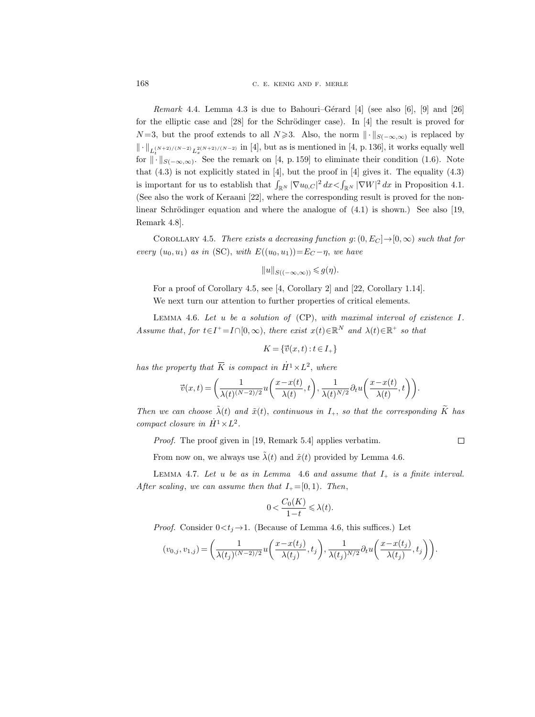168 C. E. KENIG AND F. MERLE

*Remark* 4.4. Lemma 4.3 is due to Bahouri–Gérard [4] (see also [6], [9] and [26] for the elliptic case and  $[28]$  for the Schrödinger case). In  $[4]$  the result is proved for  $N=3$ , but the proof extends to all  $N\geqslant3$ . Also, the norm  $\|\cdot\|_{S(-\infty,\infty)}$  is replaced by  $\|\cdot\|_{L_t^{(N+2)/(N-2)} L_x^{2(N+2)/(N-2)}}$  in [4], but as is mentioned in [4, p. 136], it works equally well for  $\|\cdot\|_{S(-\infty,\infty)}$ . See the remark on [4, p. 159] to eliminate their condition (1.6). Note that  $(4.3)$  is not explicitly stated in [4], but the proof in [4] gives it. The equality  $(4.3)$ is important for us to establish that  $\int_{\mathbb{R}^N} |\nabla u_{0,C}|^2 dx < \int_{\mathbb{R}^N} |\nabla W|^2 dx$  in Proposition 4.1. (See also the work of Keraani [22], where the corresponding result is proved for the nonlinear Schrödinger equation and where the analogue of  $(4.1)$  is shown.) See also [19, Remark 4.8].

COROLLARY 4.5. There exists a decreasing function  $g: (0, E_C] \rightarrow [0, \infty)$  such that for every  $(u_0, u_1)$  as in (SC), with  $E((u_0, u_1)) = E_C - \eta$ , we have

$$
||u||_{S((-\infty,\infty))} \leq g(\eta).
$$

For a proof of Corollary 4.5, see [4, Corollary 2] and [22, Corollary 1.14]. We next turn our attention to further properties of critical elements.

LEMMA 4.6. Let  $u$  be a solution of  $(CP)$ , with maximal interval of existence I. Assume that, for  $t \in I^+ = I \cap [0, \infty)$ , there exist  $x(t) \in \mathbb{R}^N$  and  $\lambda(t) \in \mathbb{R}^+$  so that<br> $K = {\vec{v}(x, t) : t \in I_+}$ 

$$
K = \{ \vec{v}(x, t) : t \in I_+ \}
$$

$$
K = \{ \vec{v}(x, t) : t \in I_+ \}
$$
  
has the property that  $\overline{K}$  is compact in  $\dot{H}^1 \times L^2$ , where  

$$
\vec{v}(x, t) = \left( \frac{1}{\lambda(t)^{(N-2)/2}} u\left( \frac{x - x(t)}{\lambda(t)}, t \right), \frac{1}{\lambda(t)^{N/2}} \partial_t u\left( \frac{x - x(t)}{\lambda(t)}, t \right) \right).
$$

Then we can choose  $\tilde{\lambda}(t)$  and  $\tilde{x}(t)$ , continuous in  $I_+$ , so that the corresponding  $\tilde{K}$  has compact closure in  $\dot{H}^1 \times L^2$ .

 $\Box$ 

Proof. The proof given in [19, Remark 5.4] applies verbatim.

From now on, we always use  $\tilde{\lambda}(t)$  and  $\tilde{x}(t)$  provided by Lemma 4.6.

LEMMA 4.7. Let u be as in Lemma 4.6 and assume that  $I_+$  is a finite interval. After scaling, we can assume then that  $I_{+} = [0, 1)$ . Then,

$$
0<\frac{C_0(K)}{1-t}\leqslant \lambda(t).
$$

*Proof.* Consider  $0 \lt t_i \rightarrow 1$ . (Because of Lemma 4.6, this suffices.) Let

$$
(v_{0,j},v_{1,j})=\bigg(\frac{1}{\lambda(t_j)^{(N-2)/2}}u\bigg(\frac{x-x(t_j)}{\lambda(t_j)},t_j\bigg),\frac{1}{\lambda(t_j)^{N/2}}\partial_t u\bigg(\frac{x-x(t_j)}{\lambda(t_j)},t_j\bigg)\bigg).
$$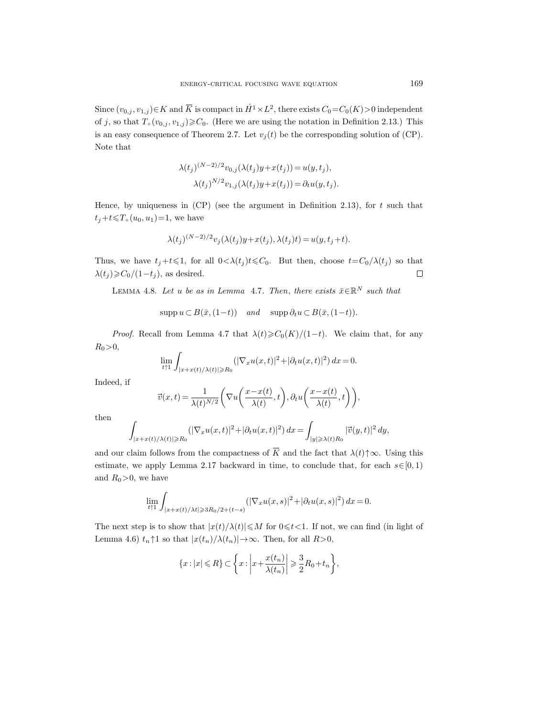ENERGY-CRITICAL FOCUSING WAVE EQUATION 169<br>
Since  $(v_{0,j}, v_{1,j}) \in K$  and  $\overline{K}$  is compact in  $\dot{H}^1 \times L^2$ , there exists  $C_0 = C_0(K) > 0$  independent of j, so that  $T_+(v_{0,j}, v_{1,j}) \geqslant C_0$ . (Here we are using the notation in Definition 2.13.) This is an easy consequence of Theorem 2.7. Let  $v_i(t)$  be the corresponding solution of (CP). Note that

$$
\lambda(t_j)^{(N-2)/2}v_{0,j}(\lambda(t_j)y+x(t_j)) = u(y,t_j),
$$
  

$$
\lambda(t_j)^{N/2}v_{1,j}(\lambda(t_j)y+x(t_j)) = \partial_t u(y,t_j).
$$

Hence, by uniqueness in  $(CP)$  (see the argument in Definition 2.13), for t such that  $t_j+t\leq T_+(u_0, u_1)=1$ , we have

$$
\lambda(t_j)^{(N-2)/2}v_j(\lambda(t_j)y+x(t_j),\lambda(t_j)t)=u(y,t_j+t).
$$

Thus, we have  $t_i+t\leq 1$ , for all  $0<\lambda(t_i)t\leq C_0$ . But then, choose  $t=C_0/\lambda(t_i)$  so that  $\lambda(t_i) \geqslant C_0/(1-t_i)$ , as desired.  $\Box$ 

LEMMA 4.8. Let u be as in Lemma 4.7. Then, there exists  $\bar{x} \in \mathbb{R}^N$  such that

 $\text{supp } u \subset B(\bar{x},(1-t))$  and  $\text{supp }\partial_t u \subset B(\bar{x},(1-t)).$ 

*Proof.* Recall from Lemma 4.7 that  $\lambda(t) \geq C_0(K)/(1-t)$ . We claim that, for any  $R_0 > 0,$ 

$$
\lim_{t\uparrow 1}\int_{|x+x(t)/\lambda(t)|\geq R_0}(|\nabla_x u(x,t)|^2+|\partial_t u(x,t)|^2)\,dx=0.
$$

Indeed, if

$$
\vec{v}(x,t) = \frac{1}{\lambda(t)^{N/2}} \left( \nabla u\left(\frac{x - x(t)}{\lambda(t)}, t\right), \partial_t u\left(\frac{x - x(t)}{\lambda(t)}, t\right) \right),\,
$$

then

$$
\int_{|x+x(t)/\lambda(t)|\geq R_0} (|\nabla_x u(x,t)|^2 + |\partial_t u(x,t)|^2) dx = \int_{|y|\geq \lambda(t)R_0} |\vec{v}(y,t)|^2 dy,
$$

and our claim follows from the compactness of  $\overline{K}$  and the fact that  $\lambda(t)\uparrow\infty$ . Using this estimate, we apply Lemma 2.17 backward in time, to conclude that, for each  $s \in [0, 1)$ and  $R_0>0$ , we have

$$
\lim_{t \uparrow 1} \int_{|x+x(t)/\lambda t| \geq 3R_0/2 + (t-s)} (|\nabla_x u(x,s)|^2 + |\partial_t u(x,s)|^2) \, dx = 0.
$$

The next step is to show that  $|x(t)/\lambda(t)| \leq M$  for  $0 \leq t < 1$ . If not, we can find (in light of Lemma 4.6)  $t_n \uparrow 1$  so that  $|x(t_n)/\lambda(t_n)| \rightarrow \infty$ . Then, for all  $R>0$ ,

$$
\{x: |x| \le R\} \subset \left\{x: \left|x + \frac{x(t_n)}{\lambda(t_n)}\right| \ge \frac{3}{2}R_0 + t_n\right\},\
$$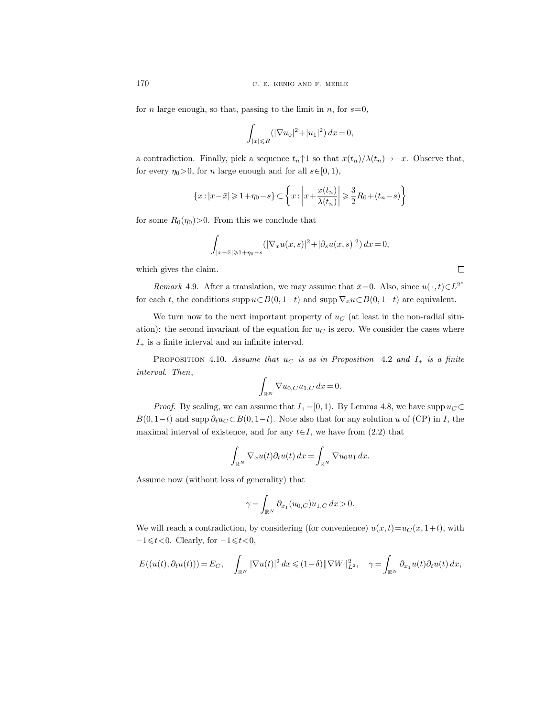for *n* large enough, so that, passing to the limit in *n*, for  $s=0$ ,

$$
\int_{|x| \le R} (|\nabla u_0|^2 + |u_1|^2) \, dx = 0,
$$

a contradiction. Finally, pick a sequence  $t_n \uparrow 1$  so that  $x(t_n)/\lambda(t_n) \rightarrow -\bar{x}$ . Observe that, for every  $\eta_0>0$ , for n large enough and for all  $s\in[0,1)$ ,

$$
\{x: |x-\bar{x}| \geqslant 1+\eta_0-s\} \subset \left\{x: \left|x+\frac{x(t_n)}{\lambda(t_n)}\right| \geqslant \frac{3}{2}R_0 + (t_n-s)\right\}
$$

for some  $R_0(\eta_0)$  > 0. From this we conclude that

$$
\int_{|x-\bar{x}| \geqslant 1+\eta_0-s} (|\nabla_x u(x,s)|^2 + |\partial_s u(x,s)|^2) \, dx = 0,
$$

which gives the claim.

Remark 4.9. After a translation, we may assume that  $\bar{x}=0$ . Also, since  $u(\cdot, t) \in L^{2^*}$ for each t, the conditions supp  $u\subset B(0, 1-t)$  and supp  $\nabla_x u\subset B(0, 1-t)$  are equivalent.

We turn now to the next important property of  $u<sub>C</sub>$  (at least in the non-radial situation): the second invariant of the equation for  $u<sub>C</sub>$  is zero. We consider the cases where  ${\cal I}_+$  is a finite interval and an infinite interval.

PROPOSITION 4.10. Assume that  $u<sub>C</sub>$  is as in Proposition 4.2 and  $I<sub>+</sub>$  is a finite interval. Then,

$$
\int_{\mathbb{R}^N} \nabla u_{0,C} u_{1,C} \, dx = 0.
$$

*Proof.* By scaling, we can assume that  $I_+ = [0, 1)$ . By Lemma 4.8, we have supp  $u_C \subset$  $B(0, 1-t)$  and supp  $\partial_t u_C \subset B(0, 1-t)$ . Note also that for any solution u of (CP) in I, the maximal interval of existence, and for any  $t \in I$ , we have from (2.2) that

$$
\int_{\mathbb{R}^N} \nabla_x u(t) \partial_t u(t) \, dx = \int_{\mathbb{R}^N} \nabla u_0 u_1 \, dx.
$$

Assume now (without loss of generality) that

$$
\gamma = \int_{\mathbb{R}^N} \partial_{x_1}(u_{0,C}) u_{1,C} dx > 0.
$$

We will reach a contradiction, by considering (for convenience)  $u(x, t)=u_C (x, 1+t)$ , with  $-1 \leq t < 0$ . Clearly, for  $-1 \leq t < 0$ ,

$$
E((u(t),\partial_t u(t))) = E_C, \quad \int_{\mathbb{R}^N} |\nabla u(t)|^2 dx \leq (1-\overline{\delta}) ||\nabla W||_{L^2}^2, \quad \gamma = \int_{\mathbb{R}^N} \partial_{x_1} u(t) \partial_t u(t) dx,
$$

 $\Box$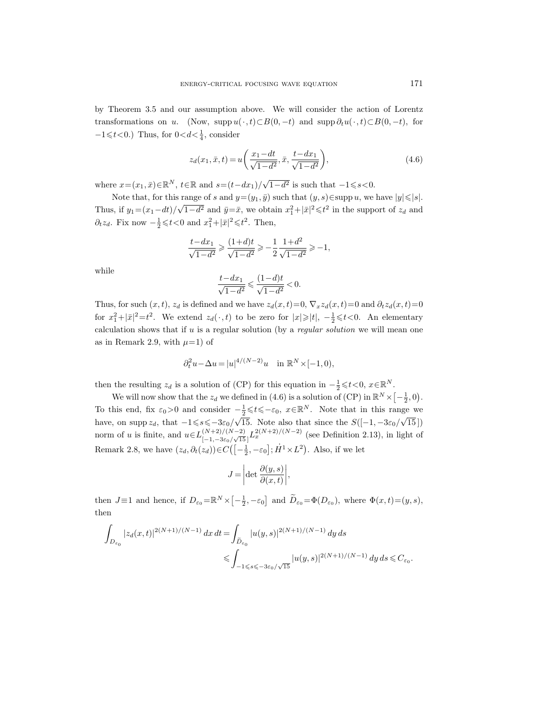by Theorem 3.5 and our assumption above. We will consider the action of Lorentz transformations on u. (Now, supp  $u(\cdot, t) \subset B(0, -t)$  and supp  $\partial_t u(\cdot, t) \subset B(0, -t)$ , for  $-1 \leq t < 0$ .) Thus, for  $0 < d < \frac{1}{4}$ , consider

$$
z_d(x_1, \bar{x}, t) = u\left(\frac{x_1 - dt}{\sqrt{1 - d^2}}, \bar{x}, \frac{t - dx_1}{\sqrt{1 - d^2}}\right),\tag{4.6}
$$

where  $x=(x_1, \bar{x})\in \mathbb{R}^N$ ,  $t\in \mathbb{R}$  and  $s=(t-dx_1)/\sqrt{N}$  $\overline{1-d^2}$  is such that  $-1 \le s < 0$ .

Note that, for this range of s and  $y=(y_1, \bar{y})$  such that  $(y, s) \in \text{supp } u$ , we have  $|y| \leq |s|$ . Thus, if  $y_1=(x_1-dt)/$ √  $\overline{1-d^2}$  and  $\overline{y} = \overline{x}$ , we obtain  $x_1^2 + |\overline{x}|^2 \le t^2$  in the support of  $z_d$  and  $\partial_t z_d$ . Fix now  $-\frac{1}{2} \leqslant t < 0$  and  $x_1^2 + |\bar{x}|^2 \leqslant t^2$ . Then,

$$
\frac{t-dx_1}{\sqrt{1-d^2}} \geqslant \frac{(1+d)t}{\sqrt{1-d^2}} \geqslant -\frac{1}{2} \frac{1+d^2}{\sqrt{1-d^2}} \geqslant -1,
$$

while

$$
\dfrac{t-dx_1}{\sqrt{1-d^2}}\leqslant\dfrac{(1-d)t}{\sqrt{1-d^2}}<0.
$$

Thus, for such  $(x, t)$ ,  $z_d$  is defined and we have  $z_d(x, t)=0$ ,  $\nabla_x z_d(x, t)=0$  and  $\partial_t z_d(x, t)=0$ for  $x_1^2 + |\bar{x}|^2 = t^2$ . We extend  $z_d(\cdot, t)$  to be zero for  $|x| \geq |t|$ ,  $-\frac{1}{2} \leq t < 0$ . An elementary calculation shows that if  $u$  is a regular solution (by a *regular solution* we will mean one as in Remark 2.9, with  $\mu=1$ ) of

$$
\partial_t^2 u - \Delta u = |u|^{4/(N-2)}u \quad \text{in } \mathbb{R}^N \times [-1,0),
$$

then the resulting  $z_d$  is a solution of (CP) for this equation in  $-\frac{1}{2} \leq t < 0$ ,  $x \in \mathbb{R}^N$ .

We will now show that the  $z_d$  we defined in (4.6) is a solution of (CP) in  $\mathbb{R}^N \times \left[ -\frac{1}{2}, 0 \right)$ . To this end, fix  $\varepsilon_0 > 0$  and consider  $-\frac{1}{2} \leq t \leq -\varepsilon_0$ ,  $x \in \mathbb{R}^N$ . Note that in this range we have, on supp  $z_d$ , that  $-1 \le s \le -3\varepsilon_0/\sqrt{2}$ 15. Note also that since the  $S([-1, -3\varepsilon_0]$ 'o'  $[15]$ norm of u is finite, and  $u \in L_{\frac{1}{2}}^{(N+2)/(N-2)}$  $\frac{(N+2)/(N-2)}{[-1,-3\varepsilon_0/\sqrt{15}]} L_x^{2(N+2)/(N-2)}$  (see Definition 2.13), in light of Remark 2.8, we have  $(z_d, \partial_t(z_d)) \in C\left(-\frac{1}{2}, -\varepsilon_0\right]; \dot{H}^1 \times L^2$ ). Also, if we let

$$
J = \left| \det \frac{\partial(y, s)}{\partial(x, t)} \right|,
$$

then  $J \equiv 1$  and hence, if  $D_{\varepsilon_0} = \mathbb{R}^N \times \left[ -\frac{1}{2}, -\varepsilon_0 \right]$  and  $\widetilde{D}_{\varepsilon_0} = \Phi(D_{\varepsilon_0})$ , where  $\Phi(x, t) = (y, s)$ , then

$$
\begin{aligned} \int_{D_{\varepsilon_0}} |z_d(x,t)|^{2(N+1)/(N-1)} \, dx \, dt & = \int_{\widetilde{D}_{\varepsilon_0}} |u(y,s)|^{2(N+1)/(N-1)} \, dy \, ds \\ & \leqslant \int_{-1 \leqslant s \leqslant -3\varepsilon_0/\sqrt{15}} |u(y,s)|^{2(N+1)/(N-1)} \, dy \, ds \leqslant C_{\varepsilon_0}. \end{aligned}
$$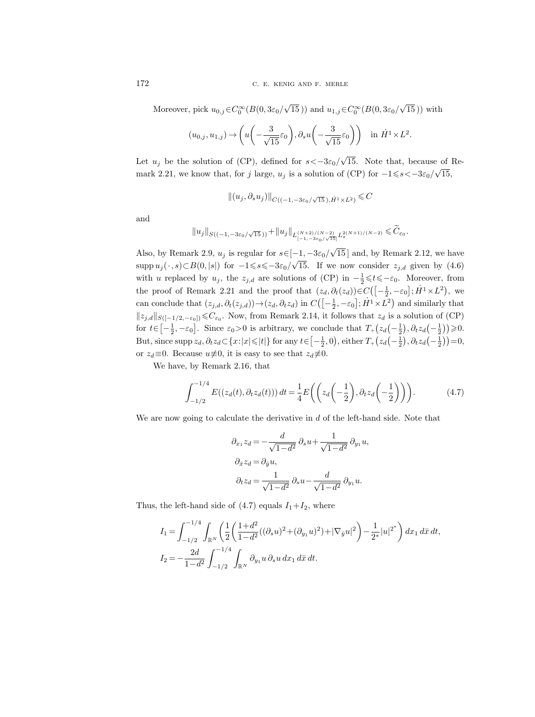Moreover, pick  $u_{0,j} \in C_0^{\infty}(B(0, 3\varepsilon_0))$  $\sqrt{15}$ )) and  $u_{1,j} \in C_0^{\infty}(B(0, 3\varepsilon_0))$ √ 15 )) with

$$
(u_{0,j}, u_{1,j}) \rightarrow \left(u\left(-\frac{3}{\sqrt{15}}\varepsilon_0\right), \partial_s u\left(-\frac{3}{\sqrt{15}}\varepsilon_0\right)\right) \text{ in } \dot{H}^1 \times L^2
$$

.

Let  $u_j$  be the solution of (CP), defined for  $s < -3\varepsilon_0/$ √ 15. Note that, because of Remark 2.21, we know that, for j large,  $u_j$  is a solution of (CP) for  $-1 \le s < -3\varepsilon_0/\sqrt{2}$ 15,

$$
||(u_j, \partial_s u_j)||_{C((-1, -3\varepsilon_0/\sqrt{15}), \dot{H}^1 \times L^2)} \leq C
$$

and

$$
||u_j||_{S((-1, -3\varepsilon_0/\sqrt{15}))} + ||u_j||_{L_{[-1, -3\varepsilon_0/\sqrt{15}]}^{(N+2)/(N-2)} L_x^{2(N+1)/(N-2)}} \leq \widetilde{C}_{\varepsilon_0}.
$$

Also, by Remark 2.9,  $u_j$  is regular for  $s \in [-1, -3\varepsilon_0/$ √ 15 ] and, by Remark 2.12, we have supp  $u_j(\cdot, s) \subset B(0, |s|)$  for  $-1 \le s \le -3\varepsilon_0/\sqrt{2}$ 15. If we now consider  $z_{j,d}$  given by  $(4.6)$ with u replaced by  $u_j$ , the  $z_{j,d}$  are solutions of (CP) in  $-\frac{1}{2} \leq t \leq -\varepsilon_0$ . Moreover, from the proof of Remark 2.21 and the proof that  $(z_d, \partial_t(z_d)) \in C\left( \left[-\frac{1}{2}, -\varepsilon_0\right]; \dot{H}^1 \times L^2\right)$ , we can conclude that  $(z_{j,d}, \partial_t(z_{j,d})) \rightarrow (z_d, \partial_t z_d)$  in  $C\left(-\frac{1}{2}, -\varepsilon_0\right]; \dot{H}^1 \times L^2$  and similarly that  $||z_{j,d}||_{S([-1/2,-\varepsilon_0])}$  ≤ $C_{\varepsilon_0}$ . Now, from Remark 2.14, it follows that  $z_d$  is a solution of (CP) for  $t \in \left[-\frac{1}{2}, -\varepsilon_0\right]$ . Since  $\varepsilon_0 > 0$  is arbitrary, we conclude that  $T_+(z_d\left(-\frac{1}{2}\right), \partial_t z_d\left(-\frac{1}{2}\right)) \geq 0$ . But, since supp  $z_d$ ,  $\partial_t z_d \subset \{x : |x| \leqslant |t|\}$  for any  $t \in \left[-\frac{1}{2}, 0\right)$ , either  $T_+(z_d\left(-\frac{1}{2}\right), \partial_t z_d\left(-\frac{1}{2}\right)) = 0$ , or  $z_d \equiv 0$ . Because  $u \not\equiv 0$ , it is easy to see that  $z_d \not\equiv 0$ .

We have, by Remark 2.16, that

$$
\int_{-1/2}^{-1/4} E((z_d(t), \partial_t z_d(t))) dt = \frac{1}{4} E\left( \left( z_d\left(-\frac{1}{2}\right), \partial_t z_d\left(-\frac{1}{2}\right) \right) \right).
$$
 (4.7)

We are now going to calculate the derivative in  $d$  of the left-hand side. Note that

$$
\partial_{x_1} z_d = -\frac{d}{\sqrt{1-d^2}} \partial_s u + \frac{1}{\sqrt{1-d^2}} \partial_{y_1} u,
$$
  

$$
\partial_{\bar{x}} z_d = \partial_{\bar{y}} u,
$$
  

$$
\partial_t z_d = \frac{1}{\sqrt{1-d^2}} \partial_s u - \frac{d}{\sqrt{1-d^2}} \partial_{y_1} u.
$$

Thus, the left-hand side of  $(4.7)$  equals  $I_1+I_2$ , where

$$
I_1 = \int_{-1/2}^{-1/4} \int_{\mathbb{R}^N} \left( \frac{1}{2} \left( \frac{1+d^2}{1-d^2} ((\partial_s u)^2 + (\partial_{y_1} u)^2) + |\nabla_{\bar{y}} u|^2 \right) - \frac{1}{2^*} |u|^{2^*} \right) dx_1 d\bar{x} dt,
$$
  
\n
$$
I_2 = -\frac{2d}{1-d^2} \int_{-1/2}^{-1/4} \int_{\mathbb{R}^N} \partial_{y_1} u \, \partial_s u \, dx_1 d\bar{x} dt.
$$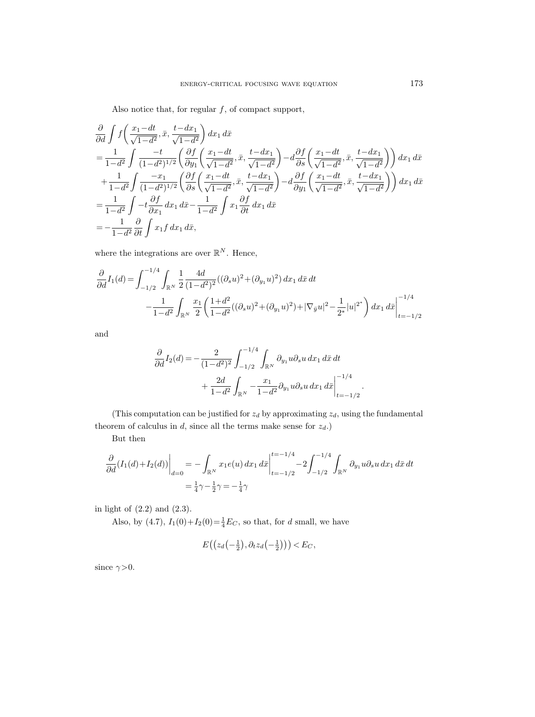Also notice that, for regular  $f$ , of compact support,

$$
\frac{\partial}{\partial d} \int f\left(\frac{x_1 - dt}{\sqrt{1 - d^2}}, \bar{x}, \frac{t - dx_1}{\sqrt{1 - d^2}}\right) dx_1 d\bar{x}
$$
\n
$$
= \frac{1}{1 - d^2} \int \frac{-t}{(1 - d^2)^{1/2}} \left(\frac{\partial f}{\partial y_1} \left(\frac{x_1 - dt}{\sqrt{1 - d^2}}, \bar{x}, \frac{t - dx_1}{\sqrt{1 - d^2}}\right) - d\frac{\partial f}{\partial s} \left(\frac{x_1 - dt}{\sqrt{1 - d^2}}, \bar{x}, \frac{t - dx_1}{\sqrt{1 - d^2}}\right)\right) dx_1 d\bar{x}
$$
\n
$$
+ \frac{1}{1 - d^2} \int \frac{-x_1}{(1 - d^2)^{1/2}} \left(\frac{\partial f}{\partial s} \left(\frac{x_1 - dt}{\sqrt{1 - d^2}}, \bar{x}, \frac{t - dx_1}{\sqrt{1 - d^2}}\right) - d\frac{\partial f}{\partial y_1} \left(\frac{x_1 - dt}{\sqrt{1 - d^2}}, \bar{x}, \frac{t - dx_1}{\sqrt{1 - d^2}}\right)\right) dx_1 d\bar{x}
$$
\n
$$
= \frac{1}{1 - d^2} \int -t \frac{\partial f}{\partial x_1} dx_1 d\bar{x} - \frac{1}{1 - d^2} \int x_1 \frac{\partial f}{\partial t} dx_1 d\bar{x}
$$
\n
$$
= -\frac{1}{1 - d^2} \frac{\partial}{\partial t} \int x_1 f dx_1 d\bar{x},
$$

where the integrations are over  $\mathbb{R}^N$ . Hence,

$$
\frac{\partial}{\partial d}I_1(d) = \int_{-1/2}^{-1/4} \int_{\mathbb{R}^N} \frac{1}{2} \frac{4d}{(1-d^2)^2} ((\partial_s u)^2 + (\partial_{y_1} u)^2) dx_1 d\bar{x} dt \n- \frac{1}{1-d^2} \int_{\mathbb{R}^N} \frac{x_1}{2} \left( \frac{1+d^2}{1-d^2} ((\partial_s u)^2 + (\partial_{y_1} u)^2) + |\nabla_{\bar{y}} u|^2 - \frac{1}{2^*} |u|^{2^*} \right) dx_1 d\bar{x} \Big|_{t=-1/2}^{-1/4}
$$

and

$$
\frac{\partial}{\partial d}I_2(d) = -\frac{2}{(1-d^2)^2} \int_{-1/2}^{-1/4} \int_{\mathbb{R}^N} \partial_{y_1} u \partial_s u \, dx_1 \, d\bar{x} \, dt \n+ \frac{2d}{1-d^2} \int_{\mathbb{R}^N} -\frac{x_1}{1-d^2} \partial_{y_1} u \partial_s u \, dx_1 \, d\bar{x} \Big|_{t=-1/2}^{-1/4}
$$

.

(This computation can be justified for  $z_d$  by approximating  $z_d$ , using the fundamental theorem of calculus in  $d$ , since all the terms make sense for  $z_d$ .)

But then

$$
\frac{\partial}{\partial d}(I_1(d) + I_2(d))\Big|_{d=0} = -\int_{\mathbb{R}^N} x_1 e(u) dx_1 d\bar{x} \Big|_{t=-1/2}^{t=-1/4} - 2 \int_{-1/2}^{-1/4} \int_{\mathbb{R}^N} \partial_{y_1} u \partial_s u dx_1 d\bar{x} dt
$$

$$
= \frac{1}{4} \gamma - \frac{1}{2} \gamma = -\frac{1}{4} \gamma
$$

in light of (2.2) and (2.3).

Also, by (4.7),  $I_1(0) + I_2(0) = \frac{1}{4}E_C$ , so that, for d small, we have

$$
E\big(\big(z_d\big(-\tfrac{1}{2}\big),\partial_t z_d\big(-\tfrac{1}{2}\big)\big)\big)\leq E_C,
$$

since  $\gamma > 0$ .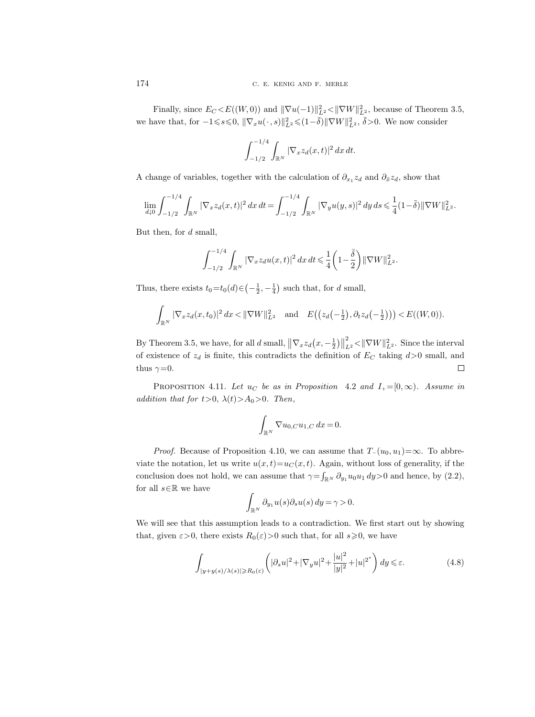Finally, since  $E_C \leq E((W, 0))$  and  $\|\nabla u(-1)\|_{L^2}^2 \leq \|\nabla W\|_{L^2}^2$ , because of Theorem 3.5, we have that, for  $-1 \le s \le 0$ ,  $\|\nabla_x u(\cdot, s)\|_{L^2}^2 \le (1 - \bar{\delta}) \|\nabla W\|_{L^2}^2$ ,  $\bar{\delta} > 0$ . We now consider

$$
\int_{-1/2}^{-1/4} \int_{\mathbb{R}^N} |\nabla_x z_d(x,t)|^2 \, dx \, dt.
$$

A change of variables, together with the calculation of  $\partial_{x_1} z_d$  and  $\partial_{\bar{x}} z_d$ , show that

$$
\lim_{d\downarrow 0} \int_{-1/2}^{-1/4} \int_{\mathbb{R}^N} |\nabla_x z_d(x,t)|^2 \, dx \, dt = \int_{-1/2}^{-1/4} \int_{\mathbb{R}^N} |\nabla_y u(y,s)|^2 \, dy \, ds \leq \frac{1}{4} (1 - \overline{\delta}) ||\nabla W||_{L^2}^2.
$$

But then, for d small,

$$
\int_{-1/2}^{-1/4} \int_{\mathbb{R}^N} |\nabla_x z_d u(x,t)|^2 \, dx \, dt \leq \frac{1}{4} \left( 1 - \frac{\bar{\delta}}{2} \right) ||\nabla W||_{L^2}^2.
$$

Thus, there exists  $t_0 = t_0(d) \in \left(-\frac{1}{2}, -\frac{1}{4}\right)$  such that, for d small,

$$
\int_{\mathbb{R}^N} |\nabla_x z_d(x, t_0)|^2 dx < ||\nabla W||_{L^2}^2 \quad \text{and} \quad E\big(\big(z_d\big(-\frac{1}{2}\big), \partial_t z_d\big(-\frac{1}{2}\big)\big)\big) < E((W, 0)).
$$

 $\frac{2}{L^2}$  <  $\|\nabla W\|_{L^2}^2$ . Since the interval By Theorem 3.5, we have, for all d small,  $\|\nabla_x z_d(x, -\frac{1}{2})\|$ of existence of  $z_d$  is finite, this contradicts the definition of  $E_C$  taking  $d>0$  small, and thus  $\gamma=0$ .  $\Box$ 

PROPOSITION 4.11. Let  $u_C$  be as in Proposition 4.2 and  $I_+ = [0, \infty)$ . Assume in addition that for  $t>0$ ,  $\lambda(t)>A_0>0$ . Then,

$$
\int_{\mathbb{R}^N} \nabla u_{0,C} u_{1,C} dx = 0.
$$

*Proof.* Because of Proposition 4.10, we can assume that  $T_-(u_0, u_1) = \infty$ . To abbreviate the notation, let us write  $u(x, t)=u<sub>C</sub>(x, t)$ . Again, without loss of generality, if the conclusion does not hold, we can assume that  $\gamma = \int_{\mathbb{R}^N} \partial_{y_1} u_0 u_1 dy > 0$  and hence, by  $(2.2)$ , for all  $s\!\in\!\mathbb{R}$  we have

$$
\int_{\mathbb{R}^N} \partial_{y_1} u(s) \partial_s u(s) \, dy = \gamma > 0.
$$

We will see that this assumption leads to a contradiction. We first start out by showing that, given  $\varepsilon > 0$ , there exists  $R_0(\varepsilon) > 0$  such that, for all  $s \geq 0$ , we have

$$
\int_{|y+y(s)/\lambda(s)|\geq R_0(\varepsilon)} \left( |\partial_s u|^2 + |\nabla_y u|^2 + \frac{|u|^2}{|y|^2} + |u|^{2^*} \right) dy \leq \varepsilon. \tag{4.8}
$$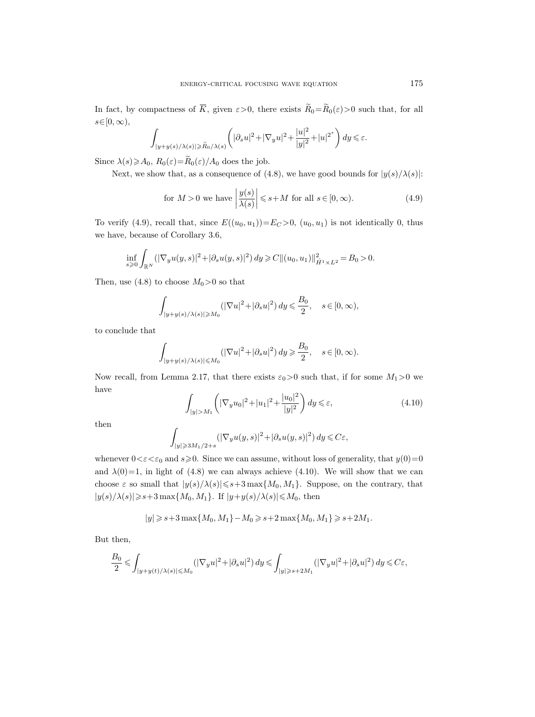In fact, by compactness of  $\overline{K}$ , given  $\varepsilon > 0$ , there exists  $\widetilde{R}_0 = \widetilde{R}_0(\varepsilon) > 0$  such that, for all  $s\in[0,\infty),$ 

$$
\int_{|y+y(s)/\lambda(s)|\geqslant \widetilde{R}_0/\lambda(s)}\left(|\partial_s u|^2+|\nabla_y u|^2+\frac{|u|^2}{|y|^2}+|u|^{2^*}\right)dy\leqslant \varepsilon.
$$

Since  $\lambda(s) \geq A_0$ ,  $R_0(\varepsilon) = \widetilde{R}_0(\varepsilon)/A_0$  does the job.

Next, we show that, as a consequence of (4.8), we have good bounds for  $|y(s)/\lambda(s)|$ :

for 
$$
M > 0
$$
 we have  $\left| \frac{y(s)}{\lambda(s)} \right| \le s + M$  for all  $s \in [0, \infty)$ . (4.9)

To verify (4.9), recall that, since  $E((u_0, u_1)) = E_C > 0$ ,  $(u_0, u_1)$  is not identically 0, thus we have, because of Corollary 3.6,

$$
\inf_{s\geqslant 0}\int_{\mathbb{R}^N}(|\nabla_y u(y,s)|^2+|\partial_s u(y,s)|^2)\,dy\geqslant C\|(u_0,u_1)\|_{\dot{H}^1\times L^2}^2=B_0>0.
$$

Then, use (4.8) to choose  $M_0 > 0$  so that

$$
\int_{|y+y(s)/\lambda(s)|\geqslant M_0} (|\nabla u|^2+|\partial_s u|^2)\,dy\leqslant \frac{B_0}{2},\quad s\in [0,\infty),
$$

to conclude that

$$
\int_{|y+y(s)/\lambda(s)|\leqslant M_0} \left(|\nabla u|^2+|\partial_s u|^2\right) dy\geqslant \frac{B_0}{2},\quad s\in [0,\infty).
$$

Now recall, from Lemma 2.17, that there exists  $\varepsilon_0>0$  such that, if for some  $M_1>0$  we have

$$
\int_{|y|>M_1} \left( |\nabla_y u_0|^2 + |u_1|^2 + \frac{|u_0|^2}{|y|^2} \right) dy \leq \varepsilon,
$$
\n(4.10)

then

$$
\int_{|y|\geqslant 3M_1/2+s} (|\nabla_y u(y,s)|^2 + |\partial_s u(y,s)|^2) dy \leqslant C\varepsilon,
$$

whenever  $0 < \varepsilon < \varepsilon_0$  and  $s \ge 0$ . Since we can assume, without loss of generality, that  $y(0)=0$ and  $\lambda(0)=1$ , in light of (4.8) we can always achieve (4.10). We will show that we can choose  $\varepsilon$  so small that  $|y(s)/\lambda(s)| \leq s+3 \max\{M_0, M_1\}$ . Suppose, on the contrary, that  $|y(s)/\lambda(s)|\!\geqslant\!s\!+\!3\max\{M_0,M_1\}.$  If  $|y\!+\!y(s)/\lambda(s)|\!\leqslant\!M_0,$  then

$$
|y|\geqslant s+3\max\{M_0,M_1\}-M_0\geqslant s+2\max\{M_0,M_1\}\geqslant s+2M_1.
$$

But then,

$$
\frac{B_0}{2} \leqslant \int_{|y+y(t)/\lambda(s)| \leqslant M_0} (|\nabla_y u|^2 + |\partial_s u|^2) \, dy \leqslant \int_{|y| \geqslant s+2M_1} (|\nabla_y u|^2 + |\partial_s u|^2) \, dy \leqslant C\varepsilon,
$$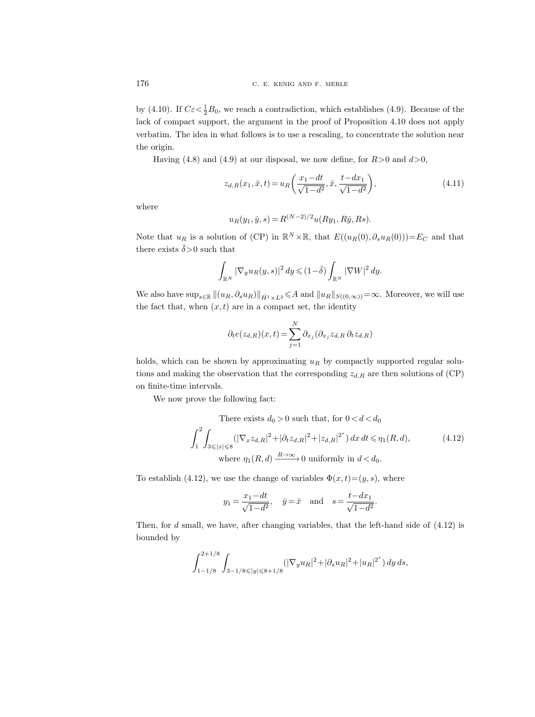by (4.10). If  $C\varepsilon < \frac{1}{2}B_0$ , we reach a contradiction, which establishes (4.9). Because of the lack of compact support, the argument in the proof of Proposition 4.10 does not apply verbatim. The idea in what follows is to use a rescaling, to concentrate the solution near the origin.

Having (4.8) and (4.9) at our disposal, we now define, for  $R>0$  and  $d>0$ ,

$$
z_{d,R}(x_1, \bar{x}, t) = u_R\left(\frac{x_1 - dt}{\sqrt{1 - d^2}}, \bar{x}, \frac{t - dx_1}{\sqrt{1 - d^2}}\right),\tag{4.11}
$$

where

$$
u_R(y_1, \bar{y}, s) = R^{(N-2)/2} u(Ry_1, R\bar{y}, Rs).
$$

Note that  $u_R$  is a solution of (CP) in  $\mathbb{R}^N \times \mathbb{R}$ , that  $E((u_R(0), \partial_s u_R(0))) = E_C$  and that there exists  $\bar{\delta}$ >0 such that

$$
\int_{\mathbb{R}^N} |\nabla_y u_R(y,s)|^2 dy \leq (1-\bar{\delta}) \int_{\mathbb{R}^N} |\nabla W|^2 dy.
$$

We also have  $\sup_{s\in\mathbb{R}}||(u_R, \partial_s u_R)||_{\dot{H}^1\times L^2} \leq A$  and  $||u_R||_{S((0,\infty))}=\infty$ . Moreover, we will use the fact that, when  $(x, t)$  are in a compact set, the identity

$$
\partial_t e(z_{d,R})(x,t) = \sum_{j=1}^N \partial_{x_j} (\partial_{x_j} z_{d,R} \partial_t z_{d,R})
$$

holds, which can be shown by approximating  $u_R$  by compactly supported regular solutions and making the observation that the corresponding  $z_{d,R}$  are then solutions of (CP) on finite-time intervals.

We now prove the following fact:

There exists 
$$
d_0 > 0
$$
 such that, for  $0 < d < d_0$   
\n
$$
\int_1^2 \int_{3 \leqslant |x| \leqslant 8} (|\nabla_x z_{d,R}|^2 + |\partial_t z_{d,R}|^2 + |z_{d,R}|^{2^*}) dx dt \leqslant \eta_1(R, d),
$$
\nwhere  $\eta_1(R, d) \xrightarrow{R \to \infty} 0$  uniformly in  $d < d_0$ . (4.12)

To establish (4.12), we use the change of variables  $\Phi(x, t) = (y, s)$ , where

$$
y_1 = \frac{x_1 - dt}{\sqrt{1 - d^2}}, \quad \bar{y} = \bar{x} \text{ and } s = \frac{t - dx_1}{\sqrt{1 - d^2}}.
$$

Then, for d small, we have, after changing variables, that the left-hand side of (4.12) is bounded by

$$
\int_{1-1/8}^{2+1/8}\int_{3-1/8 \leqslant |y| \leqslant 8+1/8} (|\nabla_y u_R|^2 + |\partial_s u_R|^2 + |u_R|^{2^*}) \, dy \, ds,
$$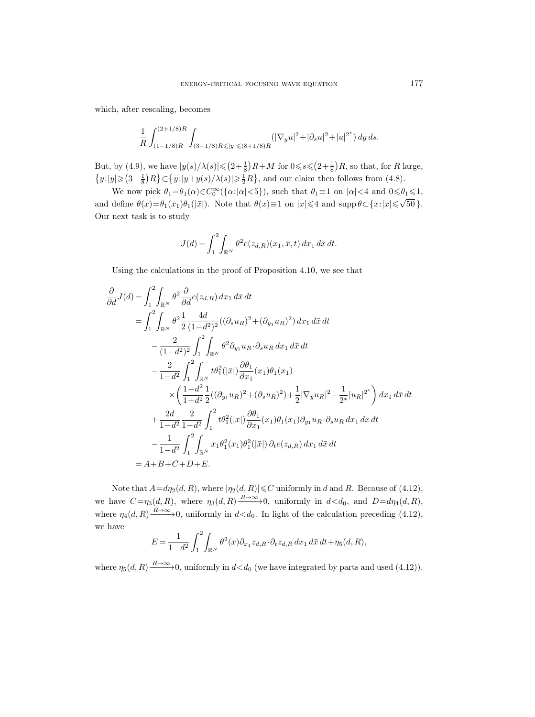which, after rescaling, becomes

$$
\frac{1}{R}\int_{(1-1/8)R}^{(2+1/8)R}\int_{(3-1/8)R\leqslant |y|\leqslant (8+1/8)R}(|\nabla_y u|^2+|\partial_s u|^2+|u|^{2^*})\,dy\,ds.
$$

But, by (4.9), we have  $|y(s)/\lambda(s)| \leq (2+\frac{1}{8})R+M$  for  $0 \leq s \leq (2+\frac{1}{8})R$ , so that, for R large,  $\{y: |y| \geq (3-\frac{1}{8})R\} \subset \{y: |y+y(s)/\lambda(s)| \geq \frac{1}{2}R\}$ , and our claim then follows from (4.8).

We now pick  $\theta_1 = \theta_1(\alpha) \in C_0^{\infty}(\{\alpha : |\alpha| < 5\})$ , such that  $\theta_1 \equiv 1$  on  $|\alpha| < 4$  and  $0 \le \theta_1 \le 1$ , and define  $\theta(x) = \theta_1(x_1)\theta_1(|\bar{x}|)$ . Note that  $\theta(x) \equiv 1$  on  $|x| \le 4$  and supp  $\theta \subset \{x: |x| \le \sqrt{\theta_1(x_1 + \theta_2)}\}$ 50 }. Our next task is to study

$$
J(d) = \int_{1}^{2} \int_{\mathbb{R}^{N}} \theta^{2} e(z_{d,R})(x_{1}, \bar{x}, t) dx_{1} d\bar{x} dt.
$$

Using the calculations in the proof of Proposition 4.10, we see that

$$
\frac{\partial}{\partial d}J(d) = \int_{1}^{2} \int_{\mathbb{R}^{N}} \theta^{2} \frac{\partial}{\partial d} e(z_{d,R}) dx_{1} d\bar{x} dt \n= \int_{1}^{2} \int_{\mathbb{R}^{N}} \theta^{2} \frac{1}{2} \frac{4d}{(1-d^{2})^{2}} ((\partial_{s} u_{R})^{2} + (\partial_{y_{1}} u_{R})^{2}) dx_{1} d\bar{x} dt \n- \frac{2}{(1-d^{2})^{2}} \int_{1}^{2} \int_{\mathbb{R}^{N}} \theta^{2} \partial_{y_{1}} u_{R} \cdot \partial_{s} u_{R} dx_{1} d\bar{x} dt \n- \frac{2}{1-d^{2}} \int_{1}^{2} \int_{\mathbb{R}^{N}} t \theta_{1}^{2}(|\bar{x}|) \frac{\partial \theta_{1}}{\partial x_{1}}(x_{1}) \theta_{1}(x_{1}) \n\times \left( \frac{1-d^{2}}{1+d^{2}} \frac{1}{2} ((\partial_{y_{1}} u_{R})^{2} + (\partial_{s} u_{R})^{2}) + \frac{1}{2} |\nabla_{\bar{y}} u_{R}|^{2} - \frac{1}{2^{*}} |u_{R}|^{2^{*}} \right) dx_{1} d\bar{x} dt \n+ \frac{2d}{1-d^{2}} \frac{2}{1-d^{2}} \int_{1}^{2} t \theta_{1}^{2}(|\bar{x}|) \frac{\partial \theta_{1}}{\partial x_{1}}(x_{1}) \theta_{1}(x_{1}) \partial_{y_{1}} u_{R} \cdot \partial_{s} u_{R} dx_{1} d\bar{x} dt \n- \frac{1}{1-d^{2}} \int_{1}^{2} \int_{\mathbb{R}^{N}} x_{1} \theta_{1}^{2}(x_{1}) \theta_{1}^{2}(|\bar{x}|) \partial_{t} e(z_{d,R}) dx_{1} d\bar{x} dt \n= A + B + C + D + E.
$$

Note that  $A=d\eta_2(d, R)$ , where  $|\eta_2(d, R)| \leq C$  uniformly in d and R. Because of (4.12), we have  $C = \eta_3(d, R)$ , where  $\eta_3(d, R) \xrightarrow{R \to \infty} 0$ , uniformly in  $d < d_0$ , and  $D = d\eta_4(d, R)$ , where  $\eta_4(d, R) \xrightarrow{R \to \infty} 0$ , uniformly in  $d < d_0$ . In light of the calculation preceding (4.12), we have

$$
E = \frac{1}{1-d^2} \int_1^2 \int_{\mathbb{R}^N} \theta^2(x) \partial_{x_1} z_{d,R} \cdot \partial_t z_{d,R} dx_1 dx dt + \eta_5(d,R),
$$

where  $\eta_5(d, R) \xrightarrow{R \to \infty} 0$ , uniformly in  $d < d_0$  (we have integrated by parts and used (4.12)).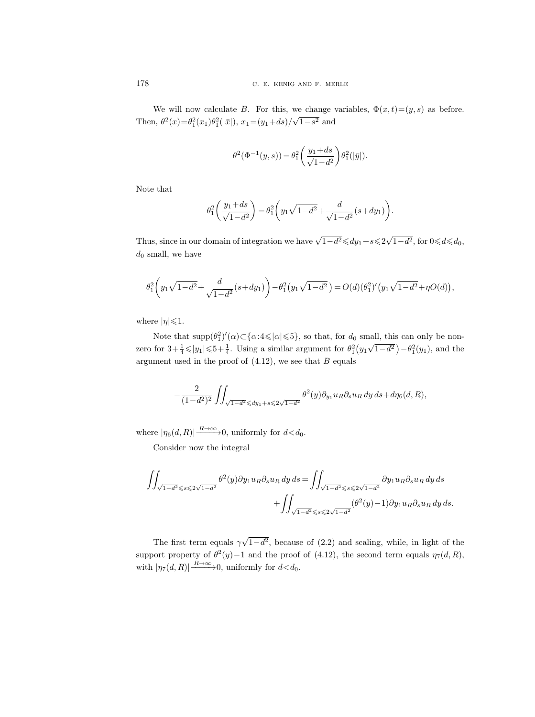We will now calculate B. For this, we change variables,  $\Phi(x, t) = (y, s)$  as before. Then,  $\theta^2(x) = \theta_1^2(x_1)\theta_1^2(|\bar{x}|), x_1 = (y_1 + ds)$ √  $1-s^2$  and

$$
\theta^2(\Phi^{-1}(y,s))=\theta_1^2\bigg(\dfrac{y_1+ds}{\sqrt{1-d^2}}\bigg)\theta_1^2(|\bar{y}|).
$$

Note that

$$
\theta_1^2 \left( \frac{y_1 + ds}{\sqrt{1 - d^2}} \right) = \theta_1^2 \left( y_1 \sqrt{1 - d^2} + \frac{d}{\sqrt{1 - d^2}} (s + dy_1) \right).
$$

Thus, since in our domain of integration we have  $\sqrt{1-d^2} \leq d y_1 + s \leq 2 \sqrt{3}$  $\overline{1-d^2}$ , for  $0 \le d \le d_0$ ,  $d_0$  small, we have

$$
\theta_1^2\bigg(y_1\sqrt{1-d^2}+\frac{d}{\sqrt{1-d^2}}(s+dy_1)\bigg)-\theta_1^2\big(y_1\sqrt{1-d^2}\,\big)=O(d)(\theta_1^2)'\big(y_1\sqrt{1-d^2}+\eta O(d)\big),
$$

where  $|\eta| \leq 1$ .

Note that  $\text{supp}(\theta_1^2)'(\alpha) \subset {\alpha:} 4 \leq \alpha \leq 5$ , so that, for  $d_0$  small, this can only be nonzero for  $3 + \frac{1}{4} \le |y_1| \le 5 + \frac{1}{4}$ . Using a similar argument for  $\theta_1^2(y_1)$ √  $\overline{1-d^2}$ ) –  $\theta_1^2(y_1)$ , and the argument used in the proof of  $(4.12)$ , we see that B equals

$$
-\frac{2}{(1-d^2)^2} \iint_{\sqrt{1-d^2} \leq d(y_1+s\leq 2\sqrt{1-d^2}} \theta^2(y) \partial_{y_1} u_R \partial_s u_R dy ds + d\eta_6(d, R),
$$

where  $|\eta_6(d, R)| \xrightarrow{R \to \infty} 0$ , uniformly for  $d < d_0$ .

Consider now the integral

$$
\iint_{\sqrt{1-d^2}\leq s\leq 2\sqrt{1-d^2}} \theta^2(y) \partial y_1 u_R \partial_s u_R \, dy \, ds = \iint_{\sqrt{1-d^2}\leq s\leq 2\sqrt{1-d^2}} \partial y_1 u_R \partial_s u_R \, dy \, ds
$$

$$
+ \iint_{\sqrt{1-d^2}\leq s\leq 2\sqrt{1-d^2}} (\theta^2(y)-1) \partial y_1 u_R \partial_s u_R \, dy \, ds.
$$

The first term equals  $\gamma$ √  $1-d^2$ , because of  $(2.2)$  and scaling, while, in light of the support property of  $\theta^2(y) - 1$  and the proof of (4.12), the second term equals  $\eta_7(d, R)$ , with  $|\eta_7(d, R)| \xrightarrow{R \to \infty} 0$ , uniformly for  $d < d_0$ .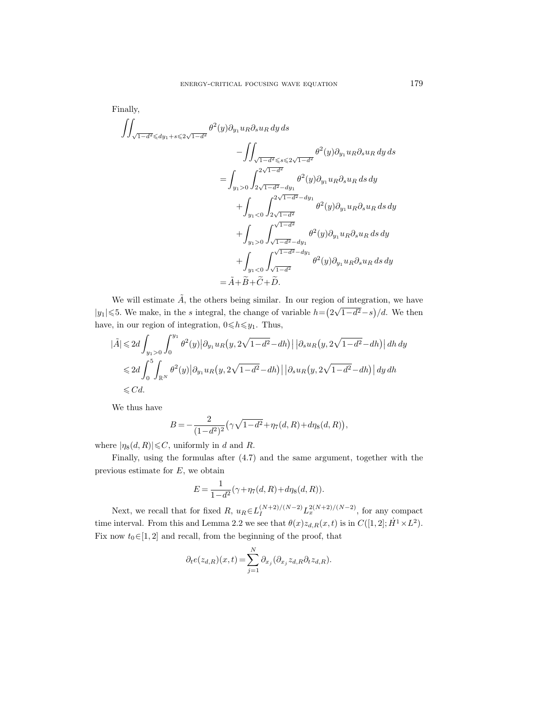Finally,

$$
\iint_{\sqrt{1-d^2} \leq d y_1 + s \leq 2\sqrt{1-d^2}} \theta^2(y) \partial_{y_1} u_R \partial_s u_R dy ds
$$
\n
$$
- \iint_{\sqrt{1-d^2} \leq s \leq 2\sqrt{1-d^2}} \theta^2(y) \partial_{y_1} u_R \partial_s u_R dy ds
$$
\n
$$
= \int_{y_1 > 0} \int_{2\sqrt{1-d^2} - dy_1}^{2\sqrt{1-d^2}} \theta^2(y) \partial_{y_1} u_R \partial_s u_R ds dy
$$
\n
$$
+ \int_{y_1 < 0} \int_{2\sqrt{1-d^2}}^{2\sqrt{1-d^2} - dy_1} \theta^2(y) \partial_{y_1} u_R \partial_s u_R ds dy
$$
\n
$$
+ \int_{y_1 > 0} \int_{\sqrt{1-d^2} - dy_1}^{\sqrt{1-d^2}} \theta^2(y) \partial_{y_1} u_R \partial_s u_R ds dy
$$
\n
$$
+ \int_{y_1 < 0} \int_{\sqrt{1-d^2} - dy_1}^{\sqrt{1-d^2} - dy_1} \theta^2(y) \partial_{y_1} u_R \partial_s u_R ds dy
$$
\n
$$
= \tilde{A} + \tilde{B} + \tilde{C} + \tilde{D}.
$$

We will estimate  $\tilde{A}$ , the others being similar. In our region of integration, we have  $|y_1| \leq 5$ . We make, in the s integral, the change of variable  $h = (2)$ √  $\left(1-d^2-s\right)/d$ . We then have, in our region of integration,  $0 \le h \le y_1$ . Thus,

$$
\begin{aligned} |\tilde{A}| \leqslant & 2d \int_{y_1>0} \int_0^{y_1} \theta^2(y) \left| \partial_{y_1} u_R(y, 2\sqrt{1-d^2} - dh) \right| \left| \partial_s u_R(y, 2\sqrt{1-d^2} - dh) \right| dh \, dy \\ \leqslant & 2d \int_0^5 \int_{\mathbb{R}^N} \theta^2(y) \left| \partial_{y_1} u_R(y, 2\sqrt{1-d^2} - dh) \right| \left| \partial_s u_R(y, 2\sqrt{1-d^2} - dh) \right| dy \, dh \\ \leqslant & Cd. \end{aligned}
$$

We thus have

$$
B = -\frac{2}{(1-d^2)^2} \left(\gamma \sqrt{1-d^2} + \eta_7(d, R) + d\eta_8(d, R)\right),
$$

where  $|\eta_8(d, R)| \leq C$ , uniformly in d and R.

Finally, using the formulas after (4.7) and the same argument, together with the previous estimate for  $E$ , we obtain

$$
E = \frac{1}{1 - d^2} (\gamma + \eta_7(d, R) + d\eta_8(d, R)).
$$

Next, we recall that for fixed  $R$ ,  $u_R \in L_I^{(N+2)/(N-2)} L_x^{2(N+2)/(N-2)}$ , for any compact time interval. From this and Lemma 2.2 we see that  $\theta(x)z_{d,R}(x,t)$  is in  $C([1,2];\dot{H}^1\times L^2)$ . Fix now  $t_0 \in [1, 2]$  and recall, from the beginning of the proof, that

$$
\partial_t e(z_{d,R})(x,t) = \sum_{j=1}^N \partial_{x_j} (\partial_{x_j} z_{d,R} \partial_t z_{d,R}).
$$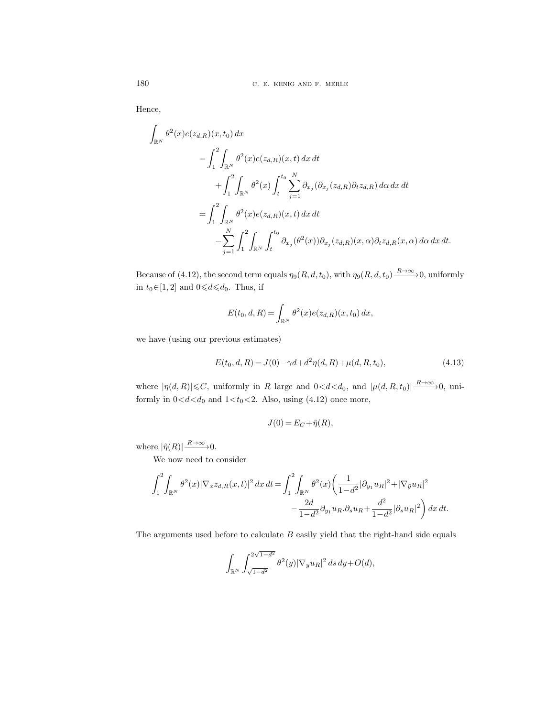Hence,

Z

$$
\int_{\mathbb{R}^N} \theta^2(x) e(z_{d,R})(x, t_0) dx
$$
\n
$$
= \int_1^2 \int_{\mathbb{R}^N} \theta^2(x) e(z_{d,R})(x, t) dx dt
$$
\n
$$
+ \int_1^2 \int_{\mathbb{R}^N} \theta^2(x) \int_t^{t_0} \sum_{j=1}^N \partial_{x_j} (\partial_{x_j}(z_{d,R}) \partial_t z_{d,R}) d\alpha dx dt
$$
\n
$$
= \int_1^2 \int_{\mathbb{R}^N} \theta^2(x) e(z_{d,R})(x, t) dx dt
$$
\n
$$
- \sum_{j=1}^N \int_1^2 \int_{\mathbb{R}^N} \int_t^{t_0} \partial_{x_j} (\theta^2(x)) \partial_{x_j}(z_{d,R})(x, \alpha) \partial_t z_{d,R}(x, \alpha) d\alpha dx dt.
$$

Because of (4.12), the second term equals  $\eta_9(R, d, t_0)$ , with  $\eta_9(R, d, t_0) \xrightarrow{R \to \infty} 0$ , uniformly in  $t_0 \in [1, 2]$  and  $0 \le d \le d_0$ . Thus, if

$$
E(t_0, d, R) = \int_{\mathbb{R}^N} \theta^2(x) e(z_{d,R})(x, t_0) dx,
$$

we have (using our previous estimates)

$$
E(t_0, d, R) = J(0) - \gamma d + d^2 \eta(d, R) + \mu(d, R, t_0),
$$
\n(4.13)

where  $|\eta(d, R)| \leq C$ , uniformly in R large and  $0 < d < d_0$ , and  $|\mu(d, R, t_0)| \xrightarrow{R \to \infty} 0$ , uniformly in  $0 < d < d_0$  and  $1 < t_0 < 2$ . Also, using (4.12) once more,

$$
J(0) = E_C + \tilde{\eta}(R),
$$

where  $|\tilde{\eta}(R)| \longrightarrow R \rightarrow \infty$ .

We now need to consider

$$
\int_{1}^{2} \int_{\mathbb{R}^{N}} \theta^{2}(x) |\nabla_{x} z_{d,R}(x,t)|^{2} dx dt = \int_{1}^{2} \int_{\mathbb{R}^{N}} \theta^{2}(x) \left( \frac{1}{1 - d^{2}} |\partial_{y_{1}} u_{R}|^{2} + |\nabla_{\bar{y}} u_{R}|^{2} - \frac{2d}{1 - d^{2}} \partial_{y_{1}} u_{R} \partial_{s} u_{R} + \frac{d^{2}}{1 - d^{2}} |\partial_{s} u_{R}|^{2} \right) dx dt.
$$

The arguments used before to calculate  $B$  easily yield that the right-hand side equals

$$
\int_{\mathbb{R}^N}\int_{\sqrt{1-d^2}}^{2\sqrt{1-d^2}}\theta^2(y)|\nabla_y u_R|^2\,ds\,dy + O(d),
$$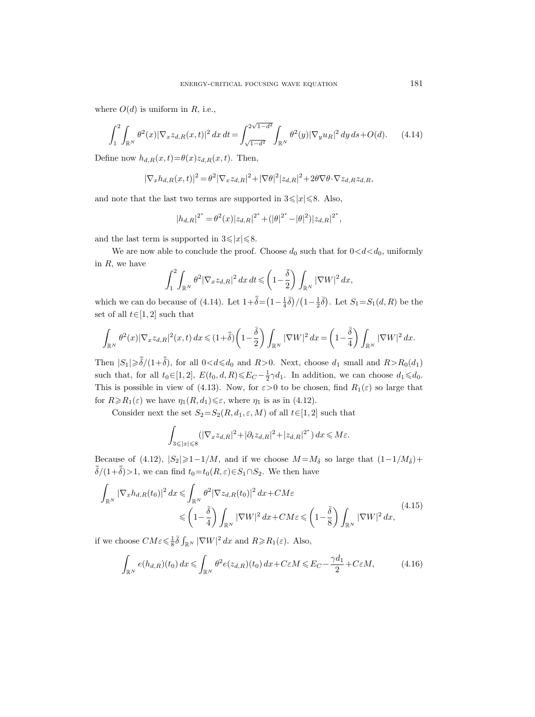where  $O(d)$  is uniform in R, i.e.,

$$
\int_{1}^{2} \int_{\mathbb{R}^{N}} \theta^{2}(x) |\nabla_{x} z_{d,R}(x,t)|^{2} dx dt = \int_{\sqrt{1-d^{2}}}^{2\sqrt{1-d^{2}}} \int_{\mathbb{R}^{N}} \theta^{2}(y) |\nabla_{y} u_{R}|^{2} dy ds + O(d). \tag{4.14}
$$

Define now  $h_{d,R}(x,t) = \theta(x)z_{d,R}(x,t)$ . Then,

$$
|\nabla_x h_{d,R}(x,t)|^2 = \theta^2 |\nabla_x z_{d,R}|^2 + |\nabla\theta|^2 |z_{d,R}|^2 + 2\theta \nabla\theta \cdot \nabla z_{d,R} z_{d,R},
$$

and note that the last two terms are supported in  $3 \leq |x| \leq 8$ . Also,

$$
|h_{d,R}|^{2^*} = \theta^2(x)|z_{d,R}|^{2^*} + (|\theta|^{2^*} - |\theta|^2)|z_{d,R}|^{2^*},
$$

and the last term is supported in  $3 \leq |x| \leq 8$ .

We are now able to conclude the proof. Choose  $d_0$  such that for  $0 < d < d_0$ , uniformly in  $R$ , we have

$$
\int_1^2\int_{\mathbb{R}^N} \theta^2 |\nabla_x z_{d,R}|^2\,dx\,dt \leqslant \left(1-\frac{\bar{\delta}}{2}\right)\int_{\mathbb{R}^N} |\nabla W|^2\,dx,
$$

which we can do because of (4.14). Let  $1+\bar{\bar{\delta}} = (1-\frac{1}{4}\bar{\delta})/(1-\frac{1}{2}\bar{\delta})$ . Let  $S_1 = S_1(d, R)$  be the set of all  $t \in [1, 2]$  such that

$$
\int_{\mathbb{R}^N} \theta^2(x) |\nabla_x z_{d,R}|^2(x,t) dx \leq (1+\bar{\bar{\delta}}) \left(1-\frac{\bar{\delta}}{2}\right) \int_{\mathbb{R}^N} |\nabla W|^2 dx = \left(1-\frac{\bar{\delta}}{4}\right) \int_{\mathbb{R}^N} |\nabla W|^2 dx.
$$

Then  $|S_1| \ge \overline{\overline{\delta}}/(1+\overline{\overline{\delta}})$ , for all  $0 < d \le d_0$  and  $R > 0$ . Next, choose  $d_1$  small and  $R > R_0(d_1)$ such that, for all  $t_0 \in [1, 2]$ ,  $E(t_0, d, R) \leq E_C - \frac{1}{2}\gamma d_1$ . In addition, we can choose  $d_1 \leq d_0$ . This is possible in view of (4.13). Now, for  $\varepsilon > 0$  to be chosen, find  $R_1(\varepsilon)$  so large that for  $R \ge R_1(\varepsilon)$  we have  $\eta_1(R, d_1) \le \varepsilon$ , where  $\eta_1$  is as in (4.12).

Consider next the set  $S_2 = S_2(R, d_1, \varepsilon, M)$  of all  $t \in [1, 2]$  such that

$$
\int_{3\leqslant |x|\leqslant 8} (|\nabla_x z_{d,R}|^2 + |\partial_t z_{d,R}|^2 + |z_{d,R}|^{2^*}) dx \leqslant M\varepsilon.
$$

Because of (4.12),  $|S_2|\geq 1-1/M$ , and if we choose  $M=M_{\bar{\delta}}$  so large that  $(1-1/M_{\bar{\delta}})+$  $\bar{\bar{\delta}}/(1+\bar{\bar{\delta}})>1$ , we can find  $t_0=t_0(R,\varepsilon)\in S_1\cap S_2$ . We then have

$$
\int_{\mathbb{R}^N} |\nabla_x h_{d,R}(t_0)|^2 dx \leq \int_{\mathbb{R}^N} \theta^2 |\nabla z_{d,R}(t_0)|^2 dx + CM\varepsilon
$$
\n
$$
\leqslant \left(1 - \frac{\bar{\delta}}{4}\right) \int_{\mathbb{R}^N} |\nabla W|^2 dx + CM\varepsilon \leqslant \left(1 - \frac{\bar{\delta}}{8}\right) \int_{\mathbb{R}^N} |\nabla W|^2 dx,
$$
\n(4.15)

if we choose  $CM \varepsilon \leq \frac{1}{8} \bar{\delta} \int_{\mathbb{R}^N} |\nabla W|^2 dx$  and  $R \geq R_1(\varepsilon)$ . Also,

$$
\int_{\mathbb{R}^N} e(h_{d,R})(t_0) dx \leq \int_{\mathbb{R}^N} \theta^2 e(z_{d,R})(t_0) dx + C\varepsilon M \leqslant E_C - \frac{\gamma d_1}{2} + C\varepsilon M,\tag{4.16}
$$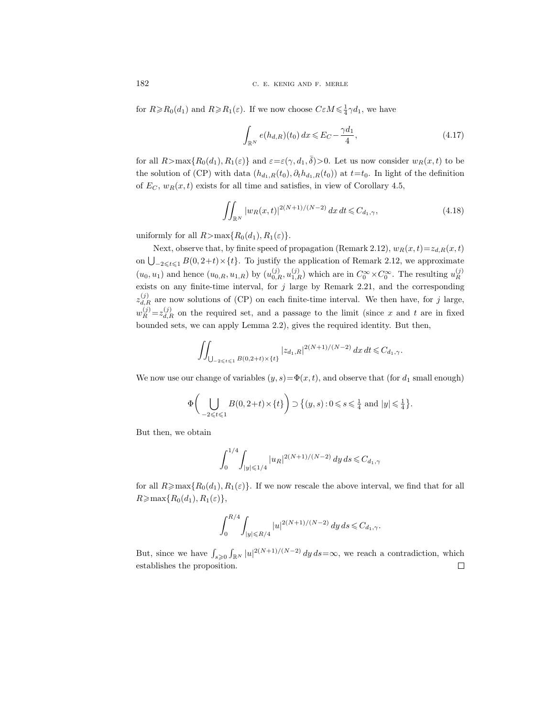182 C. E. KENIG AND F. MERLE

for  $R \ge R_0(d_1)$  and  $R \ge R_1(\varepsilon)$ . If we now choose  $C \varepsilon M \le \frac{1}{4}\gamma d_1$ , we have

$$
\int_{\mathbb{R}^N} e(h_{d,R})(t_0) \, dx \leqslant E_C - \frac{\gamma d_1}{4},\tag{4.17}
$$

for all  $R > \max\{R_0(d_1), R_1(\varepsilon)\}\$  and  $\varepsilon = \varepsilon(\gamma, d_1, \overline{\delta}) > 0$ . Let us now consider  $w_R(x, t)$  to be the solution of (CP) with data  $(h_{d_1,R}(t_0), \partial_t h_{d_1,R}(t_0))$  at  $t=t_0$ . In light of the definition of  $E_C$ ,  $w_R(x, t)$  exists for all time and satisfies, in view of Corollary 4.5,

$$
\iint_{\mathbb{R}^N} |w_R(x,t)|^{2(N+1)/(N-2)} dx dt \leq C_{d_1,\gamma},\tag{4.18}
$$

uniformly for all  $R > max\{R_0(d_1), R_1(\varepsilon)\}.$ 

Next, observe that, by finite speed of propagation (Remark 2.12),  $w_R(x, t) = z_{d,R}(x, t)$ on  $\bigcup_{-2 \leqslant t \leqslant 1} B(0, 2+t) \times \{t\}.$  To justify the application of Remark 2.12, we approximate  $(u_0, u_1)$  and hence  $(u_{0,R}, u_{1,R})$  by  $(u_{0,R}^{(j)}, u_{1,R}^{(j)})$  which are in  $C_0^{\infty} \times C_0^{\infty}$ . The resulting  $u_R^{(j)}$ R exists on any finite-time interval, for  $j$  large by Remark 2.21, and the corresponding  $z_{d,R}^{(j)}$  are now solutions of (CP) on each finite-time interval. We then have, for j large,  $w_R^{(j)} = z_{d,R}^{(j)}$  on the required set, and a passage to the limit (since x and t are in fixed bounded sets, we can apply Lemma 2.2), gives the required identity. But then,

$$
\iint_{\bigcup_{-2 \leqslant t \leqslant 1} B(0,2+t) \times \{t\}} |z_{d_1,R}|^{2(N+1)/(N-2)} dx dt \leqslant C_{d_1,\gamma}.
$$

We now use our change of variables  $(y, s) = \Phi(x, t)$ , and observe that (for  $d_1$  small enough)

$$
\Phi\bigg(\bigcup_{-2\leqslant t\leqslant 1}B(0,2+t)\times\{t\}\bigg)\supset\big\{(y,s):0\leqslant s\leqslant\frac{1}{4}\text{ and }|y|\leqslant\frac{1}{4}\big\}.
$$

But then, we obtain

$$
\int_0^{1/4} \int_{|y| \le 1/4} |u_R|^{2(N+1)/(N-2)} dy ds \le C_{d_1,\gamma}
$$

for all  $R \ge \max\{R_0(d_1), R_1(\varepsilon)\}\.$  If we now rescale the above interval, we find that for all  $R \geqslant \max\{R_0(d_1), R_1(\varepsilon)\},\,$ 

$$
\int_0^{R/4} \int_{|y| \le R/4} |u|^{2(N+1)/(N-2)} dy ds \le C_{d_1,\gamma}.
$$

But, since we have  $\int_{s\geqslant 0} \int_{\mathbb{R}^N} |u|^{2(N+1)/(N-2)} dy ds = \infty$ , we reach a contradiction, which establishes the proposition. $\Box$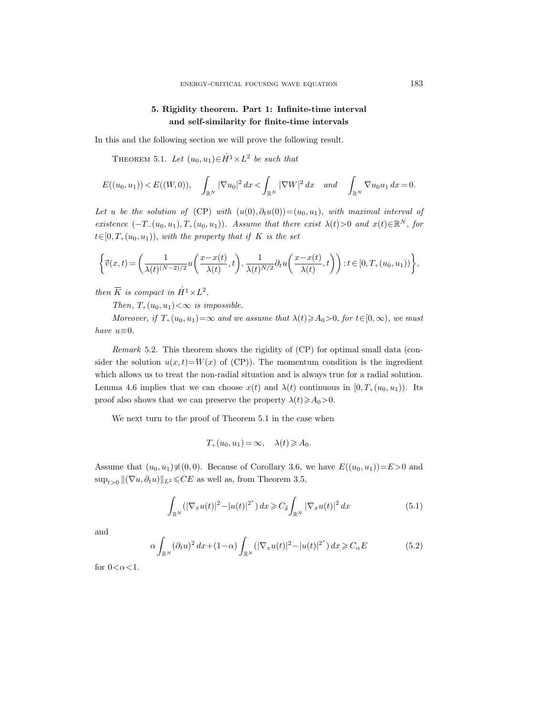# 5. Rigidity theorem. Part 1: Infinite-time interval and self-similarity for finite-time intervals

In this and the following section we will prove the following result.

THEOREM 5.1. Let  $(u_0, u_1) \in \dot{H}^1 \times L^2$  be such that

$$
E((u_0, u_1)) < E((W, 0)), \quad \int_{\mathbb{R}^N} |\nabla u_0|^2 dx < \int_{\mathbb{R}^N} |\nabla W|^2 dx \quad and \quad \int_{\mathbb{R}^N} \nabla u_0 u_1 dx = 0.
$$

Let u be the solution of (CP) with  $(u(0), \partial_t u(0)) = (u_0, u_1)$ , with maximal interval of existence  $(-T_-(u_0, u_1), T_+(u_0, u_1))$ . Assume that there exist  $\lambda(t) > 0$  and  $x(t) \in \mathbb{R}^N$ , for  $t\in[0, T_+(u_0, u_1))$ , with the property that if K is the set

$$
\begin{aligned}\n\left\{\vec{v}(x,t) = \left(\frac{1}{\lambda(t)^{(N-2)/2}}u\left(\frac{x-x(t)}{\lambda(t)},t\right), \frac{1}{\lambda(t)^{N/2}}\partial_t u\left(\frac{x-x(t)}{\lambda(t)},t\right)\right) : t \in [0,T_+(u_0,u_1))\right\}, \\
\text{then } \overline{K} \text{ is compact in } \dot{H}^1 \times L^2.\n\end{aligned}
$$

Then,  $T_+(u_0, u_1) < \infty$  is impossible.

Moreover, if  $T_+(u_0, u_1) = \infty$  and we assume that  $\lambda(t) \geq \lambda_0 > 0$ , for  $t \in [0, \infty)$ , we must have  $u \equiv 0$ .

Remark 5.2. This theorem shows the rigidity of (CP) for optimal small data (consider the solution  $u(x,t) = W(x)$  of (CP)). The momentum condition is the ingredient which allows us to treat the non-radial situation and is always true for a radial solution. Lemma 4.6 implies that we can choose  $x(t)$  and  $\lambda(t)$  continuous in  $[0, T_+(u_0, u_1))$ . Its proof also shows that we can preserve the property  $\lambda(t) \geq a_0 > 0$ .

We next turn to the proof of Theorem 5.1 in the case when

$$
T_+(u_0, u_1) = \infty, \quad \lambda(t) \geqslant A_0.
$$

Assume that  $(u_0, u_1) \neq (0, 0)$ . Because of Corollary 3.6, we have  $E((u_0, u_1))=E>0$  and  $\sup_{t>0} ||(\nabla u, \partial_t u)||_{L^2} \leqslant CE$  as well as, from Theorem 3.5,

$$
\int_{\mathbb{R}^N} \left( |\nabla_x u(t)|^2 - |u(t)|^{2^*} \right) dx \geq C_{\bar{\delta}} \int_{\mathbb{R}^N} |\nabla_x u(t)|^2 dx \tag{5.1}
$$

and

$$
\alpha \int_{\mathbb{R}^N} (\partial_t u)^2 dx + (1 - \alpha) \int_{\mathbb{R}^N} (|\nabla_x u(t)|^2 - |u(t)|^{2^*}) dx \geq C_{\alpha} E \tag{5.2}
$$

for  $0 < \alpha < 1$ .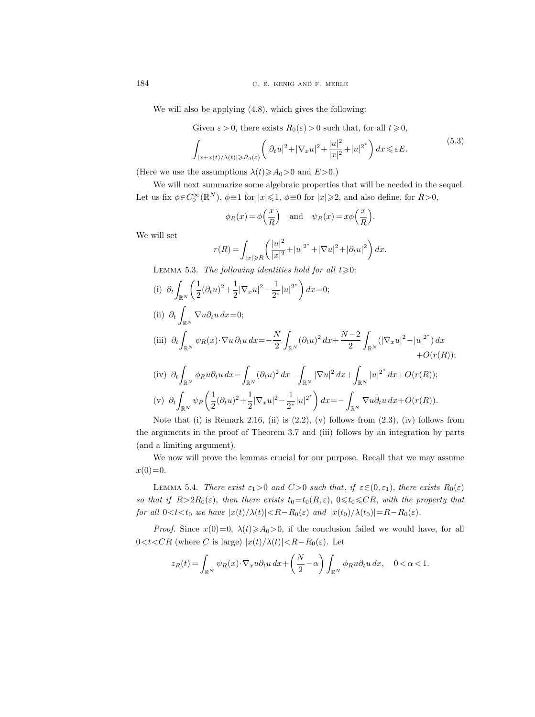We will also be applying  $(4.8)$ , which gives the following:

Given  $\varepsilon > 0$ , there exists  $R_0(\varepsilon) > 0$  such that, for all  $t \geq 0$ ,

$$
\int_{|x+x(t)/\lambda(t)|\geq R_0(\varepsilon)} \left( |\partial_t u|^2 + |\nabla_x u|^2 + \frac{|u|^2}{|x|^2} + |u|^{2^*} \right) dx \leq \varepsilon E. \tag{5.3}
$$

.

(Here we use the assumptions  $\lambda(t) \geq a_0 > 0$  and  $E > 0$ .)

We will next summarize some algebraic properties that will be needed in the sequel. Let us fix  $\phi \in C_0^{\infty}(\mathbb{R}^N)$ ,  $\phi \equiv 1$  for  $|x| \leq 1$ ,  $\phi \equiv 0$  for  $|x| \geq 2$ , and also define, for  $R > 0$ ,

$$
\phi_R(x) = \phi\left(\frac{x}{R}\right)
$$
 and  $\psi_R(x) = x\phi\left(\frac{x}{R}\right)$ 

We will set

$$
r(R) = \int_{|x| \ge R} \left( \frac{|u|^2}{|x|^2} + |u|^{2^*} + |\nabla u|^2 + |\partial_t u|^2 \right) dx.
$$

LEMMA 5.3. The following identities hold for all  $t \ge 0$ :

(i)  $\partial_t$  $\mathbb{R}^N$  $\sqrt{1}$  $\frac{1}{2}(\partial_t u)^2 + \frac{1}{2}$  $\frac{1}{2}|\nabla_x u|^2 - \frac{1}{2^2}$  $\frac{1}{2^*}|u|^{2^*}\bigg) dx=0;$ (ii)  $\partial_t$  $\bigcup_{\mathbb{R}^N} \nabla u \partial_t u \, dx = 0;$ (iii)  $\partial_t$  $\int_{\mathbb{R}^N} \psi_R(x) \cdot \nabla u \, \partial_t u \, dx = -\frac{N}{2}$ 2 Z  $\int_{\mathbb{R}^N} (\partial_t u)^2 dx + \frac{N-2}{2}$ 2 Z  $\int_{\mathbb{R}^N} (|\nabla_x u|^2 - |u|^{2^*}) dx$  $+O(r(R));$  $(iv)$  ∂<sub>t</sub>  $\int_{\mathbb{R}^N} \phi_R u \partial_t u \, dx = \int$  $\int_{\mathbb{R}^N} (\partial_t u)^2\,dx - \int$  $\int_{\mathbb{R}^N} |\nabla u|^2 \, dx + \int$  $\int_{\mathbb{R}^N} |u|^{2^*} dx + O(r(R));$  $(v)$   $\partial_t$  $\int_{\mathbb{R}^N}\psi_R\biggl(\frac{1}{2}\biggr)$  $\frac{1}{2}(\partial_t u)^2 + \frac{1}{2}$  $\frac{1}{2}|\nabla_x u|^2 - \frac{1}{2^3}$  $\frac{1}{2^*}|u|^{2^*}\bigg) dx = - \int$  $\bigcup_{\mathbb{R}^N} \nabla u \partial_t u \, dx + O(r(R)).$ 

Note that (i) is Remark 2.16, (ii) is  $(2.2)$ ,  $(v)$  follows from  $(2.3)$ ,  $(iv)$  follows from the arguments in the proof of Theorem 3.7 and (iii) follows by an integration by parts (and a limiting argument).

We now will prove the lemmas crucial for our purpose. Recall that we may assume  $x(0)=0.$ 

LEMMA 5.4. There exist  $\varepsilon_1>0$  and  $C>0$  such that, if  $\varepsilon \in (0,\varepsilon_1)$ , there exists  $R_0(\varepsilon)$ so that if  $R>2R_0(\varepsilon)$ , then there exists  $t_0=t_0(R,\varepsilon)$ ,  $0\le t_0\le CR$ , with the property that for all  $0 < t < t_0$  we have  $|x(t)/\lambda(t)| < R-R_0(\varepsilon)$  and  $|x(t_0)/\lambda(t_0)| = R-R_0(\varepsilon)$ .

*Proof.* Since  $x(0)=0$ ,  $\lambda(t)\geqslant A_0>0$ , if the conclusion failed we would have, for all  $0 < t < CR$  (where C is large)  $|x(t)/\lambda(t)| < R - R_0(\varepsilon)$ . Let

$$
z_R(t) = \int_{\mathbb{R}^N} \psi_R(x) \cdot \nabla_x u \partial_t u \, dx + \left(\frac{N}{2} - \alpha\right) \int_{\mathbb{R}^N} \phi_R u \partial_t u \, dx, \quad 0 < \alpha < 1.
$$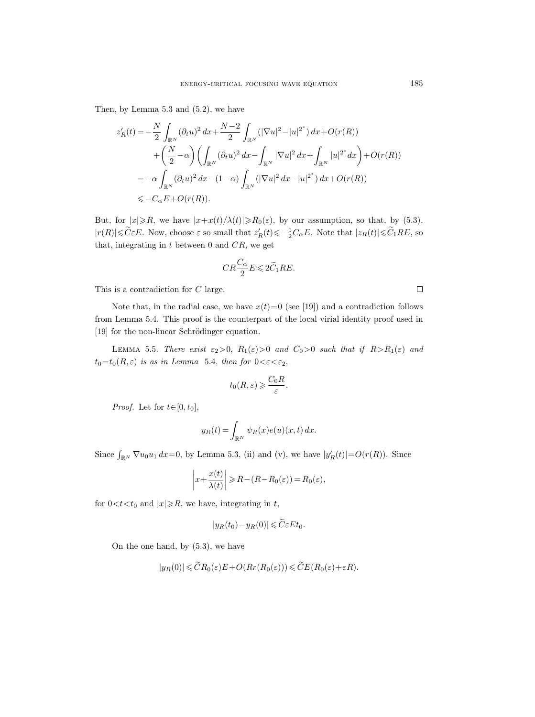Then, by Lemma 5.3 and (5.2), we have

$$
z'_{R}(t) = -\frac{N}{2} \int_{\mathbb{R}^{N}} (\partial_{t}u)^{2} dx + \frac{N-2}{2} \int_{\mathbb{R}^{N}} (|\nabla u|^{2} - |u|^{2^{*}}) dx + O(r(R))
$$
  
+  $\left(\frac{N}{2} - \alpha\right) \left(\int_{\mathbb{R}^{N}} (\partial_{t}u)^{2} dx - \int_{\mathbb{R}^{N}} |\nabla u|^{2} dx + \int_{\mathbb{R}^{N}} |u|^{2^{*}} dx\right) + O(r(R))$   
=  $-\alpha \int_{\mathbb{R}^{N}} (\partial_{t}u)^{2} dx - (1-\alpha) \int_{\mathbb{R}^{N}} (|\nabla u|^{2} dx - |u|^{2^{*}}) dx + O(r(R))$   
 $\leq -C_{\alpha}E + O(r(R)).$ 

But, for  $|x| \ge R$ , we have  $|x+x(t)/\lambda(t)| \ge R_0(\varepsilon)$ , by our assumption, so that, by (5.3),  $|r(R)| \leq \widetilde{C} \varepsilon E$ . Now, choose  $\varepsilon$  so small that  $z_R'(t) \leq -\frac{1}{2}C_{\alpha}E$ . Note that  $|z_R(t)| \leq \widetilde{C}_1RE$ , so that, integrating in  $t$  between 0 and  $CR$ , we get

$$
CR\frac{C_{\alpha}}{2}E \leqslant 2\widetilde{C}_1 RE.
$$

This is a contradiction for C large.

Note that, in the radial case, we have  $x(t)=0$  (see [19]) and a contradiction follows from Lemma 5.4. This proof is the counterpart of the local virial identity proof used in [19] for the non-linear Schrödinger equation.

LEMMA 5.5. There exist  $\varepsilon_2>0$ ,  $R_1(\varepsilon)>0$  and  $C_0>0$  such that if  $R>R_1(\varepsilon)$  and  $t_0=t_0(R,\varepsilon)$  is as in Lemma 5.4, then for  $0<\varepsilon<\varepsilon_2$ ,

$$
t_0(R,\varepsilon) \geqslant \frac{C_0R}{\varepsilon}.
$$

*Proof.* Let for  $t \in [0, t_0]$ ,

$$
y_R(t) = \int_{\mathbb{R}^N} \psi_R(x)e(u)(x,t) dx.
$$

Since  $\int_{\mathbb{R}^N} \nabla u_0 u_1 dx = 0$ , by Lemma 5.3, (ii) and (v), we have  $|y'_R(t)| = O(r(R))$ . Since

$$
\left|x + \frac{x(t)}{\lambda(t)}\right| \ge R - (R - R_0(\varepsilon)) = R_0(\varepsilon),
$$

for  $0 < t < t_0$  and  $|x| \ge R$ , we have, integrating in t,

$$
|y_R(t_0)-y_R(0)|\leqslant \widetilde{C}\varepsilon E t_0.
$$

On the one hand, by (5.3), we have

$$
|y_R(0)| \leqslant \widetilde{C}R_0(\varepsilon)E + O(Rr(R_0(\varepsilon))) \leqslant \widetilde{C}E(R_0(\varepsilon) + \varepsilon R).
$$

 $\Box$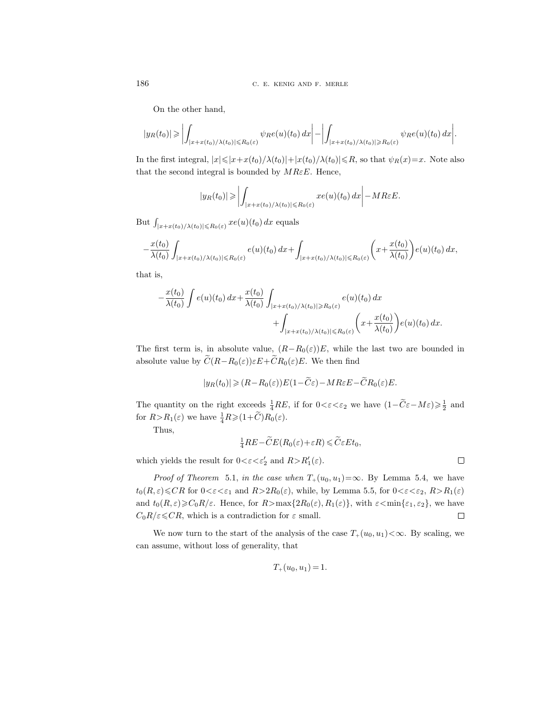On the other hand,

$$
|y_R(t_0)| \geqslant \left| \int_{|x+x(t_0)/\lambda(t_0)| \leqslant R_0(\varepsilon)} \psi_R e(u)(t_0) \, dx \right| - \left| \int_{|x+x(t_0)/\lambda(t_0)| \geqslant R_0(\varepsilon)} \psi_R e(u)(t_0) \, dx \right|.
$$

In the first integral,  $|x| \leq |x+x(t_0)/\lambda(t_0)|+|x(t_0)/\lambda(t_0)| \leq R$ , so that  $\psi_R(x)=x$ . Note also that the second integral is bounded by  $MREE$ . Hence,

$$
|y_R(t_0)| \geqslant \left| \int_{|x+x(t_0)/\lambda(t_0)| \leqslant R_0(\varepsilon)} xe(u)(t_0) dx \right| - M R \varepsilon E.
$$

But  $\int_{|x+x(t_0)/\lambda(t_0)|\leqslant R_0(\varepsilon)} xe(u)(t_0)\,dx$  equals

$$
-\frac{x(t_0)}{\lambda(t_0)}\int_{|x+x(t_0)/\lambda(t_0)|\leq R_0(\varepsilon)}e(u)(t_0)\,dx+\int_{|x+x(t_0)/\lambda(t_0)|\leq R_0(\varepsilon)}\bigg(x+\frac{x(t_0)}{\lambda(t_0)}\bigg)e(u)(t_0)\,dx,
$$

that is,

$$
-\frac{x(t_0)}{\lambda(t_0)}\int e(u)(t_0) dx + \frac{x(t_0)}{\lambda(t_0)}\int_{|x+x(t_0)/\lambda(t_0)|\ge R_0(\varepsilon)} e(u)(t_0) dx + \int_{|x+x(t_0)/\lambda(t_0)|\le R_0(\varepsilon)} \left(x + \frac{x(t_0)}{\lambda(t_0)}\right) e(u)(t_0) dx.
$$

The first term is, in absolute value,  $(R-R_0(\varepsilon))E$ , while the last two are bounded in absolute value by  $\widetilde{C}(R-R_0(\varepsilon))\varepsilon E+\widetilde{C}R_0(\varepsilon)E$ . We then find

$$
|y_R(t_0)| \geq (R - R_0(\varepsilon))E(1 - \widetilde{C}\varepsilon) - MR\varepsilon E - \widetilde{C}R_0(\varepsilon)E.
$$

The quantity on the right exceeds  $\frac{1}{4}RE$ , if for  $0 < \varepsilon < \varepsilon_2$  we have  $(1 - \widetilde{C}\varepsilon - M\varepsilon) \geq \frac{1}{2}$  and for  $R > R_1(\varepsilon)$  we have  $\frac{1}{4}R \geqslant (1+\widetilde{C})R_0(\varepsilon)$ .

Thus,

$$
\frac{1}{4}RE - \widetilde{C}E(R_0(\varepsilon) + \varepsilon R) \leqslant \widetilde{C}\varepsilon E t_0,
$$

which yields the result for  $0 < \varepsilon < \varepsilon_2'$  and  $R > R'_1(\varepsilon)$ .

*Proof of Theorem* 5.1, in the case when  $T_+(u_0, u_1) = \infty$ . By Lemma 5.4, we have  $t_0(R,\varepsilon){\leqslant}CR$  for  $0{\leqslant}\varepsilon{\leqslant}\varepsilon_1$  and  $R{\geqslant}2R_0(\varepsilon)$ , while, by Lemma 5.5, for  $0{\leqslant}\varepsilon{\leqslant}\varepsilon_2$ ,  $R{\geqslant}R_1(\varepsilon)$ and  $t_0(R,\varepsilon) \geqslant C_0R/\varepsilon$ . Hence, for  $R > \max\{2R_0(\varepsilon), R_1(\varepsilon)\}\,$ , with  $\varepsilon < \min\{\varepsilon_1, \varepsilon_2\}\,$ , we have  $C_0R/\varepsilon \leqslant CR$ , which is a contradiction for  $\varepsilon$  small.  $\Box$ 

We now turn to the start of the analysis of the case  $T_+(u_0, u_1) < \infty$ . By scaling, we can assume, without loss of generality, that

$$
T_+(u_0, u_1) = 1.
$$

 $\Box$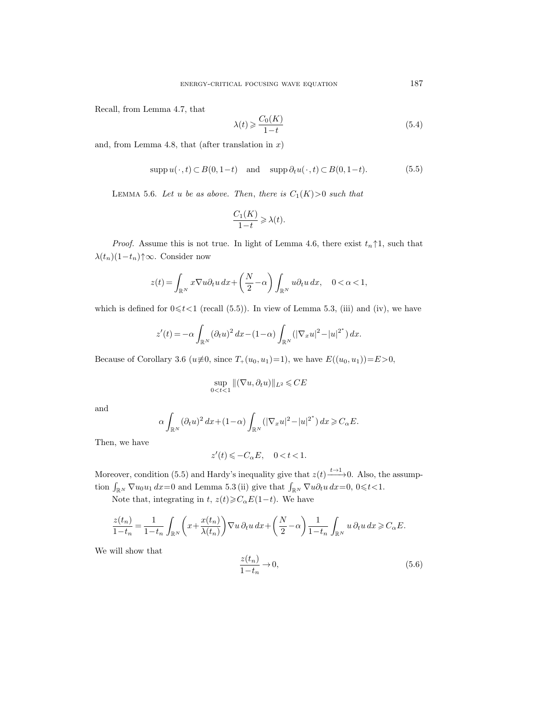Recall, from Lemma 4.7, that

$$
\lambda(t) \geqslant \frac{C_0(K)}{1-t} \tag{5.4}
$$

and, from Lemma 4.8, that (after translation in  $x$ )

$$
\operatorname{supp} u(\cdot, t) \subset B(0, 1-t) \quad \text{and} \quad \operatorname{supp} \partial_t u(\cdot, t) \subset B(0, 1-t). \tag{5.5}
$$

LEMMA 5.6. Let u be as above. Then, there is  $C_1(K) > 0$  such that

$$
\frac{C_1(K)}{1-t} \geq \lambda(t).
$$

*Proof.* Assume this is not true. In light of Lemma 4.6, there exist  $t_n \uparrow 1$ , such that  $\lambda(t_n)(1-t_n)\uparrow\infty$ . Consider now

$$
z(t) = \int_{\mathbb{R}^N} x \nabla u \partial_t u \, dx + \left(\frac{N}{2} - \alpha\right) \int_{\mathbb{R}^N} u \partial_t u \, dx, \quad 0 < \alpha < 1,
$$

which is defined for  $0 \le t < 1$  (recall (5.5)). In view of Lemma 5.3, (iii) and (iv), we have

$$
z'(t) = -\alpha \int_{\mathbb{R}^N} (\partial_t u)^2 dx - (1 - \alpha) \int_{\mathbb{R}^N} (|\nabla_x u|^2 - |u|^{2^*}) dx.
$$

Because of Corollary 3.6 ( $u \neq 0$ , since  $T_+(u_0, u_1)=1$ ), we have  $E((u_0, u_1))=E>0$ ,

$$
\sup_{0
$$

and

$$
\alpha \int_{\mathbb{R}^N} (\partial_t u )^2 \, dx + (1-\alpha) \int_{\mathbb{R}^N} \left( |\nabla_x u|^2 - |u|^{2^\ast} \right) dx \geqslant C_\alpha E.
$$

Then, we have

$$
z'(t)\leqslant -C_{\alpha}E,\quad 0
$$

Moreover, condition (5.5) and Hardy's inequality give that  $z(t) \xrightarrow{t \to 1} 0$ . Also, the assumption  $\int_{\mathbb{R}^N} \nabla u_0 u_1 dx = 0$  and Lemma 5.3 (ii) give that  $\int_{\mathbb{R}^N} \nabla u \partial_t u dx = 0, 0 \leq t < 1$ .

Note that, integrating in t,  $z(t) \geqslant C_{\alpha}E(1-t)$ . We have

$$
\frac{z(t_n)}{1-t_n} = \frac{1}{1-t_n} \int_{\mathbb{R}^N} \left( x + \frac{x(t_n)}{\lambda(t_n)} \right) \nabla u \, \partial_t u \, dx + \left( \frac{N}{2} - \alpha \right) \frac{1}{1-t_n} \int_{\mathbb{R}^N} u \, \partial_t u \, dx \geq C_{\alpha} E.
$$

We will show that

$$
\frac{z(t_n)}{1-t_n} \to 0,\tag{5.6}
$$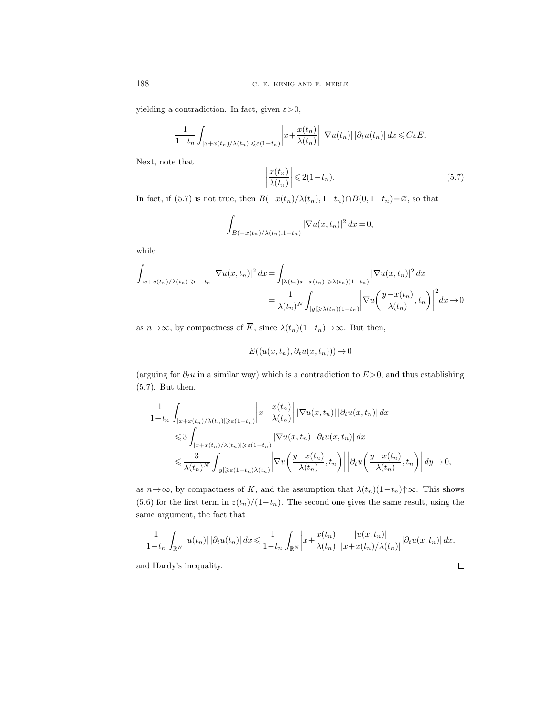yielding a contradiction. In fact, given  $\varepsilon > 0$ ,

$$
\frac{1}{1-t_n}\int_{|x+x(t_n)/\lambda(t_n)|\leqslant \varepsilon(1-t_n)}\left|x+\frac{x(t_n)}{\lambda(t_n)}\right|\left|\nabla u(t_n)\right|\left|\partial_t u(t_n)\right|dx\leqslant C\varepsilon E.
$$

Next, note that

$$
\left. \frac{x(t_n)}{\lambda(t_n)} \right| \leqslant 2(1 - t_n). \tag{5.7}
$$

In fact, if (5.7) is not true, then  $B(-x(t_n)/\lambda(t_n), 1-t_n)\cap B(0, 1-t_n)=\emptyset$ , so that

 $\begin{array}{c} \begin{array}{c} \begin{array}{c} \end{array} \\ \begin{array}{c} \end{array} \end{array} \end{array}$ 

$$
\int_{B(-x(t_n)/\lambda(t_n),1-t_n)} |\nabla u(x,t_n)|^2 dx = 0,
$$

while

$$
\int_{|x+x(t_n)/\lambda(t_n)|\geq 1-t_n} |\nabla u(x,t_n)|^2 dx = \int_{|\lambda(t_n)x+x(t_n)|\geq \lambda(t_n)(1-t_n)} |\nabla u(x,t_n)|^2 dx
$$

$$
= \frac{1}{\lambda(t_n)^N} \int_{|y|\geq \lambda(t_n)(1-t_n)} \left|\nabla u\left(\frac{y-x(t_n)}{\lambda(t_n)}, t_n\right)\right|^2 dx \to 0
$$

as  $n \rightarrow \infty$ , by compactness of  $\overline{K}$ , since  $\lambda(t_n)(1-t_n) \rightarrow \infty$ . But then,

$$
E((u(x, t_n), \partial_t u(x, t_n))) \to 0
$$

(arguing for  $\partial_t u$  in a similar way) which is a contradiction to  $E > 0$ , and thus establishing (5.7). But then,

$$
\begin{split} &\frac{1}{1-t_n}\int_{|x+x(t_n)/\lambda(t_n)|\geqslant \varepsilon(1-t_n)}\bigg|x+\frac{x(t_n)}{\lambda(t_n)}\bigg|\left|\nabla u(x,t_n)\right|\left|\partial_t u(x,t_n)\right|dx\\ &\leqslant 3\int_{|x+x(t_n)/\lambda(t_n)|\geqslant \varepsilon(1-t_n)}\left|\nabla u(x,t_n)\right|\left|\partial_t u(x,t_n)\right|dx\\ &\leqslant \frac{3}{\lambda(t_n)^N}\int_{|y|\geqslant \varepsilon(1-t_n)\lambda(t_n)}\bigg|\nabla u\bigg(\frac{y-x(t_n)}{\lambda(t_n)},t_n\bigg)\bigg|\left|\partial_t u\bigg(\frac{y-x(t_n)}{\lambda(t_n)},t_n\bigg)\right|dy\rightarrow 0, \end{split}
$$

as  $n \to \infty$ , by compactness of  $\overline{K}$ , and the assumption that  $\lambda(t_n)(1-t_n)\uparrow\infty$ . This shows (5.6) for the first term in  $z(t_n)/(1-t_n)$ . The second one gives the same result, using the same argument, the fact that

$$
\frac{1}{1-t_n}\int_{\mathbb{R}^N}|u(t_n)|\left|\partial_t u(t_n)\right|dx \leq \frac{1}{1-t_n}\int_{\mathbb{R}^N}\left|x+\frac{x(t_n)}{\lambda(t_n)}\right|\frac{|u(x,t_n)|}{|x+x(t_n)/\lambda(t_n)|}\left|\partial_t u(x,t_n)\right|dx,
$$

 $\Box$ 

and Hardy's inequality.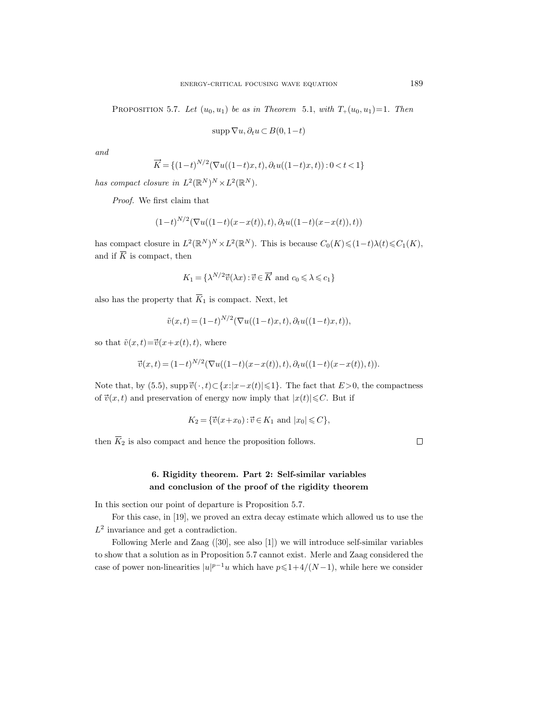PROPOSITION 5.7. Let  $(u_0, u_1)$  be as in Theorem 5.1, with  $T_+(u_0, u_1)=1$ . Then

$$
\operatorname{supp} \nabla u, \partial_t u \subset B(0, 1-t)
$$

and

$$
\overrightarrow{K} = \{ (1-t)^{N/2} (\nabla u((1-t)x, t), \partial_t u((1-t)x, t)) : 0 < t < 1 \}
$$

has compact closure in  $L^2(\mathbb{R}^N)^N \times L^2(\mathbb{R}^N)$ .

Proof. We first claim that

$$
(1-t)^{N/2}(\nabla u((1-t)(x-x(t)),t),\partial_t u((1-t)(x-x(t)),t))
$$

has compact closure in  $L^2(\mathbb{R}^N)^N \times L^2(\mathbb{R}^N)$ . This is because  $C_0(K) \leq (1-t)\lambda(t) \leq C_1(K)$ , has compact closure in  $L^2$ <br>and if  $\overline{K}$  is compact, then  $\vec{v}(\lambda x) : \vec{v} \in \overrightarrow{K}$  and  $c_0 \le \lambda \le c_1$ 

$$
K_1 = \{ \lambda^{N/2} \vec{v}(\lambda x) : \vec{v} \in \overrightarrow{K} \text{ and } c_0 \leq \lambda \leq c_1 \}
$$

also has the property that  $\overline{K}_1$  is compact. Next, let

$$
\tilde{v}(x,t) = (1-t)^{N/2} (\nabla u((1-t)x,t), \partial_t u((1-t)x,t)),
$$

 $\tilde{v}(x, t) = (1-t)^N$ <br>so that  $\tilde{v}(x, t) = \overline{v}(x+x(t), t)$ , where

so that 
$$
\tilde{v}(x,t) = \vec{v}(x+x(t),t)
$$
, where  
\n
$$
\vec{v}(x,t) = (1-t)^{N/2} (\nabla u((1-t)(x-x(t)),t), \partial_t u((1-t)(x-x(t)),t)).
$$
\nNote that, by (5.5), supp  $\vec{v}(\cdot, t) \subset \{x : |x-x(t)| \le 1\}$ . The fact that  $E > 0$ , the compactness

Note that, by (5.5), supp  $\vec{v}(\cdot, t) \subset \{x : |x - x(t)| \leq 1\}$ . The fact that  $E > 0$  of  $\vec{v}(x, t)$  and preservation of energy now imply that  $|x(t)| \leq C$ . But if of  $\vec{v}(x,t)$  and preservation of energy now imply that  $|x(t)| \leq C$ . But if

$$
K_2 = \{ \vec{v}(x + x_0) : \vec{v} \in K_1 \text{ and } |x_0| \leq C \},
$$

then  $\overline{K}_2$  is also compact and hence the proposition follows.

 $\Box$ 

# 6. Rigidity theorem. Part 2: Self-similar variables and conclusion of the proof of the rigidity theorem

In this section our point of departure is Proposition 5.7.

For this case, in [19], we proved an extra decay estimate which allowed us to use the  $L^2$  invariance and get a contradiction.

Following Merle and Zaag ([30], see also [1]) we will introduce self-similar variables to show that a solution as in Proposition 5.7 cannot exist. Merle and Zaag considered the case of power non-linearities  $|u|^{p-1}u$  which have  $p \leq 1+4/(N-1)$ , while here we consider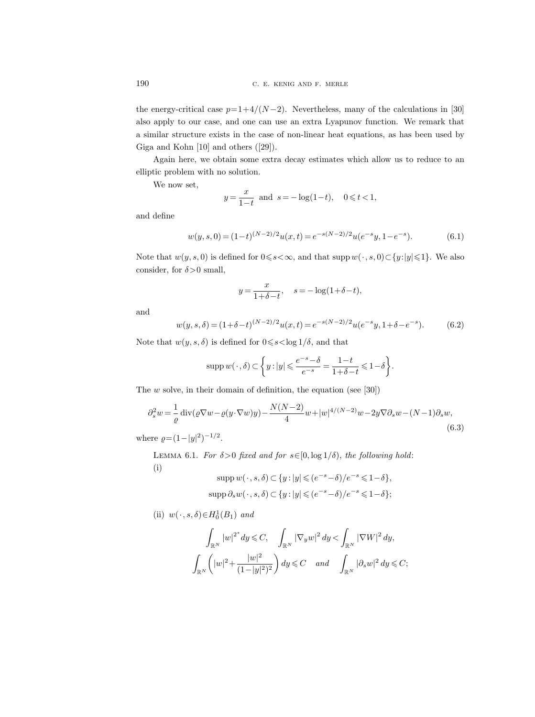the energy-critical case  $p=1+4/(N-2)$ . Nevertheless, many of the calculations in [30] also apply to our case, and one can use an extra Lyapunov function. We remark that a similar structure exists in the case of non-linear heat equations, as has been used by Giga and Kohn [10] and others ([29]).

Again here, we obtain some extra decay estimates which allow us to reduce to an elliptic problem with no solution.

We now set,

$$
y = \frac{x}{1-t}
$$
 and  $s = -\log(1-t)$ ,  $0 \le t < 1$ ,

and define

$$
w(y,s,0) = (1-t)^{(N-2)/2} u(x,t) = e^{-s(N-2)/2} u(e^{-s}y, 1 - e^{-s}).
$$
\n(6.1)

Note that  $w(y, s, 0)$  is defined for  $0 \le s < \infty$ , and that supp  $w(\cdot, s, 0) \subset \{y: |y| \le 1\}$ . We also consider, for  $\delta > 0$  small,

$$
y = \frac{x}{1+\delta-t}, \quad s = -\log(1+\delta-t),
$$

and

$$
w(y,s,\delta) = (1+\delta-t)^{(N-2)/2} u(x,t) = e^{-s(N-2)/2} u(e^{-s}y, 1+\delta-e^{-s}).
$$
 (6.2)

Note that  $w(y, s, \delta)$  is defined for  $0 \leq s < \log 1/\delta$ , and that

$$
\operatorname{supp}{w(\cdot,\delta)} \subset \left\{ y : |y| \leqslant \frac{e^{-s}-\delta}{e^{-s}} = \frac{1-t}{1+\delta-t} \leqslant 1-\delta \right\}.
$$

The  $w$  solve, in their domain of definition, the equation (see [30])

$$
\partial_s^2 w = \frac{1}{\varrho} \operatorname{div}(\varrho \nabla w - \varrho(y \cdot \nabla w)y) - \frac{N(N-2)}{4} w + |w|^{4/(N-2)} w - 2y \nabla \partial_s w - (N-1)\partial_s w,\tag{6.3}
$$

where  $\varrho = (1 - |y|^2)^{-1/2}$ .

LEMMA 6.1. For  $\delta > 0$  fixed and for  $s \in [0, \log 1/\delta)$ , the following hold: (i)

$$
\text{supp } w(\cdot, s, \delta) \subset \{y : |y| \leqslant (e^{-s} - \delta)/e^{-s} \leqslant 1 - \delta\},\
$$

$$
\text{supp } \partial_s w(\cdot, s, \delta) \subset \{y : |y| \leqslant (e^{-s} - \delta)/e^{-s} \leqslant 1 - \delta\};
$$

(ii) 
$$
w(\cdot, s, \delta) \in H_0^1(B_1)
$$
 and

$$
\int_{\mathbb{R}^N}|w|^{2^*}dy \leqslant C, \quad \int_{\mathbb{R}^N}|\nabla_y w|^2\,dy < \int_{\mathbb{R}^N}|\nabla W|^2\,dy,
$$

$$
\int_{\mathbb{R}^N}\left(|w|^2 + \frac{|w|^2}{(1-|y|^2)^2}\right)dy \leqslant C \quad and \quad \int_{\mathbb{R}^N}|\partial_s w|^2\,dy \leqslant C;
$$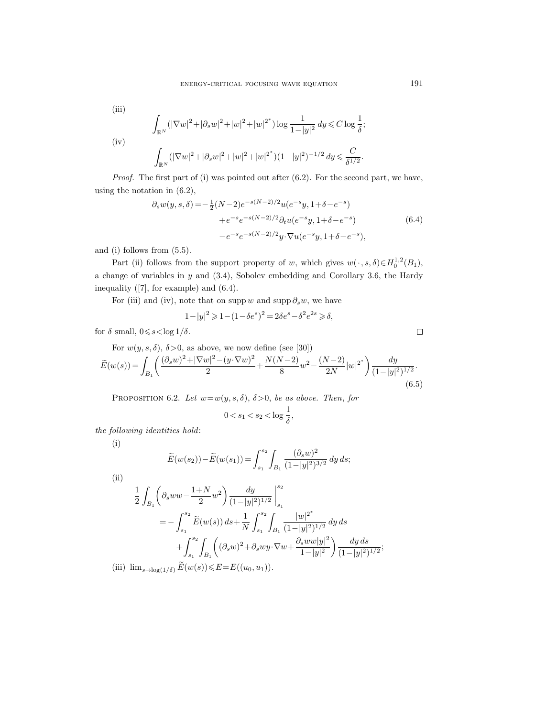(iii)

$$
\int_{\mathbb{R}^N} (|\nabla w|^2 + |\partial_s w|^2 + |w|^2 + |w|^{2^*}) \log \frac{1}{1 - |y|^2} dy \leq C \log \frac{1}{\delta};
$$
  
(iv)  

$$
\int_{\mathbb{R}^N} (|\nabla w|^2 + |\partial_s w|^2 + |w|^2 + |w|^{2^*}) (1 - |y|^2)^{-1/2} dy \leq \frac{C}{\delta^{1/2}}.
$$

Proof. The first part of (i) was pointed out after (6.2). For the second part, we have, using the notation in (6.2),

$$
\partial_s w(y, s, \delta) = -\frac{1}{2} (N-2)e^{-s(N-2)/2} u(e^{-s}y, 1+\delta - e^{-s}) \n+ e^{-s} e^{-s(N-2)/2} \partial_t u(e^{-s}y, 1+\delta - e^{-s}) \n- e^{-s} e^{-s(N-2)/2} y \cdot \nabla u(e^{-s}y, 1+\delta - e^{-s}),
$$
\n(6.4)

and (i) follows from (5.5).

Part (ii) follows from the support property of w, which gives  $w(\cdot, s, \delta) \in H_0^{1,2}(B_1)$ , a change of variables in y and (3.4), Sobolev embedding and Corollary 3.6, the Hardy inequality ([7], for example) and (6.4).

For (iii) and (iv), note that on supp w and supp  $\partial_s w$ , we have

$$
1-|y|^2 \geqslant 1-(1-\delta e^s)^2 = 2\delta e^s - \delta^2 e^{2s} \geqslant \delta,
$$

for  $\delta$  small,  $0 \leq s < \log 1/\delta$ .

For  $w(y, s, \delta)$ ,  $\delta > 0$ , as above, we now define (see [30])

$$
\widetilde{E}(w(s)) = \int_{B_1} \left( \frac{(\partial_s w)^2 + |\nabla w|^2 - (y \cdot \nabla w)^2}{2} + \frac{N(N-2)}{8} w^2 - \frac{(N-2)}{2N} |w|^{2^*} \right) \frac{dy}{(1 - |y|^2)^{1/2}}.
$$
\n(6.5)

PROPOSITION 6.2. Let  $w=w(y, s, \delta)$ ,  $\delta > 0$ , be as above. Then, for

$$
0 < s_1 < s_2 < \log \frac{1}{\delta},
$$

the following identities hold:

(i)

$$
\widetilde{E}(w(s_2)) - \widetilde{E}(w(s_1)) = \int_{s_1}^{s_2} \int_{B_1} \frac{(\partial_s w)^2}{(1 - |y|^2)^{3/2}} dy ds;
$$

(ii)  
\n
$$
\frac{1}{2} \int_{B_1} \left( \partial_s w w - \frac{1+N}{2} w^2 \right) \frac{dy}{(1-|y|^2)^{1/2}} \Big|_{s_1}^{s_2}
$$
\n
$$
= - \int_{s_1}^{s_2} \widetilde{E}(w(s)) ds + \frac{1}{N} \int_{s_1}^{s_2} \int_{B_1} \frac{|w|^{2^*}}{(1-|y|^2)^{1/2}} dy ds
$$
\n
$$
+ \int_{s_1}^{s_2} \int_{B_1} \left( (\partial_s w)^2 + \partial_s w y \cdot \nabla w + \frac{\partial_s w w |y|^2}{1-|y|^2} \right) \frac{dy ds}{(1-|y|^2)^{1/2}};
$$
\n(iii)  $\lim_{s \to \log(1/\delta)} \widetilde{E}(w(s)) \le E = E((u_0, u_1)).$ 

 $\Box$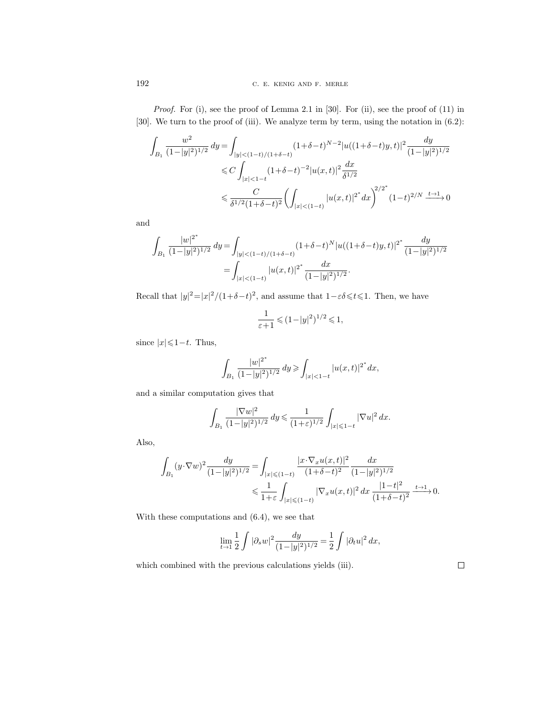Proof. For (i), see the proof of Lemma 2.1 in [30]. For (ii), see the proof of (11) in [30]. We turn to the proof of (iii). We analyze term by term, using the notation in  $(6.2)$ :

$$
\int_{B_1} \frac{w^2}{(1-|y|^2)^{1/2}} dy = \int_{|y| < (1-t)/(1+\delta-t)} (1+\delta-t)^{N-2} |u((1+\delta-t)y, t)|^2 \frac{dy}{(1-|y|^2)^{1/2}}
$$
\n
$$
\leq C \int_{|x| < 1-t} (1+\delta-t)^{-2} |u(x, t)|^2 \frac{dx}{\delta^{1/2}}
$$
\n
$$
\leq \frac{C}{\delta^{1/2} (1+\delta-t)^2} \left( \int_{|x| < (1-t)} |u(x, t)|^{2^*} dx \right)^{2/2^*} (1-t)^{2/N} \xrightarrow{t \to 1} 0
$$

and

$$
\int_{B_1} \frac{|w|^{2^*}}{(1-|y|^2)^{1/2}} dy = \int_{|y| < (1-t)/(1+\delta-t)} (1+\delta-t)^N |u((1+\delta-t)y, t)|^{2^*} \frac{dy}{(1-|y|^2)^{1/2}}
$$
  
= 
$$
\int_{|x| < (1-t)} |u(x, t)|^{2^*} \frac{dx}{(1-|y|^2)^{1/2}}.
$$

Recall that  $|y|^2 = |x|^2/(1+\delta-t)^2$ , and assume that  $1-\epsilon\delta \leq t \leq 1$ . Then, we have

$$
\frac{1}{\varepsilon+1} \leq (1-|y|^2)^{1/2} \leq 1,
$$

since  $|x| \leq 1-t$ . Thus,

$$
\int_{B_1} \frac{|w|^{2^*}}{(1-|y|^2)^{1/2}} dy \ge \int_{|x| < 1-t} |u(x,t)|^{2^*} dx,
$$

and a similar computation gives that

$$
\int_{B_1} \frac{|\nabla w|^2}{(1-|y|^2)^{1/2}} dy \le \frac{1}{(1+\varepsilon)^{1/2}} \int_{|x| \le 1-t} |\nabla u|^2 dx.
$$

Also,

$$
\int_{B_1} (y \cdot \nabla w)^2 \frac{dy}{(1-|y|^2)^{1/2}} = \int_{|x| \leqslant (1-t)} \frac{|x \cdot \nabla_x u(x,t)|^2}{(1+\delta-t)^2} \frac{dx}{(1-|y|^2)^{1/2}}\n\leq \frac{1}{1+\varepsilon} \int_{|x| \leqslant (1-t)} |\nabla_x u(x,t)|^2 dx \frac{|1-t|^2}{(1+\delta-t)^2} \xrightarrow{t \to 1} 0.
$$

With these computations and (6.4), we see that

$$
\lim_{t \to 1} \frac{1}{2} \int |\partial_s w|^2 \frac{dy}{(1 - |y|^2)^{1/2}} = \frac{1}{2} \int |\partial_t u|^2 dx,
$$

which combined with the previous calculations yields (iii).

 $\Box$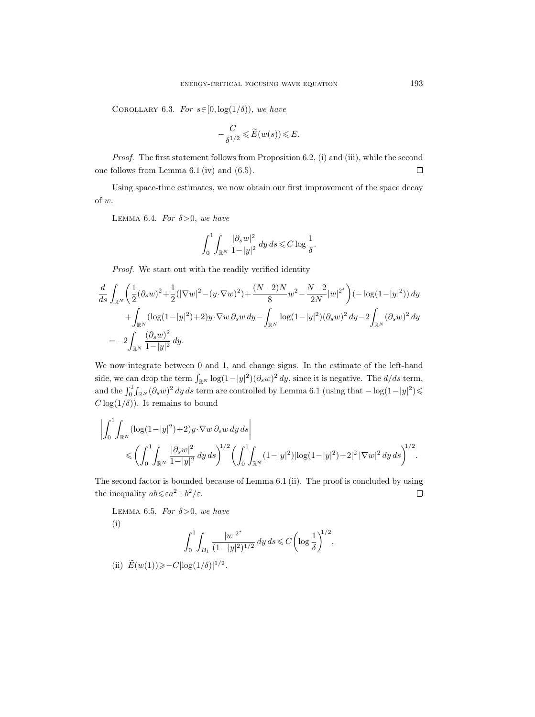COROLLARY 6.3. For  $s \in [0, \log(1/\delta))$ , we have

$$
-\frac{C}{\delta^{1/2}} \leqslant \widetilde{E}(w(s)) \leqslant E.
$$

Proof. The first statement follows from Proposition 6.2, (i) and (iii), while the second one follows from Lemma 6.1 (iv) and (6.5).  $\Box$ 

Using space-time estimates, we now obtain our first improvement of the space decay of w.

LEMMA 6.4. For  $\delta > 0$ , we have

$$
\int_0^1 \int_{\mathbb{R}^N} \frac{|\partial_s w|^2}{1 - |y|^2} \, dy \, ds \leqslant C \log \frac{1}{\delta}.
$$

Proof. We start out with the readily verified identity

$$
\frac{d}{ds} \int_{\mathbb{R}^N} \left( \frac{1}{2} (\partial_s w)^2 + \frac{1}{2} (|\nabla w|^2 - (y \cdot \nabla w)^2) + \frac{(N-2)N}{8} w^2 - \frac{N-2}{2N} |w|^{2^*} \right) (-\log(1-|y|^2)) dy
$$
  
+ 
$$
\int_{\mathbb{R}^N} (\log(1-|y|^2)+2) y \cdot \nabla w \, \partial_s w \, dy - \int_{\mathbb{R}^N} \log(1-|y|^2) (\partial_s w)^2 \, dy - 2 \int_{\mathbb{R}^N} (\partial_s w)^2 \, dy
$$
  
= 
$$
-2 \int_{\mathbb{R}^N} \frac{(\partial_s w)^2}{1-|y|^2} \, dy.
$$

We now integrate between 0 and 1, and change signs. In the estimate of the left-hand side, we can drop the term  $\int_{\mathbb{R}^N} \log(1-|y|^2)(\partial_s w)^2 dy$ , since it is negative. The  $d/ds$  term, and the  $\int_0^1 \int_{\mathbb{R}^N} (\partial_s w)^2 dy ds$  term are controlled by Lemma 6.1 (using that  $-\log(1-|y|^2)$ )  $C \log(1/\delta)$ ). It remains to bound

$$
\left| \int_0^1 \int_{\mathbb{R}^N} (\log(1-|y|^2)+2) y \cdot \nabla w \, \partial_s w \, dy \, ds \right|
$$
  
\$\leqslant \left( \int\_0^1 \int\_{\mathbb{R}^N} \frac{|\partial\_s w|^2}{1-|y|^2} \, dy \, ds \right)^{1/2} \left( \int\_0^1 \int\_{\mathbb{R}^N} (1-|y|^2) |\log(1-|y|^2)+2|^2 |\nabla w|^2 \, dy \, ds \right)^{1/2}\$.

The second factor is bounded because of Lemma 6.1 (ii). The proof is concluded by using the inequality  $ab \leqslant \varepsilon a^2 + b^2/\varepsilon$ .  $\Box$ 

LEMMA 6.5. For  $\delta > 0$ , we have (i)

$$
\int_0^1 \int_{B_1} \frac{|w|^{2^*}}{(1-|y|^2)^{1/2}} dy ds \leq C \left( \log \frac{1}{\delta} \right)^{1/2},
$$

(ii)  $\widetilde{E}(w(1)) \ge -C|\log(1/\delta)|^{1/2}$ .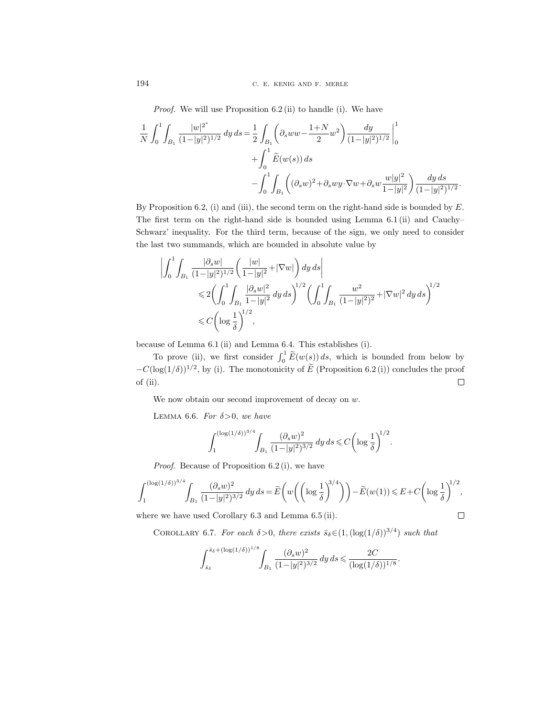194 C. E. KENIG AND F. MERLE

Proof. We will use Proposition 6.2 (ii) to handle (i). We have

$$
\frac{1}{N} \int_0^1 \int_{B_1} \frac{|w|^{2^*}}{(1-|y|^2)^{1/2}} dy ds = \frac{1}{2} \int_{B_1} \left( \partial_s w w - \frac{1+N}{2} w^2 \right) \frac{dy}{(1-|y|^2)^{1/2}} \Big|_0^1 + \int_0^1 \widetilde{E}(w(s)) ds
$$
  

$$
- \int_0^1 \int_{B_1} \left( (\partial_s w)^2 + \partial_s w y \cdot \nabla w + \partial_s w \frac{w|y|^2}{1-|y|^2} \right) \frac{dy ds}{(1-|y|^2)^{1/2}}.
$$

By Proposition 6.2, (i) and (iii), the second term on the right-hand side is bounded by  $E$ . The first term on the right-hand side is bounded using Lemma 6.1 (ii) and Cauchy– Schwarz' inequality. For the third term, because of the sign, we only need to consider the last two summands, which are bounded in absolute value by

$$
\left| \int_0^1 \int_{B_1} \frac{|\partial_s w|}{(1 - |y|^2)^{1/2}} \left( \frac{|w|}{1 - |y|^2} + |\nabla w| \right) dy ds \right|
$$
  
\$\leqslant 2 \left( \int\_0^1 \int\_{B\_1} \frac{|\partial\_s w|^2}{1 - |y|^2} dy ds \right)^{1/2} \left( \int\_0^1 \int\_{B\_1} \frac{w^2}{(1 - |y|^2)^2} + |\nabla w|^2 dy ds \right)^{1/2}\$  
\$\leqslant C \left( \log \frac{1}{\delta} \right)^{1/2},\$

because of Lemma 6.1 (ii) and Lemma 6.4. This establishes (i).

To prove (ii), we first consider  $\int_0^1 \widetilde{E}(w(s)) ds$ , which is bounded from below by  $-C(\log(1/\delta))^{1/2}$ , by (i). The monotonicity of  $E$  (Proposition 6.2(i)) concludes the proof of (ii).

We now obtain our second improvement of decay on  $w$ .

LEMMA 6.6. For  $\delta > 0$ , we have

$$
\int_{1}^{(\log(1/\delta))^{3/4}} \int_{B_1} \frac{(\partial_s w)^2}{(1-|y|^2)^{3/2}} dy ds \leq C \left( \log \frac{1}{\delta} \right)^{1/2}.
$$

Proof. Because of Proposition 6.2 (i), we have

$$
\int_1^{(\log(1/\delta))^{3/4}}\!\!\int_{B_1}\frac{(\partial_s w)^2}{(1-|y|^2)^{3/2}}\,dy\,ds = \widetilde{E}\bigg(w\bigg(\bigg(\log\frac{1}{\delta}\bigg)^{\!\!3/4}\bigg)\bigg)-\widetilde{E}(w(1))\leqslant E+C\bigg(\log\frac{1}{\delta}\bigg)^{\!\!1/2},
$$

 $\Box$ 

where we have used Corollary 6.3 and Lemma 6.5 (ii).

COROLLARY 6.7. For each  $\delta > 0$ , there exists  $\bar{s}_{\delta} \in (1, (\log(1/\delta))^{3/4})$  such that

$$
\int_{\bar{s}_\delta}^{\bar{s}_\delta + (\log(1/\delta))^{1/8}} \int_{B_1} \frac{(\partial_s w)^2}{(1 - |y|^2)^{3/2}} dy ds \leq \frac{2C}{(\log(1/\delta))^{1/8}}.
$$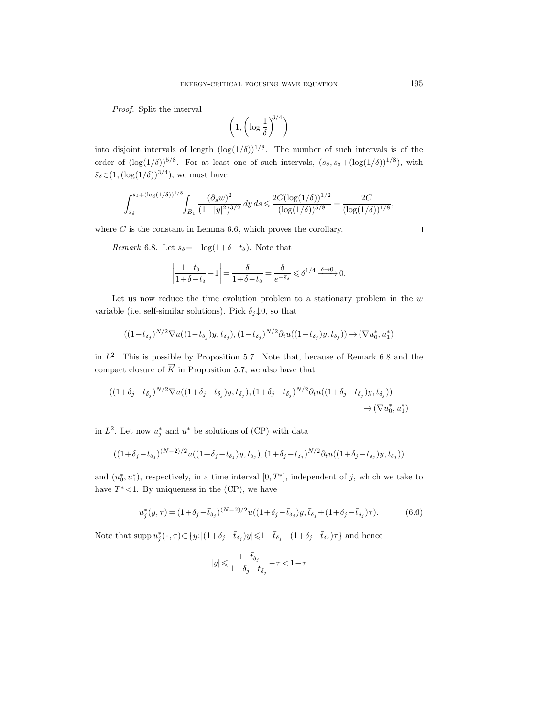Proof. Split the interval

$$
\left(1, \left(\log \frac{1}{\delta}\right)^{3/4}\right)
$$

into disjoint intervals of length  $(\log(1/\delta))^{1/8}$ . The number of such intervals is of the order of  $(\log(1/\delta))^{5/8}$ . For at least one of such intervals,  $(\bar{s}_{\delta}, \bar{s}_{\delta} + (\log(1/\delta))^{1/8})$ , with  $\bar{s}_{\delta} \in (1, (\log(1/\delta))^{3/4})$ , we must have

$$
\int_{\bar{s}_\delta}^{\bar{s}_\delta + (\log(1/\delta))^{1/8}} \int_{B_1} \frac{(\partial_s w)^2}{(1-|y|^2)^{3/2}}\,dy\,ds \leqslant \frac{2C (\log(1/\delta))^{1/2}}{(\log(1/\delta))^{5/8}} = \frac{2C}{(\log(1/\delta))^{1/8}},
$$

where  $C$  is the constant in Lemma 6.6, which proves the corollary.

*Remark* 6.8. Let  $\bar{s}_{\delta} = -\log(1+\delta-\bar{t}_{\delta})$ . Note that

$$
\left|\frac{1-\bar{t}_\delta}{1+\delta-\bar{t}_\delta}-1\right|=\frac{\delta}{1+\delta-\bar{t}_\delta}=\frac{\delta}{e^{-\bar{s}_\delta}}\leqslant \delta^{1/4}\xrightarrow{\delta\to 0}0.
$$

Let us now reduce the time evolution problem to a stationary problem in the  $w$ variable (i.e. self-similar solutions). Pick  $\delta_j \downarrow 0$ , so that

$$
((1-\bar{t}_{\delta_j})^{N/2} \nabla u((1-\bar{t}_{\delta_j})y, \bar{t}_{\delta_j}), (1-\bar{t}_{\delta_j})^{N/2} \partial_t u((1-\bar{t}_{\delta_j})y, \bar{t}_{\delta_j})) \rightarrow (\nabla u_0^*, u_1^*)
$$

in  $L^2$ . This is possible by Proposition 5.7. Note that, because of Remark 6.8 and the in  $L^2$ . This is possible by Proposition 5.7. Note that, becompact closure of  $\overrightarrow{K}$  in Proposition 5.7, we also have that

$$
((1+\delta_j-\bar{t}_{\delta_j})^{N/2}\nabla u((1+\delta_j-\bar{t}_{\delta_j})y,\bar{t}_{\delta_j}), (1+\delta_j-\bar{t}_{\delta_j})^{N/2}\partial_t u((1+\delta_j-\bar{t}_{\delta_j})y,\bar{t}_{\delta_j}))\rightarrow (\nabla u_0^*, u_1^*)
$$

in  $L^2$ . Let now  $u_j^*$  and  $u^*$  be solutions of (CP) with data

$$
((1+\delta_j-\bar{t}_{\delta_j})^{(N-2)/2}u((1+\delta_j-\bar{t}_{\delta_j})y,\bar{t}_{\delta_j}),(1+\delta_j-\bar{t}_{\delta_j})^{N/2}\partial_t u((1+\delta_j-\bar{t}_{\delta_j})y,\bar{t}_{\delta_j}))
$$

and  $(u_0^*, u_1^*)$ , respectively, in a time interval  $[0, T^*]$ , independent of j, which we take to have  $T^*$ <1. By uniqueness in the  $(CP)$ , we have

$$
u_j^*(y,\tau) = (1+\delta_j - \bar{t}_{\delta_j})^{(N-2)/2} u((1+\delta_j - \bar{t}_{\delta_j})y, \bar{t}_{\delta_j} + (1+\delta_j - \bar{t}_{\delta_j})\tau). \tag{6.6}
$$

Note that  $\text{supp } u_j^*(\cdot, \tau) \subset \{y: |(1+\delta_j - \bar{t}_{\delta_j})y| \leqslant 1 - \bar{t}_{\delta_j} - (1+\delta_j - \bar{t}_{\delta_j})\tau\}$  and hence

$$
|y|\leqslant \frac{1-\bar{t}_{\delta_j}}{1+\delta_j-\bar{t}_{\delta_j}}-\tau<1-\tau
$$

 $\Box$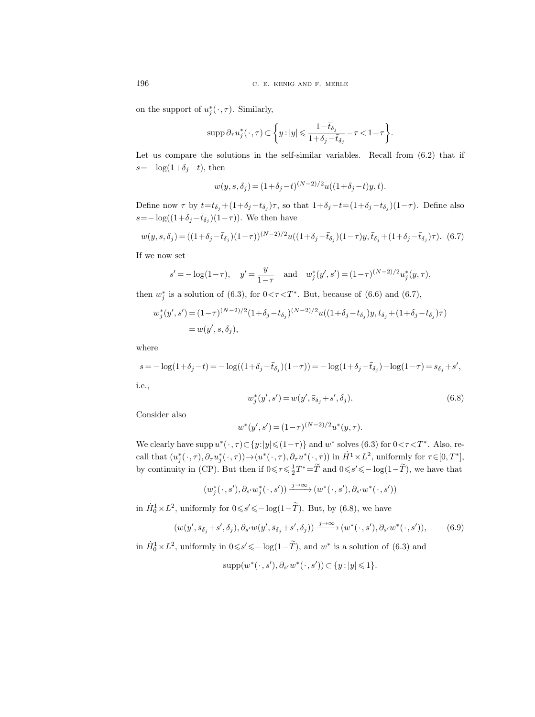on the support of  $u_j^*(\cdot, \tau)$ . Similarly,

$$
\operatorname{supp} \partial_\tau u_j^*(\,\cdot\,,\tau)\subset\bigg\{y: |y|\leqslant \frac{1-\bar t_{\delta_j}}{1+\delta_j-\bar t_{\delta_j}}-\tau<1-\tau\bigg\}.
$$

Let us compare the solutions in the self-similar variables. Recall from (6.2) that if  $s=-\log(1+\delta_j-t)$ , then

$$
w(y, s, \delta_j) = (1 + \delta_j - t)^{(N-2)/2} u((1 + \delta_j - t)y, t).
$$

Define now  $\tau$  by  $t = \bar{t}_{\delta_j} + (1 + \delta_j - \bar{t}_{\delta_j})\tau$ , so that  $1 + \delta_j - t = (1 + \delta_j - \bar{t}_{\delta_j})(1 - \tau)$ . Define also  $s = -\log((1+\delta_j-\bar{t}_{\delta_j})(1-\tau))$ . We then have

$$
w(y, s, \delta_j) = ((1 + \delta_j - \bar{t}_{\delta_j})(1 - \tau))^{(N-2)/2} u((1 + \delta_j - \bar{t}_{\delta_j})(1 - \tau)y, \bar{t}_{\delta_j} + (1 + \delta_j - \bar{t}_{\delta_j})\tau). \tag{6.7}
$$

If we now set

$$
s' = -\log(1-\tau)
$$
,  $y' = \frac{y}{1-\tau}$  and  $w_j^*(y', s') = (1-\tau)^{(N-2)/2} u_j^*(y, \tau)$ ,

then  $w_j^*$  is a solution of (6.3), for  $0 < \tau < T^*$ . But, because of (6.6) and (6.7),

$$
w_j^*(y', s') = (1 - \tau)^{(N-2)/2} (1 + \delta_j - \bar{t}_{\delta_j})^{(N-2)/2} u((1 + \delta_j - \bar{t}_{\delta_j}) y, \bar{t}_{\delta_j} + (1 + \delta_j - \bar{t}_{\delta_j}) \tau)
$$
  
=  $w(y', s, \delta_j)$ ,

where

$$
s = -\log(1 + \delta_j - t) = -\log((1 + \delta_j - \bar{t}_{\delta_j})(1 - \tau)) = -\log(1 + \delta_j - \bar{t}_{\delta_j}) - \log(1 - \tau) = \bar{s}_{\delta_j} + s',
$$

i.e.,

$$
w_j^*(y', s') = w(y', \bar{s}_{\delta_j} + s', \delta_j).
$$
\n(6.8)

Consider also

$$
w^*(y', s') = (1 - \tau)^{(N-2)/2} u^*(y, \tau).
$$

We clearly have supp  $u^*(\cdot, \tau) \subset \{y : |y| \leq (1 - \tau)\}\$  and  $w^*$  solves (6.3) for  $0 < \tau < T^*$ . Also, recall that  $(u_j^*(\cdot, \tau), \partial_\tau u_j^*(\cdot, \tau)) \to (u^*(\cdot, \tau), \partial_\tau u^*(\cdot, \tau))$  in  $\dot{H}^1 \times L^2$ , uniformly for  $\tau \in [0, T^*]$ , by continuity in (CP). But then if  $0 \le \tau \le \frac{1}{2}T^* = \tilde{T}$  and  $0 \le s' \le -\log(1-\tilde{T})$ , we have that

$$
(w_j^*(\,\cdot\,,s'),\partial_{s'} w_j^*(\,\cdot\,,s'))\xrightarrow{j\to\infty} (w^*(\,\cdot\,,s'),\partial_{s'} w^*(\,\cdot\,,s'))
$$

in  $\dot{H}_0^1 \times L^2$ , uniformly for  $0 \le s' \le -\log(1-\tilde{T})$ . But, by (6.8), we have

$$
(w(y', \bar{s}_{\delta_j} + s', \delta_j), \partial_{s'} w(y', \bar{s}_{\delta_j} + s', \delta_j)) \xrightarrow{j \to \infty} (w^*(\cdot, s'), \partial_{s'} w^*(\cdot, s')), \qquad (6.9)
$$

in  $\dot{H}_0^1 \times L^2$ , uniformly in  $0 \le s' \le -\log(1-\tilde{T})$ , and  $w^*$  is a solution of (6.3) and

$$
supp(w^*(\cdot, s'), \partial_{s'}w^*(\cdot, s')) \subset \{y : |y| \leq 1\}.
$$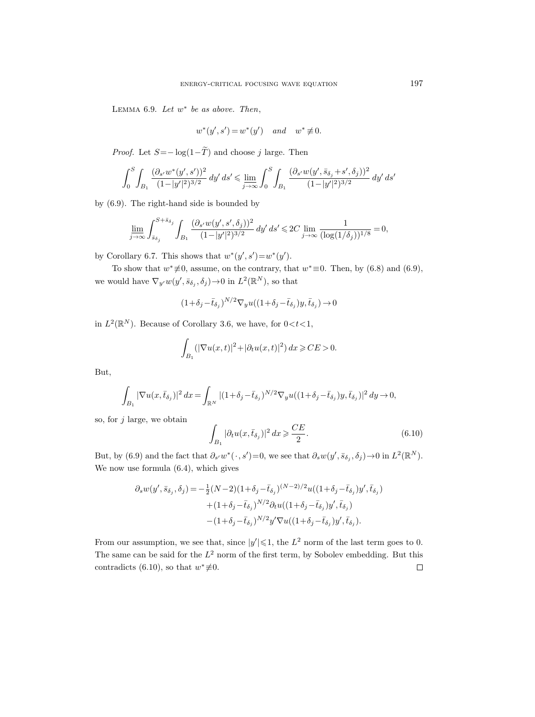LEMMA 6.9. Let  $w^*$  be as above. Then,

$$
w^*(y',s') = w^*(y') \quad and \quad w^* \not\equiv 0.
$$

*Proof.* Let  $S = -\log(1-\tilde{T})$  and choose j large. Then

$$
\int_0^S \int_{B_1} \frac{(\partial_{s'} w^*(y', s'))^2}{(1 - |y'|^2)^{3/2}} dy' ds' \le \lim_{j \to \infty} \int_0^S \int_{B_1} \frac{(\partial_{s'} w(y', \bar{s}_{\delta_j} + s', \delta_j))^2}{(1 - |y'|^2)^{3/2}} dy' ds'
$$

by (6.9). The right-hand side is bounded by

$$
\varliminf_{j\to\infty}\int_{\bar{s}_{\delta_j}}^{S+\bar{s}_{\delta_j}}\int_{B_1}\frac{(\partial_{s'} w(y',s',\delta_j))^2}{(1-|y'|^2)^{3/2}}\,dy'\,ds'\leqslant 2C\varliminf_{j\to\infty}\frac{1}{(\log(1/\delta_j))^{1/8}}=0,
$$

by Corollary 6.7. This shows that  $w^*(y', s') = w^*(y')$ .

To show that  $w^* \neq 0$ , assume, on the contrary, that  $w^* \equiv 0$ . Then, by (6.8) and (6.9), we would have  $\nabla_{y'} w(y', \bar{s}_{\delta_j}, \delta_j) \to 0$  in  $L^2(\mathbb{R}^N)$ , so that

$$
(1+\delta_j-\bar{t}_{\delta_j})^{N/2}\nabla_y u((1+\delta_j-\bar{t}_{\delta_j})y,\bar{t}_{\delta_j})\rightarrow 0
$$

in  $L^2(\mathbb{R}^N)$ . Because of Corollary 3.6, we have, for  $0 < t < 1$ ,

$$
\int_{B_1} (|\nabla u(x,t)|^2 + |\partial_t u(x,t)|^2) dx \geq CE > 0.
$$

But,

$$
\int_{B_1} |\nabla u(x,\bar t_{\delta_j})|^2\,dx = \int_{\mathbb{R}^N} |(1+\delta_j-\bar t_{\delta_j})^{N/2}\nabla_y u((1+\delta_j-\bar t_{\delta_j})y,\bar t_{\delta_j})|^2\,dy \to 0,
$$

so, for  $j$  large, we obtain

$$
\int_{B_1} |\partial_t u(x, \bar{t}_{\delta_j})|^2 dx \geqslant \frac{CE}{2}.
$$
\n(6.10)

But, by (6.9) and the fact that  $\partial_{s'} w^* (\cdot, s') = 0$ , we see that  $\partial_s w(y', \bar{s}_{\delta_j}, \delta_j) \to 0$  in  $L^2(\mathbb{R}^N)$ . We now use formula (6.4), which gives

$$
\partial_s w(y', \bar{s}_{\delta_j}, \delta_j) = -\frac{1}{2} (N-2)(1+\delta_j - \bar{t}_{\delta_j})^{(N-2)/2} u((1+\delta_j - \bar{t}_{\delta_j}) y', \bar{t}_{\delta_j}) \n+ (1+\delta_j - \bar{t}_{\delta_j})^{N/2} \partial_t u((1+\delta_j - \bar{t}_{\delta_j}) y', \bar{t}_{\delta_j}) \n- (1+\delta_j - \bar{t}_{\delta_j})^{N/2} y' \nabla u((1+\delta_j - \bar{t}_{\delta_j}) y', \bar{t}_{\delta_j}).
$$

From our assumption, we see that, since  $|y'| \leq 1$ , the  $L^2$  norm of the last term goes to 0. The same can be said for the  $L^2$  norm of the first term, by Sobolev embedding. But this contradicts (6.10), so that  $w^* \not\equiv 0$ .  $\Box$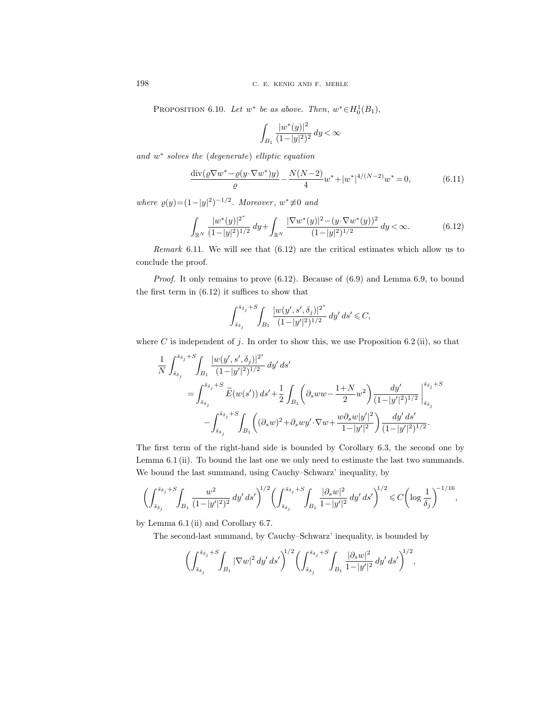PROPOSITION 6.10. Let  $w^*$  be as above. Then,  $w^* \in H_0^1(B_1)$ ,

$$
\int_{B_1} \frac{|w^*(y)|^2}{(1-|y|^2)^2} \, dy < \infty
$$

and w<sup>\*</sup> solves the (degenerate) elliptic equation

$$
\frac{\operatorname{div}(\varrho \nabla w^* - \varrho(y \cdot \nabla w^*)y)}{\varrho} - \frac{N(N-2)}{4} w^* + |w^*|^{4/(N-2)} w^* = 0,\tag{6.11}
$$

where  $\varrho(y)=(1-|y|^2)^{-1/2}$ . Moreover,  $w^*\neq 0$  and

$$
\int_{\mathbb{R}^N} \frac{|w^*(y)|^{2^*}}{(1-|y|^2)^{1/2}} dy + \int_{\mathbb{R}^N} \frac{|\nabla w^*(y)|^2 - (y \cdot \nabla w^*(y))^2}{(1-|y|^2)^{1/2}} dy < \infty.
$$
 (6.12)

Remark 6.11. We will see that (6.12) are the critical estimates which allow us to conclude the proof.

*Proof.* It only remains to prove  $(6.12)$ . Because of  $(6.9)$  and Lemma 6.9, to bound the first term in (6.12) it suffices to show that

$$
\int_{\bar{s}_{\delta_j}}^{\bar{s}_{\delta_j}+S}\!\!\int_{B_1}\frac{|w(y',s',\delta_j)|^{2^*}}{(1\!-\!|y'|^2)^{1/2}}\,dy'\,ds'\leqslant C,
$$

where C is independent of j. In order to show this, we use Proposition 6.2 (ii), so that

$$
\begin{split} &\frac{1}{N}\int_{\bar{s}_{\delta_j}}^{\bar{s}_{\delta_j}+S}\!\!\int_{B_1}\frac{|w(y',s',\delta_j)|^{2^*}}{(1-|y'|^2)^{1/2}}\,dy'\,ds'\\ &=\int_{\bar{s}_{\delta_j}}^{\bar{s}_{\delta_j}+S}\widetilde{E}(w(s'))\,ds' +\frac{1}{2}\int_{B_1}\!\left(\partial_sww-\frac{1+N}{2}w^2\right)\!\frac{dy'}{(1-|y'|^2)^{1/2}}\left|_{\bar{s}_{\delta_j}}^{\bar{s}_{\delta_j}+S}\\ &\quad-\int_{\bar{s}_{\delta_j}}^{\bar{s}_{\delta_j}+S}\!\int_{B_1}\!\left((\partial_sw)^2+\partial_swy'\!\cdot\!\nabla w+\frac{w\partial_sw|y'|^2}{1-|y'|^2}\right)\!\frac{dy'\,ds'}{(1-|y'|^2)^{1/2}}. \end{split}
$$

The first term of the right-hand side is bounded by Corollary 6.3, the second one by Lemma 6.1 (ii). To bound the last one we only need to estimate the last two summands. We bound the last summand, using Cauchy–Schwarz' inequality, by

$$
\biggl(\int_{\bar{s}_{\delta_j}}^{\bar{s}_{\delta_j}+S}\!\!\int_{B_1}\frac{w^2}{(1-|y'|^2)^2}\,dy'\,ds'\biggr)^{\!\!1/2}\biggl(\int_{\bar{s}_{\delta_j}}^{\bar{s}_{\delta_j}+S}\!\!\int_{B_1}\frac{|\partial_s w|^2}{1-|y'|^2}\,dy'\,ds'\biggr)^{\!\!1/2}\leqslant C\biggl(\log\frac{1}{\delta_j}\biggr)^{\!\!-1/16},
$$

by Lemma 6.1 (ii) and Corollary 6.7.

The second-last summand, by Cauchy–Schwarz' inequality, is bounded by

$$
\left(\int_{\bar{s}_{\delta_j}}^{\bar{s}_{\delta_j}+S}\!\!\int_{B_1}|\nabla w|^2\,dy'\,ds'\right)^{\!\!1/2}\!\left(\int_{\bar{s}_{\delta_j}}^{\bar{s}_{\delta_j}+S}\!\!\int_{B_1}\frac{|\partial_s w|^2}{1-|y'|^2}\,dy'\,ds'\right)^{\!\!1/2},
$$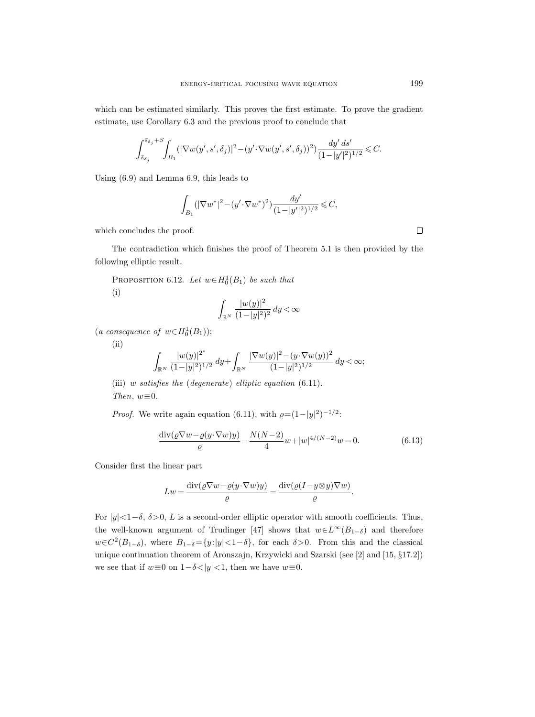which can be estimated similarly. This proves the first estimate. To prove the gradient estimate, use Corollary 6.3 and the previous proof to conclude that

$$
\int_{\bar{s}_{\delta_j}}^{\bar{s}_{\delta_j}+S}\!\!\int_{B_1} (|\nabla w(y',s',\delta_j)|^2-(y'\!\cdot\!\nabla w(y',s',\delta_j))^2) \frac{dy'\,ds'}{(1\!-\!|y'|^2)^{1/2}}\leqslant C.
$$

Using (6.9) and Lemma 6.9, this leads to

$$
\int_{B_1} (|\nabla w^*|^2 - (y' \cdot \nabla w^*)^2) \frac{dy'}{(1 - |y'|^2)^{1/2}} \leq C,
$$

which concludes the proof.

The contradiction which finishes the proof of Theorem 5.1 is then provided by the following elliptic result.

PROPOSITION 6.12. Let  $w \in H_0^1(B_1)$  be such that (i)

$$
\int_{\mathbb{R}^N} \frac{|w(y)|^2}{(1-|y|^2)^2} \, dy < \infty
$$

(a consequence of  $w \in H_0^1(B_1)$ );

 $(ii)$ 

$$
\int_{\mathbb{R}^N} \frac{|w(y)|^{2^*}}{(1-|y|^2)^{1/2}} \, dy + \int_{\mathbb{R}^N} \frac{|\nabla w(y)|^2 - (y \cdot \nabla w(y))^2}{(1-|y|^2)^{1/2}} \, dy < \infty;
$$

(iii) w satisfies the (degenerate) elliptic equation (6.11). Then,  $w \equiv 0$ .

*Proof.* We write again equation (6.11), with  $\rho = (1 - |y|^2)^{-1/2}$ .

$$
\frac{\operatorname{div}(\varrho \nabla w - \varrho(y \cdot \nabla w)y)}{\varrho} - \frac{N(N-2)}{4} w + |w|^{4/(N-2)} w = 0. \tag{6.13}
$$

Consider first the linear part

$$
Lw = \frac{\operatorname{div}(\varrho \nabla w - \varrho(y \cdot \nabla w)y)}{\varrho} = \frac{\operatorname{div}(\varrho (I - y \otimes y) \nabla w)}{\varrho}.
$$

For  $|y| < 1-\delta$ ,  $\delta > 0$ , L is a second-order elliptic operator with smooth coefficients. Thus, the well-known argument of Trudinger [47] shows that  $w\in L^{\infty}(B_{1-\delta})$  and therefore  $w \in C^2(B_{1-\delta}),$  where  $B_{1-\delta} = \{y: |y| < 1-\delta\},$  for each  $\delta > 0$ . From this and the classical unique continuation theorem of Aronszajn, Krzywicki and Szarski (see [2] and [15, §17.2]) we see that if  $w \equiv 0$  on  $1-\delta < |y| < 1$ , then we have  $w \equiv 0$ .

 $\Box$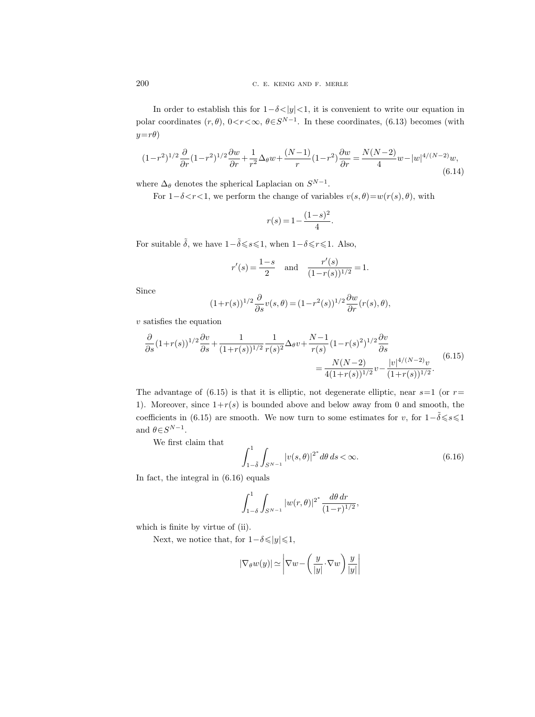In order to establish this for  $1-\delta < |y| < 1$ , it is convenient to write our equation in polar coordinates  $(r, \theta)$ ,  $0 < r < \infty$ ,  $\theta \in S^{N-1}$ . In these coordinates, (6.13) becomes (with  $y=r\theta$ )

$$
(1-r^2)^{1/2} \frac{\partial}{\partial r} (1-r^2)^{1/2} \frac{\partial w}{\partial r} + \frac{1}{r^2} \Delta_\theta w + \frac{(N-1)}{r} (1-r^2) \frac{\partial w}{\partial r} = \frac{N(N-2)}{4} w - |w|^{4/(N-2)} w,
$$
\n(6.14)

where  $\Delta_{\theta}$  denotes the spherical Laplacian on  $S^{N-1}$ .

For  $1-\delta \lt r \lt 1$ , we perform the change of variables  $v(s, \theta) = w(r(s), \theta)$ , with

$$
r(s) = 1 - \frac{(1 - s)^2}{4}.
$$

For suitable  $\tilde{\delta}$ , we have  $1-\tilde{\delta} \leqslant s \leqslant 1$ , when  $1-\delta \leqslant r \leqslant 1$ . Also,

$$
r'(s) = \frac{1-s}{2}
$$
 and  $\frac{r'(s)}{(1-r(s))^{1/2}} = 1.$ 

Since

$$
(1+r(s))^{1/2}\frac{\partial}{\partial s}v(s,\theta)=(1-r^2(s))^{1/2}\frac{\partial w}{\partial r}(r(s),\theta),
$$

 $\boldsymbol{v}$  satisfies the equation

$$
\frac{\partial}{\partial s} (1+r(s))^{1/2} \frac{\partial v}{\partial s} + \frac{1}{(1+r(s))^{1/2}} \frac{1}{r(s)^2} \Delta_\theta v + \frac{N-1}{r(s)} (1-r(s)^2)^{1/2} \frac{\partial v}{\partial s} \n= \frac{N(N-2)}{4(1+r(s))^{1/2}} v - \frac{|v|^{4/(N-2)} v}{(1+r(s))^{1/2}}.
$$
\n(6.15)

The advantage of (6.15) is that it is elliptic, not degenerate elliptic, near  $s=1$  (or  $r=$ 1). Moreover, since  $1+r(s)$  is bounded above and below away from 0 and smooth, the coefficients in (6.15) are smooth. We now turn to some estimates for v, for  $1-\tilde{\delta} \leq s \leq 1$ and  $\theta \in S^{N-1}$ .

We first claim that

$$
\int_{1-\tilde{\delta}}^{1} \int_{S^{N-1}} |v(s,\theta)|^{2^*} d\theta \, ds < \infty. \tag{6.16}
$$

,

In fact, the integral in (6.16) equals

$$
\int_{1-\delta}^{1} \int_{S^{N-1}} |w(r,\theta)|^{2^*} \frac{d\theta \, dr}{(1-r)^{1/2}}
$$

which is finite by virtue of (ii).

Next, we notice that, for  $1-\delta \leqslant |y| \leqslant 1$ ,

$$
|\nabla_{\theta} w(y)| \simeq \left| \nabla w - \left( \frac{y}{|y|} \cdot \nabla w \right) \frac{y}{|y|} \right|
$$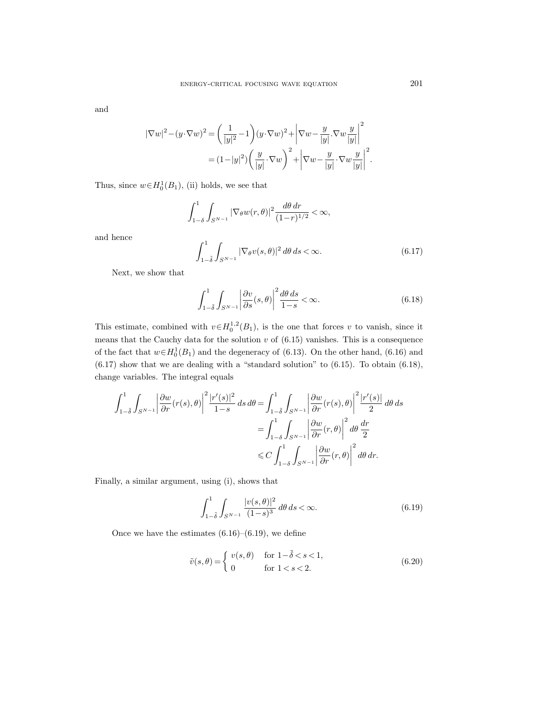and

and hence

$$
|\nabla w|^2 - (y \cdot \nabla w)^2 = \left(\frac{1}{|y|^2} - 1\right)(y \cdot \nabla w)^2 + \left|\nabla w - \frac{y}{|y|} \cdot \nabla w \frac{y}{|y|}\right|^2
$$

$$
= (1 - |y|^2) \left(\frac{y}{|y|} \cdot \nabla w\right)^2 + \left|\nabla w - \frac{y}{|y|} \cdot \nabla w \frac{y}{|y|}\right|^2.
$$

Thus, since  $w \in H_0^1(B_1)$ , (ii) holds, we see that

$$
\int_{1-\delta}^{1} \int_{S^{N-1}} |\nabla_{\theta} w(r,\theta)|^2 \frac{d\theta dr}{(1-r)^{1/2}} < \infty,
$$

$$
\int_{1-\tilde{\delta}}^{1} \int_{S^{N-1}} |\nabla_{\theta} v(s,\theta)|^2 d\theta ds < \infty.
$$
(6.17)

Next, we show that

$$
\int_{1-\tilde{\delta}}^{1} \int_{S^{N-1}} \left| \frac{\partial v}{\partial s}(s,\theta) \right|^2 \frac{d\theta ds}{1-s} < \infty.
$$
 (6.18)

This estimate, combined with  $v \in H_0^{1,2}(B_1)$ , is the one that forces v to vanish, since it means that the Cauchy data for the solution  $v$  of  $(6.15)$  vanishes. This is a consequence of the fact that  $w \in H_0^1(B_1)$  and the degeneracy of (6.13). On the other hand, (6.16) and  $(6.17)$  show that we are dealing with a "standard solution" to  $(6.15)$ . To obtain  $(6.18)$ , change variables. The integral equals

$$
\int_{1-\tilde{\delta}}^1 \int_{S^{N-1}} \left| \frac{\partial w}{\partial r}(r(s), \theta) \right|^2 \frac{|r'(s)|^2}{1-s} ds d\theta = \int_{1-\tilde{\delta}}^1 \int_{S^{N-1}} \left| \frac{\partial w}{\partial r}(r(s), \theta) \right|^2 \frac{|r'(s)|}{2} d\theta ds
$$
  

$$
= \int_{1-\delta}^1 \int_{S^{N-1}} \left| \frac{\partial w}{\partial r}(r, \theta) \right|^2 d\theta \frac{dr}{2}
$$
  

$$
\leq C \int_{1-\delta}^1 \int_{S^{N-1}} \left| \frac{\partial w}{\partial r}(r, \theta) \right|^2 d\theta dr.
$$

Finally, a similar argument, using (i), shows that

$$
\int_{1-\tilde{\delta}}^{1} \int_{S^{N-1}} \frac{|v(s,\theta)|^2}{(1-s)^3} \, d\theta \, ds < \infty. \tag{6.19}
$$

Once we have the estimates  $(6.16)$ – $(6.19)$ , we define

$$
\tilde{v}(s,\theta) = \begin{cases}\nv(s,\theta) & \text{for } 1-\tilde{\delta} < s < 1, \\
0 & \text{for } 1 < s < 2.\n\end{cases} \tag{6.20}
$$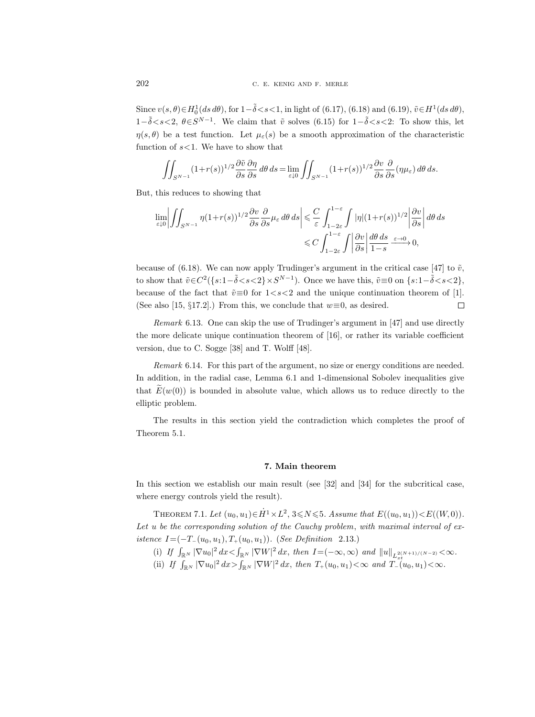Since  $v(s, \theta) \in H_0^1(ds \, d\theta)$ , for  $1-\tilde{\delta} < s < 1$ , in light of (6.17), (6.18) and (6.19),  $\tilde{v} \in H^1(ds \, d\theta)$ , 1− $\tilde{\delta}$  < s < 2,  $\theta \in S^{N-1}$ . We claim that  $\tilde{v}$  solves (6.15) for 1− $\tilde{\delta}$  < s < 2: To show this, let  $\eta(s,\theta)$  be a test function. Let  $\mu_{\varepsilon}(s)$  be a smooth approximation of the characteristic function of  $s$ <1. We have to show that

$$
\iint_{S^{N-1}} (1+r(s))^{1/2} \frac{\partial \tilde{v}}{\partial s} \frac{\partial \eta}{\partial s} d\theta ds = \lim_{\varepsilon \downarrow 0} \iint_{S^{N-1}} (1+r(s))^{1/2} \frac{\partial v}{\partial s} \frac{\partial}{\partial s} (\eta \mu_{\varepsilon}) d\theta ds.
$$

But, this reduces to showing that

$$
\lim_{\varepsilon \downarrow 0} \left| \iint_{S^{N-1}} \eta (1+r(s))^{1/2} \frac{\partial v}{\partial s} \frac{\partial}{\partial s} \mu_{\varepsilon} d\theta ds \right| \leq \frac{C}{\varepsilon} \int_{1-2\varepsilon}^{1-\varepsilon} \int_{1/2\varepsilon} |\eta| (1+r(s))^{1/2} \left| \frac{\partial v}{\partial s} \right| d\theta ds
$$
  

$$
\leq C \int_{1-2\varepsilon}^{1-\varepsilon} \int_{1/2\varepsilon} \left| \frac{\partial v}{\partial s} \right| \frac{d\theta ds}{1-s} \xrightarrow{\varepsilon \to 0} 0,
$$

because of (6.18). We can now apply Trudinger's argument in the critical case [47] to  $\tilde{v}$ , to show that  $\tilde{v} \in C^2({s: 1-\tilde{\delta} < s < 2} \times S^{N-1})$ . Once we have this,  $\tilde{v} \equiv 0$  on  ${s: 1-\tilde{\delta} < s < 2}$ , because of the fact that  $\tilde{v} \equiv 0$  for  $1 < s < 2$  and the unique continuation theorem of [1]. (See also [15, §17.2].) From this, we conclude that  $w \equiv 0$ , as desired.  $\Box$ 

Remark 6.13. One can skip the use of Trudinger's argument in [47] and use directly the more delicate unique continuation theorem of [16], or rather its variable coefficient version, due to C. Sogge [38] and T. Wolff [48].

Remark 6.14. For this part of the argument, no size or energy conditions are needed. In addition, in the radial case, Lemma 6.1 and 1-dimensional Sobolev inequalities give that  $E(w(0))$  is bounded in absolute value, which allows us to reduce directly to the elliptic problem.

The results in this section yield the contradiction which completes the proof of Theorem 5.1.

### 7. Main theorem

In this section we establish our main result (see [32] and [34] for the subcritical case, where energy controls yield the result).

THEOREM 7.1. Let  $(u_0, u_1) \in \dot{H}^1 \times L^2$ ,  $3 \le N \le 5$ . Assume that  $E((u_0, u_1)) < E((W, 0))$ . Let u be the corresponding solution of the Cauchy problem, with maximal interval of  $ex$ *istence*  $I = (-T_-(u_0, u_1), T_+(u_0, u_1))$ . (*See Definition 2.13.*)

- (i) If  $\int_{\mathbb{R}^N} |\nabla u_0|^2 dx < \int_{\mathbb{R}^N} |\nabla W|^2 dx$ , then  $I = (-\infty, \infty)$  and  $||u||_{L_{xt}^{2(N+1)/(N-2)}} < \infty$ .
- (ii) If  $\int_{\mathbb{R}^N} |\nabla u_0|^2 dx > \int_{\mathbb{R}^N} |\nabla W|^2 dx$ , then  $T_+(u_0, u_1) < \infty$  and  $T_-(u_0, u_1) < \infty$ .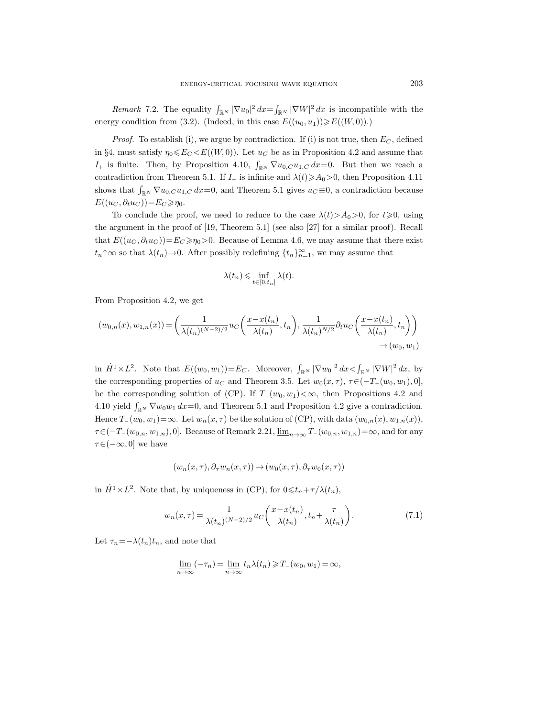*Remark* 7.2. The equality  $\int_{\mathbb{R}^N} |\nabla u_0|^2 dx = \int_{\mathbb{R}^N} |\nabla W|^2 dx$  is incompatible with the energy condition from (3.2). (Indeed, in this case  $E((u_0, u_1)) \ge E((W, 0))$ .)

*Proof.* To establish (i), we argue by contradiction. If (i) is not true, then  $E_C$ , defined in §4, must satisfy  $\eta_0 \leqslant E_C \leqslant E((W, 0))$ . Let  $u_C$  be as in Proposition 4.2 and assume that  $I_+$  is finite. Then, by Proposition 4.10,  $\int_{\mathbb{R}^N} \nabla u_{0,C} u_{1,C} dx = 0$ . But then we reach a contradiction from Theorem 5.1. If  $I_+$  is infinite and  $\lambda(t) \geq \lambda_0 > 0$ , then Proposition 4.11 shows that  $\int_{\mathbb{R}^N} \nabla u_{0,C} u_{1,C} dx = 0$ , and Theorem 5.1 gives  $u_C \equiv 0$ , a contradiction because  $E((u_C, \partial_t u_C)) = E_C \geq \eta_0.$ 

To conclude the proof, we need to reduce to the case  $\lambda(t) > A_0 > 0$ , for  $t \ge 0$ , using the argument in the proof of [19, Theorem 5.1] (see also [27] for a similar proof). Recall that  $E((u_C, \partial_t u_C))=E_C\geqslant \eta_0>0$ . Because of Lemma 4.6, we may assume that there exist  $t_n \uparrow \infty$  so that  $\lambda(t_n) \to 0$ . After possibly redefining  $\{t_n\}_{n=1}^{\infty}$ , we may assume that

$$
\lambda(t_n) \leqslant \inf_{t \in [0, t_n]} \lambda(t).
$$

From Proposition 4.2, we get

$$
(w_{0,n}(x),w_{1,n}(x)) = \left(\frac{1}{\lambda(t_n)^{(N-2)/2}}u_C\left(\frac{x-x(t_n)}{\lambda(t_n)},t_n\right),\frac{1}{\lambda(t_n)^{N/2}}\partial_t u_C\left(\frac{x-x(t_n)}{\lambda(t_n)},t_n\right)\right) \to (w_0,w_1)
$$

in  $\dot{H}^1 \times L^2$ . Note that  $E((w_0, w_1)) = E_C$ . Moreover,  $\int_{\mathbb{R}^N} |\nabla w_0|^2 dx < \int_{\mathbb{R}^N} |\nabla W|^2 dx$ , by the corresponding properties of  $u_C$  and Theorem 3.5. Let  $w_0(x, \tau)$ ,  $\tau \in (-T_-(w_0, w_1), 0]$ , be the corresponding solution of (CP). If  $T_-(w_0, w_1) < \infty$ , then Propositions 4.2 and 4.10 yield  $\int_{\mathbb{R}^N} \nabla w_0 w_1 dx = 0$ , and Theorem 5.1 and Proposition 4.2 give a contradiction. Hence  $T_-(w_0, w_1) = \infty$ . Let  $w_n(x, \tau)$  be the solution of (CP), with data  $(w_{0,n}(x), w_{1,n}(x))$ ,  $\tau \in (-T_{-}(w_{0,n}, w_{1,n}), 0]$ . Because of Remark 2.21,  $\underline{\lim}_{n\to\infty} T_{-}(w_{0,n}, w_{1,n})=\infty$ , and for any  $\tau \in (-\infty, 0]$  we have

$$
(w_n(x,\tau), \partial_\tau w_n(x,\tau)) \to (w_0(x,\tau), \partial_\tau w_0(x,\tau))
$$

in  $\dot{H}^1 \times L^2$ . Note that, by uniqueness in (CP), for  $0 \leq t_n + \tau/\lambda(t_n)$ ,

$$
w_n(x,\tau) = \frac{1}{\lambda(t_n)^{(N-2)/2}} u_C\left(\frac{x - x(t_n)}{\lambda(t_n)}, t_n + \frac{\tau}{\lambda(t_n)}\right).
$$
\n(7.1)

Let  $\tau_n = -\lambda(t_n)t_n$ , and note that

$$
\underline{\lim}_{n \to \infty} (-\tau_n) = \underline{\lim}_{n \to \infty} t_n \lambda(t_n) \ge T_-(w_0, w_1) = \infty,
$$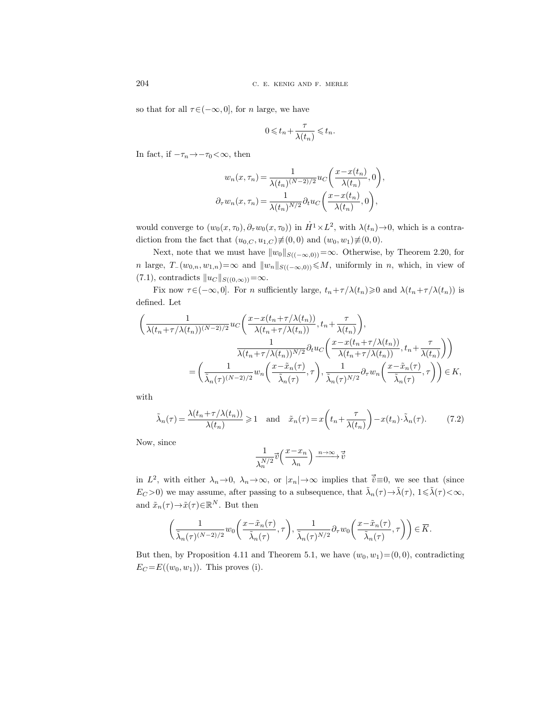so that for all  $\tau \in (-\infty, 0]$ , for *n* large, we have

$$
0 \leqslant t_n + \frac{\tau}{\lambda(t_n)} \leqslant t_n.
$$

In fact, if  $-\tau_n\!\to\!-\tau_0\!<\!\infty,$  then

$$
w_n(x, \tau_n) = \frac{1}{\lambda(t_n)^{(N-2)/2}} u_C\left(\frac{x - x(t_n)}{\lambda(t_n)}, 0\right),
$$
  

$$
\partial_\tau w_n(x, \tau_n) = \frac{1}{\lambda(t_n)^{N/2}} \partial_t u_C\left(\frac{x - x(t_n)}{\lambda(t_n)}, 0\right),
$$

would converge to  $(w_0(x, \tau_0), \partial_\tau w_0(x, \tau_0))$  in  $\dot{H}^1 \times L^2$ , with  $\lambda(t_n) \to 0$ , which is a contradiction from the fact that  $(u_{0,C}, u_{1,C}) \neq (0, 0)$  and  $(w_0, w_1) \neq (0, 0)$ .

Next, note that we must have  $||w_0||_{S((-\infty,0))}=\infty$ . Otherwise, by Theorem 2.20, for n large,  $T_-(w_{0,n}, w_{1,n})=\infty$  and  $||w_n||_{S((-\infty,0))} \leq M$ , uniformly in n, which, in view of (7.1), contradicts  $||u_C||_{S((0,\infty))}=\infty$ .

Fix now  $\tau \in (-\infty, 0]$ . For n sufficiently large,  $t_n + \tau/\lambda(t_n) \geq 0$  and  $\lambda(t_n + \tau/\lambda(t_n))$  is defined. Let

$$
\left(\frac{1}{\lambda(t_n+\tau/\lambda(t_n))^{(N-2)/2}}u_C\left(\frac{x-x(t_n+\tau/\lambda(t_n))}{\lambda(t_n+\tau/\lambda(t_n))},t_n+\frac{\tau}{\lambda(t_n)}\right),\right) \n= \left(\frac{1}{\tilde{\lambda}_n(\tau)^{(N-2)/2}}w_n\left(\frac{x-x(t_n+\tau/\lambda(t_n))}{\tilde{\lambda}(t_n+\tau/\lambda(t_n))},t_n+\frac{\tau}{\lambda(t_n)}\right)\right) \n= \left(\frac{1}{\tilde{\lambda}_n(\tau)^{(N-2)/2}}w_n\left(\frac{x-\tilde{x}_n(\tau)}{\tilde{\lambda}_n(\tau)},\tau\right),\frac{1}{\tilde{\lambda}_n(\tau)^{N/2}}\partial_\tau w_n\left(\frac{x-\tilde{x}_n(\tau)}{\tilde{\lambda}_n(\tau)},\tau\right)\right) \in K,
$$

with

$$
\tilde{\lambda}_n(\tau) = \frac{\lambda(t_n + \tau/\lambda(t_n))}{\lambda(t_n)} \ge 1 \quad \text{and} \quad \tilde{x}_n(\tau) = x\left(t_n + \frac{\tau}{\lambda(t_n)}\right) - x(t_n) \cdot \tilde{\lambda}_n(\tau). \tag{7.2}
$$

Now, since

$$
\frac{1}{\lambda_n^{N/2}} \vec{v} \left( \frac{x - x_n}{\lambda_n} \right) \xrightarrow{n \to \infty} \vec{v}
$$

 $\frac{1}{\lambda_n^{N/2}} \vec{v} \left( \frac{x - x_n}{\lambda_n} \right) \xrightarrow{n \to \infty} \vec{v}$ <br>in  $L^2$ , with either  $\lambda_n \to 0$ ,  $\lambda_n \to \infty$ , or  $|x_n| \to \infty$  implies that  $\vec{v} \equiv 0$ , we see that (since  $E_C > 0$ ) we may assume, after passing to a subsequence, that  $\tilde{\lambda}_n(\tau) \to \tilde{\lambda}(\tau)$ ,  $1 \le \tilde{\lambda}(\tau) < \infty$ , and  $\tilde{x}_n(\tau) \rightarrow \tilde{x}(\tau) \in \mathbb{R}^N$ . But then

$$
\tau \to \tilde{x}(\tau) \in \mathbb{R}^N.
$$
 But then  

$$
\left(\frac{1}{\tilde{\lambda}_n(\tau)^{(N-2)/2}} w_0\left(\frac{x-\tilde{x}_n(\tau)}{\tilde{\lambda}_n(\tau)}, \tau\right), \frac{1}{\tilde{\lambda}_n(\tau)^{N/2}} \partial_\tau w_0\left(\frac{x-\tilde{x}_n(\tau)}{\tilde{\lambda}_n(\tau)}, \tau\right)\right) \in \overline{K}.
$$

But then, by Proposition 4.11 and Theorem 5.1, we have  $(w_0, w_1) = (0, 0)$ , contradicting  $E_C = E((w_0, w_1))$ . This proves (i).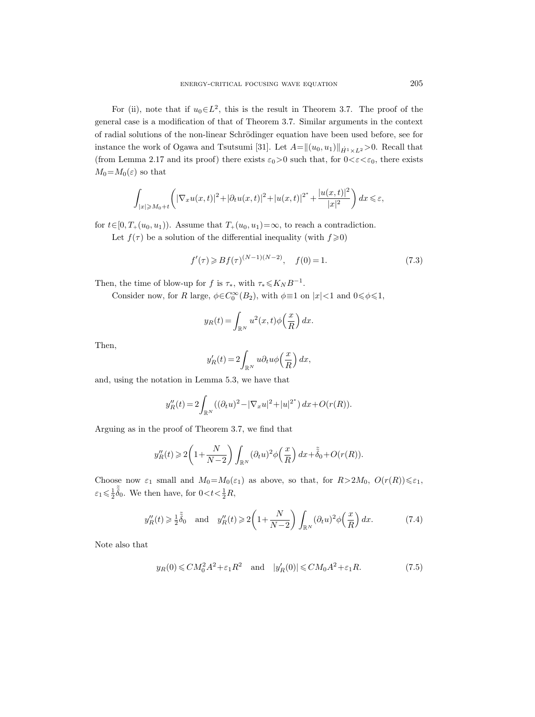For (ii), note that if  $u_0 \in L^2$ , this is the result in Theorem 3.7. The proof of the general case is a modification of that of Theorem 3.7. Similar arguments in the context of radial solutions of the non-linear Schrödinger equation have been used before, see for instance the work of Ogawa and Tsutsumi [31]. Let  $A=\|(u_0, u_1)\|_{\dot{H}^1 \times L^2}$ >0. Recall that (from Lemma 2.17 and its proof) there exists  $\varepsilon_0>0$  such that, for  $0<\varepsilon<\varepsilon_0$ , there exists  $M_0=M_0(\varepsilon)$  so that

$$
\int_{|x|\geqslant M_0+t}\left(|\nabla_x u(x,t)|^2+|\partial_t u(x,t)|^2+|u(x,t)|^{2^*}+\frac{|u(x,t)|^2}{|x|^2}\right)dx\leqslant\varepsilon,
$$

for  $t \in [0, T_+(u_0, u_1))$ . Assume that  $T_+(u_0, u_1) = \infty$ , to reach a contradiction.

Let  $f(\tau)$  be a solution of the differential inequality (with  $f \geq 0$ )

$$
f'(\tau) \geqslant Bf(\tau)^{(N-1)(N-2)}, \quad f(0) = 1. \tag{7.3}
$$

Then, the time of blow-up for f is  $\tau_*$ , with  $\tau_* \leqslant K_N B^{-1}$ .

Consider now, for R large,  $\phi \in C_0^{\infty}(B_2)$ , with  $\phi \equiv 1$  on  $|x| < 1$  and  $0 \le \phi \le 1$ ,

$$
y_R(t) = \int_{\mathbb{R}^N} u^2(x, t) \phi\left(\frac{x}{R}\right) dx.
$$

Then,

$$
y_R'(t) = 2 \int_{\mathbb{R}^N} u \partial_t u \phi\left(\frac{x}{R}\right) dx,
$$

and, using the notation in Lemma 5.3, we have that

$$
y_R''(t) = 2 \int_{\mathbb{R}^N} \left( (\partial_t u)^2 - |\nabla_x u|^2 + |u|^{2^*} \right) dx + O(r(R)).
$$

Arguing as in the proof of Theorem 3.7, we find that

$$
y_R''(t) \geqslant 2\bigg(1+\frac{N}{N-2}\bigg)\int_{\mathbb{R}^N} (\partial_t u)^2 \phi\Big(\frac{x}{R}\Big)\,dx + \tilde{\tilde{\delta}}_0 + O(r(R)).
$$

Choose now  $\varepsilon_1$  small and  $M_0=M_0(\varepsilon_1)$  as above, so that, for  $R>2M_0$ ,  $O(r(R))\leqslant\varepsilon_1$ ,  $\varepsilon_1 \leqslant \frac{1}{2} \tilde{\delta}_0$ . We then have, for  $0 < t < \frac{1}{2}R$ ,

$$
y_R''(t) \ge \frac{1}{2}\tilde{\delta}_0 \quad \text{and} \quad y_R''(t) \ge 2\left(1 + \frac{N}{N-2}\right) \int_{\mathbb{R}^N} (\partial_t u)^2 \phi\left(\frac{x}{R}\right) dx. \tag{7.4}
$$

Note also that

$$
y_R(0) \leq C M_0^2 A^2 + \varepsilon_1 R^2 \quad \text{and} \quad |y_R'(0)| \leq C M_0 A^2 + \varepsilon_1 R. \tag{7.5}
$$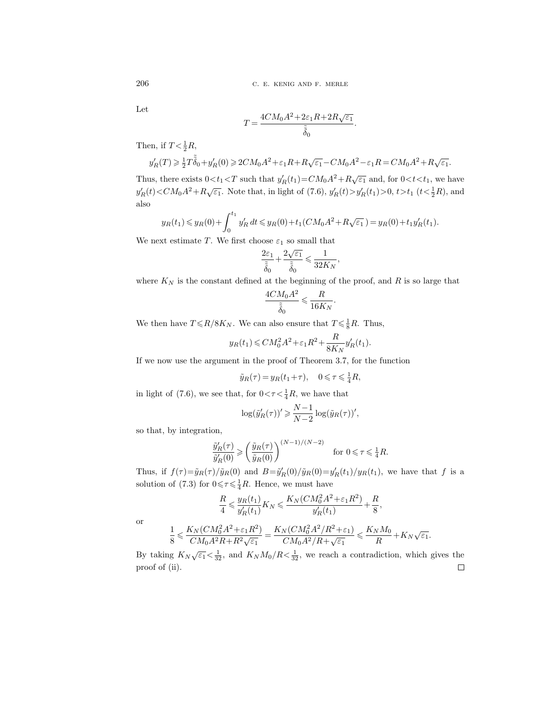Let

$$
T = \frac{4CM_0A^2 + 2\varepsilon_1R + 2R\sqrt{\varepsilon_1}}{\tilde{\delta}_0}
$$

.

Then, if  $T < \frac{1}{2}R$ ,

$$
y_R'(T) \geqslant \tfrac{1}{2} T \tilde{\tilde{\delta}}_0 + y_R'(0) \geqslant 2 C M_0 A^2 + \varepsilon_1 R + R \sqrt{\varepsilon_1} - C M_0 A^2 - \varepsilon_1 R = C M_0 A^2 + R \sqrt{\varepsilon_1}.
$$

Thus, there exists  $0 < t_1 < T$  such that  $y'_R(t_1) = CM_0A^2 + R\sqrt{\varepsilon_1}$  and, for  $0 < t < t_1$ , we have  $y'_R(t) < CM_0A^2 + R\sqrt{\varepsilon_1}$ . Note that, in light of (7.6),  $y'_R(t) > y'_R(t_1) > 0, t > t_1$  ( $t < \frac{1}{2}R$ ), and also

$$
y_R(t_1) \le y_R(0) + \int_0^{t_1} y'_R dt \le y_R(0) + t_1(CM_0A^2 + R\sqrt{\varepsilon_1}) = y_R(0) + t_1y'_R(t_1).
$$

We next estimate T. We first choose  $\varepsilon_1$  so small that

$$
\frac{2\varepsilon_1}{\tilde{\widetilde{\delta}}_0}+\frac{2\sqrt{\varepsilon_1}}{\tilde{\widetilde{\delta}}_0}\leqslant \frac{1}{32K_N},
$$

where  ${\cal K}_N$  is the constant defined at the beginning of the proof, and  $R$  is so large that

$$
\frac{4CM_0A^2}{\tilde{\tilde{\delta}}_0}\leqslant\frac{R}{16K_N}.
$$

We then have  $T \le R/8K_N$ . We can also ensure that  $T \le \frac{1}{8}R$ . Thus,

$$
y_R(t_1) \leq C M_0^2 A^2 + \varepsilon_1 R^2 + \frac{R}{8K_N} y'_R(t_1).
$$

If we now use the argument in the proof of Theorem 3.7, for the function

$$
\tilde{y}_R(\tau) = y_R(t_1 + \tau), \quad 0 \leq \tau \leq \frac{1}{4}R,
$$

in light of (7.6), we see that, for  $0 < \tau < \frac{1}{4}R$ , we have that

$$
\log(\tilde{y}'_R(\tau))' \geq \frac{N-1}{N-2} \log(\tilde{y}_R(\tau))',
$$

so that, by integration,

$$
\frac{\tilde{y}'_R(\tau)}{\tilde{y}'_R(0)} \ge \left(\frac{\tilde{y}_R(\tau)}{\tilde{y}_R(0)}\right)^{(N-1)/(N-2)} \quad \text{for } 0 \le \tau \le \frac{1}{4}R.
$$

Thus, if  $f(\tau) = \tilde{y}_R(\tau)/\tilde{y}_R(0)$  and  $B = \tilde{y}'_R(0)/\tilde{y}_R(0) = y'_R(t_1)/y_R(t_1)$ , we have that f is a solution of (7.3) for  $0 \leq \tau \leq \frac{1}{4}R$ . Hence, we must have

$$
\frac{R}{4} \leqslant \frac{y_R(t_1)}{y'_R(t_1)} K_N \leqslant \frac{K_N(CM_0^2A^2 + \varepsilon_1R^2)}{y'_R(t_1)} + \frac{R}{8},
$$

or

$$
\frac{1}{8} \leqslant \frac{K_N(CM_0^2A^2 + \varepsilon_1R^2)}{CM_0A^2R + R^2\sqrt{\varepsilon_1}} = \frac{K_N(CM_0^2A^2/R^2 + \varepsilon_1)}{CM_0A^2/R + \sqrt{\varepsilon_1}} \leqslant \frac{K_NM_0}{R} + K_N\sqrt{\varepsilon_1}.
$$

By taking  $K_N\sqrt{\varepsilon_1} < \frac{1}{32}$ , and  $K_N M_0/R < \frac{1}{32}$ , we reach a contradiction, which gives the proof of (ii). $\hfill\square$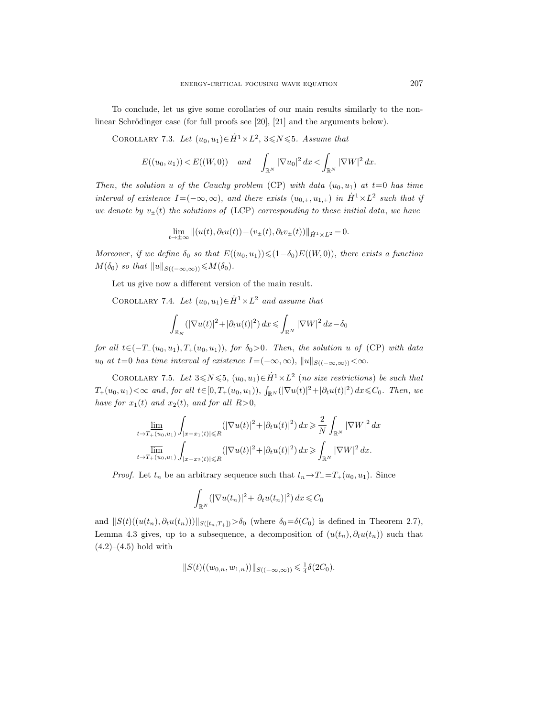To conclude, let us give some corollaries of our main results similarly to the nonlinear Schrödinger case (for full proofs see  $[20]$ ,  $[21]$  and the arguments below).

COROLLARY 7.3. Let  $(u_0, u_1) \in \dot{H}^1 \times L^2$ ,  $3 \le N \le 5$ . Assume that

$$
E((u_0, u_1)) < E((W, 0))
$$
 and  $\int_{\mathbb{R}^N} |\nabla u_0|^2 dx < \int_{\mathbb{R}^N} |\nabla W|^2 dx$ .

Then, the solution u of the Cauchy problem (CP) with data  $(u_0, u_1)$  at  $t=0$  has time interval of existence  $I = (-\infty, \infty)$ , and there exists  $(u_{0, \pm}, u_{1, \pm})$  in  $\dot{H}^1 \times L^2$  such that if we denote by  $v_{\pm}(t)$  the solutions of (LCP) corresponding to these initial data, we have

$$
\lim_{t \to \pm \infty} ||(u(t), \partial_t u(t)) - (v_{\pm}(t), \partial_t v_{\pm}(t))||_{\dot{H}^1 \times L^2} = 0.
$$

Moreover, if we define  $\delta_0$  so that  $E((u_0, u_1)) \leq (1-\delta_0)E((W, 0))$ , there exists a function  $M(\delta_0)$  so that  $||u||_{S((-\infty,\infty))} \leq M(\delta_0)$ .

Let us give now a different version of the main result.

COROLLARY 7.4. Let  $(u_0, u_1) \in \dot{H}^1 \times L^2$  and assume that

$$
\int_{\mathbb{R}_N} (|\nabla u(t)|^2 + |\partial_t u(t)|^2) dx \le \int_{\mathbb{R}^N} |\nabla W|^2 dx - \delta_0
$$

for all  $t\in(-T_{-}(u_0, u_1), T_{+}(u_0, u_1)),$  for  $\delta_0>0$ . Then, the solution u of (CP) with data u<sub>0</sub> at t=0 has time interval of existence I=(−∞,∞),  $||u||_{S((-\infty,\infty))} < \infty$ .

COROLLARY 7.5. Let  $3 \le N \le 5$ ,  $(u_0, u_1) \in \dot{H}^1 \times L^2$  (no size restrictions) be such that  $T_+(u_0, u_1) < \infty$  and, for all  $t \in [0, T_+(u_0, u_1)), \int_{\mathbb{R}^N} (|\nabla u(t)|^2 + |\partial_t u(t)|^2) dx \leq C_0$ . Then, we have for  $x_1(t)$  and  $x_2(t)$ , and for all  $R>0$ ,

$$
\lim_{t\to T_+(u_0,u_1)}\int_{|x-x_1(t)|\leqslant R}(|\nabla u(t)|^2+|\partial_t u(t)|^2)\,dx\geqslant \frac{2}{N}\int_{\mathbb{R}^N}|\nabla W|^2\,dx
$$
  

$$
\lim_{t\to T_+(u_0,u_1)}\int_{|x-x_2(t)|\leqslant R}(|\nabla u(t)|^2+|\partial_t u(t)|^2)\,dx\geqslant \int_{\mathbb{R}^N}|\nabla W|^2\,dx.
$$

*Proof.* Let  $t_n$  be an arbitrary sequence such that  $t_n \rightarrow T_+ = T_+(u_0, u_1)$ . Since

$$
\int_{\mathbb{R}^N} (|\nabla u(t_n)|^2 + |\partial_t u(t_n)|^2) dx \leqslant C_0
$$

and  $||S(t)((u(t_n), \partial_t u(t_n)))||_{S([t_n,T_+])} > \delta_0$  (where  $\delta_0 = \delta(C_0)$  is defined in Theorem 2.7), Lemma 4.3 gives, up to a subsequence, a decomposition of  $(u(t_n), \partial_t u(t_n))$  such that  $(4.2)–(4.5)$  hold with

$$
||S(t)((w_{0,n}, w_{1,n}))||_{S((-\infty,\infty))} \leq \frac{1}{4}\delta(2C_0).
$$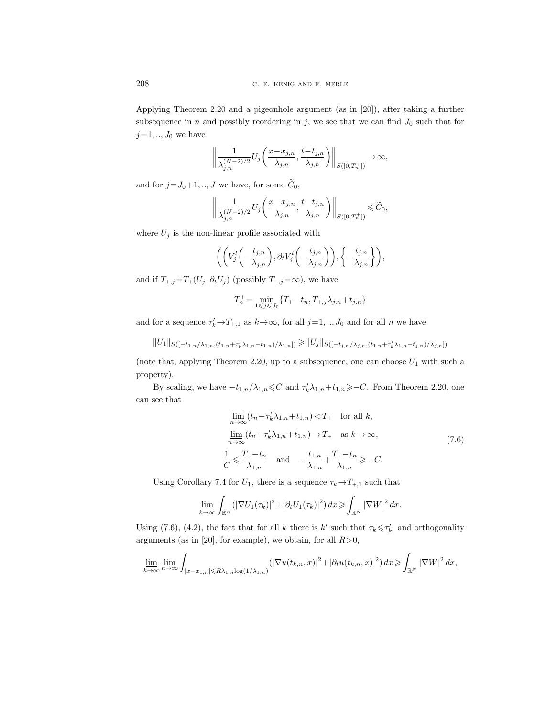Applying Theorem 2.20 and a pigeonhole argument (as in [20]), after taking a further subsequence in n and possibly reordering in j, we see that we can find  $J_0$  such that for  $j=1,..,J_0$  we have

$$
\left\| \frac{1}{\lambda_{j,n}^{(N-2)/2}} U_j\left( \frac{x - x_{j,n}}{\lambda_{j,n}}, \frac{t - t_{j,n}}{\lambda_{j,n}} \right) \right\|_{S([0,T_n^+])} \to \infty,
$$

and for  $j = J_0+1, ..., J$  we have, for some  $\widetilde{C}_0$ ,

$$
\left\| \frac{1}{\lambda_{j,n}^{(N-2)/2}} U_j\left( \frac{x - x_{j,n}}{\lambda_{j,n}}, \frac{t - t_{j,n}}{\lambda_{j,n}} \right) \right\|_{S([0,T_n^+])} \leqslant \widetilde{C}_0,
$$

where  $U_j$  is the non-linear profile associated with

$$
\bigg( \bigg( V_j^l \bigg( - \frac{t_{j,n}}{\lambda_{j,n}} \bigg), \partial_t V_j^l \bigg( - \frac{t_{j,n}}{\lambda_{j,n}} \bigg) \bigg), \bigg\{ - \frac{t_{j,n}}{\lambda_{j,n}} \bigg\} \bigg),
$$

and if  $T_{+,j} = T_+(U_j, \partial_t U_j)$  (possibly  $T_{+,j} = \infty$ ), we have

$$
T_n^+ = \min_{1 \leqslant j \leqslant J_0} \{ T_+ - t_n, T_{+,j} \lambda_{j,n} + t_{j,n} \}
$$

and for a sequence  $\tau'_k \to T_{+,1}$  as  $k \to \infty$ , for all  $j=1, ..., J_0$  and for all n we have

$$
||U_1||_{S([-t_{1,n}/\lambda_{1,n},(t_{1,n}+\tau_k'\lambda_{1,n}-t_{1,n})/\lambda_{1,n}]}) \geq ||U_j||_{S([-t_{j,n}/\lambda_{j,n},(t_{1,n}+\tau_k'\lambda_{1,n}-t_{j,n})/\lambda_{j,n}]})
$$

(note that, applying Theorem 2.20, up to a subsequence, one can choose  $U_1$  with such a property).

By scaling, we have  $-t_{1,n}/\lambda_{1,n} \leq C$  and  $\tau'_k \lambda_{1,n}+t_{1,n} \geq C$ . From Theorem 2.20, one can see that

$$
\overline{\lim}_{n \to \infty} (t_n + \tau'_k \lambda_{1,n} + t_{1,n}) < T_+ \quad \text{for all } k,
$$
\n
$$
\underline{\lim}_{n \to \infty} (t_n + \tau'_k \lambda_{1,n} + t_{1,n}) \to T_+ \quad \text{as } k \to \infty,
$$
\n
$$
\frac{1}{C} \leq \frac{T_+ - t_n}{\lambda_{1,n}} \quad \text{and} \quad -\frac{t_{1,n}}{\lambda_{1,n}} + \frac{T_+ - t_n}{\lambda_{1,n}} \geq -C.
$$
\n
$$
(7.6)
$$

Using Corollary 7.4 for  $U_1$ , there is a sequence  $\tau_k \to T_{+,1}$  such that

$$
\underline{\lim_{k\to\infty}}\int_{\mathbb{R}^N}(|\nabla U_1(\tau_k)|^2+|\partial_t U_1(\tau_k)|^2)\,dx\geqslant\int_{\mathbb{R}^N}|\nabla W|^2\,dx.
$$

Using (7.6), (4.2), the fact that for all k there is  $k'$  such that  $\tau_k \leq \tau'_{k'}$  and orthogonality arguments (as in [20], for example), we obtain, for all  $R>0$ ,

$$
\lim_{k\to\infty}\lim_{n\to\infty}\int_{|x-x_{1,n}| \leq R\lambda_{1,n}\log(1/\lambda_{1,n})}(|\nabla u(t_{k,n},x)|^2+|\partial_t u(t_{k,n},x)|^2)\,dx \geqslant \int_{\mathbb{R}^N}|\nabla W|^2\,dx,
$$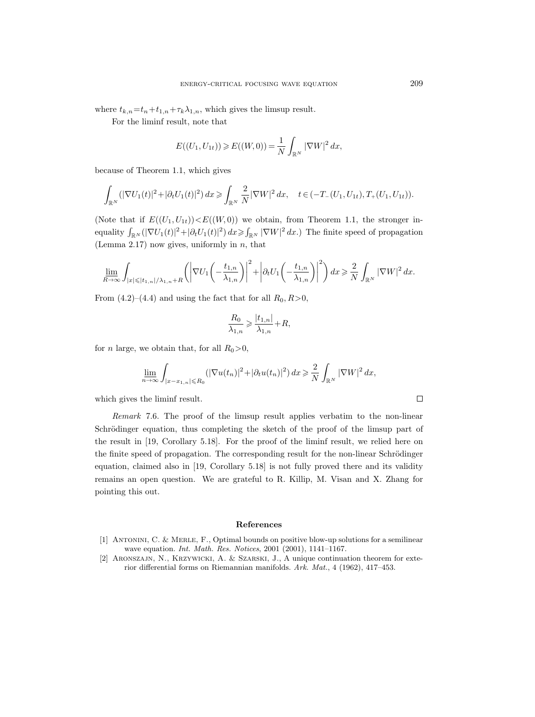where  $t_{k,n} = t_n + t_{1,n} + \tau_k \lambda_{1,n}$ , which gives the limsup result.

For the liminf result, note that

$$
E((U_1, U_{1t})) \ge E((W, 0)) = \frac{1}{N} \int_{\mathbb{R}^N} |\nabla W|^2 dx,
$$

because of Theorem 1.1, which gives

$$
\int_{\mathbb{R}^N} (|\nabla U_1(t)|^2 + |\partial_t U_1(t)|^2) dx \ge \int_{\mathbb{R}^N} \frac{2}{N} |\nabla W|^2 dx, \quad t \in (-T_-(U_1, U_{1t}), T_+(U_1, U_{1t})).
$$

(Note that if  $E((U_1, U_{1t})) < E((W, 0))$  we obtain, from Theorem 1.1, the stronger inequality  $\int_{\mathbb{R}^N} (|\nabla U_1(t)|^2 + |\partial_t U_1(t)|^2) dx \ge \int_{\mathbb{R}^N} |\nabla W|^2 dx$ . The finite speed of propagation (Lemma 2.17) now gives, uniformly in  $n$ , that

$$
\lim_{R\to\infty}\int_{|x|\leqslant |t_{1,n}|/\lambda_{1,n}+R}\left(\left|\nabla U_1\left(-\frac{t_{1,n}}{\lambda_{1,n}}\right)\right|^2+\left|\partial_t U_1\left(-\frac{t_{1,n}}{\lambda_{1,n}}\right)\right|^2\right)dx\geqslant \frac{2}{N}\int_{\mathbb{R}^N}|\nabla W|^2\,dx.
$$

From  $(4.2)$ – $(4.4)$  and using the fact that for all  $R_0$ ,  $R>0$ ,

$$
\frac{R_0}{\lambda_{1,n}} \geqslant \frac{|t_{1,n}|}{\lambda_{1,n}} + R,
$$

for *n* large, we obtain that, for all  $R_0>0$ ,

$$
\lim_{n\to\infty}\int_{|x-x_{1,n}| \le R_0} (|\nabla u(t_n)|^2 + |\partial_t u(t_n)|^2) dx \ge \frac{2}{N} \int_{\mathbb{R}^N} |\nabla W|^2 dx,
$$

which gives the liminf result.

Remark 7.6. The proof of the limsup result applies verbatim to the non-linear Schrödinger equation, thus completing the sketch of the proof of the limsup part of the result in [19, Corollary 5.18]. For the proof of the liminf result, we relied here on the finite speed of propagation. The corresponding result for the non-linear Schrödinger equation, claimed also in [19, Corollary 5.18] is not fully proved there and its validity remains an open question. We are grateful to R. Killip, M. Visan and X. Zhang for pointing this out.

#### References

- [1] Antonini, C. & Merle, F., Optimal bounds on positive blow-up solutions for a semilinear wave equation. *Int. Math. Res. Notices*, 2001 (2001), 1141-1167.
- [2] Aronszajn, N., Krzywicki, A. & Szarski, J., A unique continuation theorem for exterior differential forms on Riemannian manifolds. Ark. Mat., 4 (1962), 417–453.

 $\Box$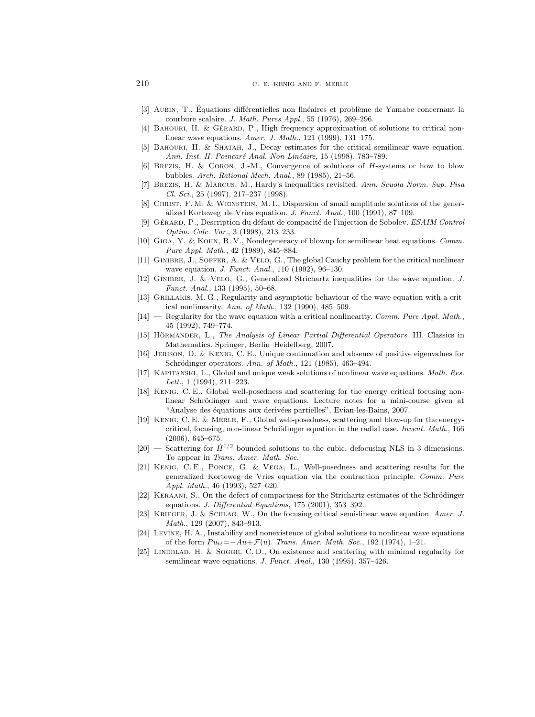210 C. E. KENIG AND F. MERLE

- [3] AUBIN, T., Équations différentielles non linéaires et problème de Yamabe concernant la courbure scalaire. J. Math. Pures Appl., 55 (1976), 269–296.
- [4] BAHOURI, H. & GÉRARD, P., High frequency approximation of solutions to critical nonlinear wave equations. Amer. J. Math., 121 (1999), 131–175.
- [5] Bahouri, H. & Shatah, J., Decay estimates for the critical semilinear wave equation. Ann. Inst. H. Poincaré Anal. Non Linéaire, 15 (1998), 783-789.
- [6] Brezis, H. & Coron, J.-M., Convergence of solutions of H-systems or how to blow bubbles. Arch. Rational Mech. Anal., 89 (1985), 21–56.
- [7] Brezis, H. & Marcus, M., Hardy's inequalities revisited. Ann. Scuola Norm. Sup. Pisa Cl. Sci., 25 (1997), 217–237 (1998).
- [8] Christ, F. M. & Weinstein, M. I., Dispersion of small amplitude solutions of the generalized Korteweg–de Vries equation. J. Funct. Anal., 100 (1991), 87–109.
- [9] GÉRARD, P., Description du défaut de compacité de l'injection de Sobolev. ESAIM Control Optim. Calc. Var., 3 (1998), 213–233.
- [10] Giga, Y. & Kohn, R. V., Nondegeneracy of blowup for semilinear heat equations. Comm. Pure Appl. Math., 42 (1989), 845–884.
- [11] Ginibre, J., Soffer, A. & Velo, G., The global Cauchy problem for the critical nonlinear wave equation. J. Funct. Anal., 110 (1992), 96–130.
- [12] Ginibre, J. & Velo, G., Generalized Strichartz inequalities for the wave equation. J. Funct. Anal., 133 (1995), 50–68.
- [13] Grillakis, M. G., Regularity and asymptotic behaviour of the wave equation with a critical nonlinearity. Ann. of Math., 132 (1990), 485–509.
- $[14]$  Regularity for the wave equation with a critical nonlinearity. Comm. Pure Appl. Math., 45 (1992), 749–774.
- [15] HÖRMANDER, L., The Analysis of Linear Partial Differential Operators. III. Classics in Mathematics. Springer, Berlin–Heidelberg, 2007.
- [16] Jerison, D. & Kenig, C. E., Unique continuation and absence of positive eigenvalues for Schrödinger operators. Ann. of Math., 121 (1985), 463-494.
- [17] KAPITANSKI, L., Global and unique weak solutions of nonlinear wave equations. Math. Res. Lett.,  $1(1994)$ ,  $211-223$ .
- [18] Kenig, C. E., Global well-posedness and scattering for the energy critical focusing nonlinear Schrödinger and wave equations. Lecture notes for a mini-course given at "Analyse des équations aux derivées partielles", Evian-les-Bains, 2007.
- [19] Kenig, C. E. & Merle, F., Global well-posedness, scattering and blow-up for the energycritical, focusing, non-linear Schrödinger equation in the radial case. Invent. Math.,  $166$ (2006), 645–675.
- [20] Scattering for  $\dot{H}^{1/2}$  bounded solutions to the cubic, defocusing NLS in 3 dimensions. To appear in Trans. Amer. Math. Soc.
- [21] Kenig, C. E., Ponce, G. & Vega, L., Well-posedness and scattering results for the generalized Korteweg–de Vries equation via the contraction principle. Comm. Pure Appl. Math., 46 (1993), 527–620.
- [22] KERAANI, S., On the defect of compactness for the Strichartz estimates of the Schrödinger equations. J. Differential Equations, 175 (2001), 353–392.
- [23] Krieger, J. & Schlag, W., On the focusing critical semi-linear wave equation. Amer. J. Math., 129 (2007), 843–913.
- [24] Levine, H. A., Instability and nonexistence of global solutions to nonlinear wave equations of the form  $Pu_{tt} = -Au + \mathcal{F}(u)$ . Trans. Amer. Math. Soc., 192 (1974), 1–21.
- [25] LINDBLAD, H. & SOGGE, C. D., On existence and scattering with minimal regularity for semilinear wave equations. J. Funct. Anal., 130 (1995), 357-426.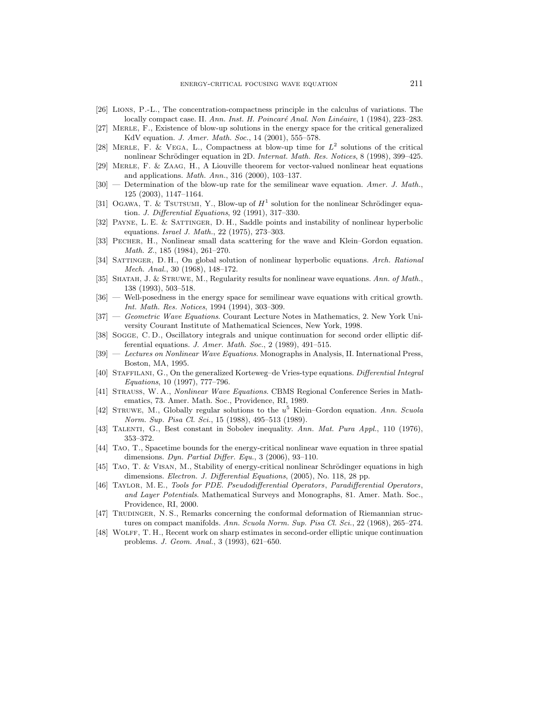- [26] Lions, P.-L., The concentration-compactness principle in the calculus of variations. The locally compact case. II. Ann. Inst. H. Poincaré Anal. Non Linéaire, 1 (1984), 223–283.
- [27] Merle, F., Existence of blow-up solutions in the energy space for the critical generalized KdV equation. J. Amer. Math. Soc., 14 (2001), 555–578.
- [28] MERLE, F. & VEGA, L., Compactness at blow-up time for  $L^2$  solutions of the critical nonlinear Schrödinger equation in 2D. Internat. Math. Res. Notices, 8 (1998), 399-425.
- [29] Merle, F. & Zaag, H., A Liouville theorem for vector-valued nonlinear heat equations and applications. Math. Ann., 316 (2000), 103–137.
- $[30]$  Determination of the blow-up rate for the semilinear wave equation. Amer. J. Math., 125 (2003), 1147–1164.
- [31] OGAWA, T. & TSUTSUMI, Y., Blow-up of  $H^1$  solution for the nonlinear Schrödinger equation. J. Differential Equations, 92 (1991), 317–330.
- [32] Payne, L. E. & Sattinger, D. H., Saddle points and instability of nonlinear hyperbolic equations. Israel J. Math., 22 (1975), 273–303.
- [33] Pecher, H., Nonlinear small data scattering for the wave and Klein–Gordon equation. Math. Z., 185 (1984), 261–270.
- [34] SATTINGER, D. H., On global solution of nonlinear hyperbolic equations. Arch. Rational Mech. Anal., 30 (1968), 148–172.
- [35] SHATAH, J. & STRUWE, M., Regularity results for nonlinear wave equations. Ann. of Math., 138 (1993), 503–518.
- [36] Well-posedness in the energy space for semilinear wave equations with critical growth. Int. Math. Res. Notices, 1994 (1994), 303–309.
- [37] Geometric Wave Equations. Courant Lecture Notes in Mathematics, 2. New York University Courant Institute of Mathematical Sciences, New York, 1998.
- [38] SOGGE, C.D., Oscillatory integrals and unique continuation for second order elliptic differential equations. J. Amer. Math. Soc., 2 (1989), 491–515.
- [39] Lectures on Nonlinear Wave Equations. Monographs in Analysis, II. International Press, Boston, MA, 1995.
- [40] STAFFILANI, G., On the generalized Korteweg–de Vries-type equations. Differential Integral Equations, 10 (1997), 777–796.
- [41] Strauss, W. A., Nonlinear Wave Equations. CBMS Regional Conference Series in Mathematics, 73. Amer. Math. Soc., Providence, RI, 1989.
- [42] STRUWE, M., Globally regular solutions to the  $u^5$  Klein–Gordon equation. Ann. Scuola Norm. Sup. Pisa Cl. Sci., 15 (1988), 495–513 (1989).
- [43] TALENTI, G., Best constant in Sobolev inequality. Ann. Mat. Pura Appl., 110 (1976), 353–372.
- [44] Tao, T., Spacetime bounds for the energy-critical nonlinear wave equation in three spatial dimensions. Dyn. Partial Differ. Equ., 3 (2006), 93–110.
- $[45]$  TAO, T. & VISAN, M., Stability of energy-critical nonlinear Schrödinger equations in high dimensions. Electron. J. Differential Equations, (2005), No. 118, 28 pp.
- [46] Taylor, M. E., Tools for PDE. Pseudodifferential Operators, Paradifferential Operators, and Layer Potentials. Mathematical Surveys and Monographs, 81. Amer. Math. Soc., Providence, RI, 2000.
- [47] TRUDINGER, N. S., Remarks concerning the conformal deformation of Riemannian structures on compact manifolds. Ann. Scuola Norm. Sup. Pisa Cl. Sci., 22 (1968), 265–274.
- [48] Wolff, T. H., Recent work on sharp estimates in second-order elliptic unique continuation problems. J. Geom. Anal., 3 (1993), 621–650.